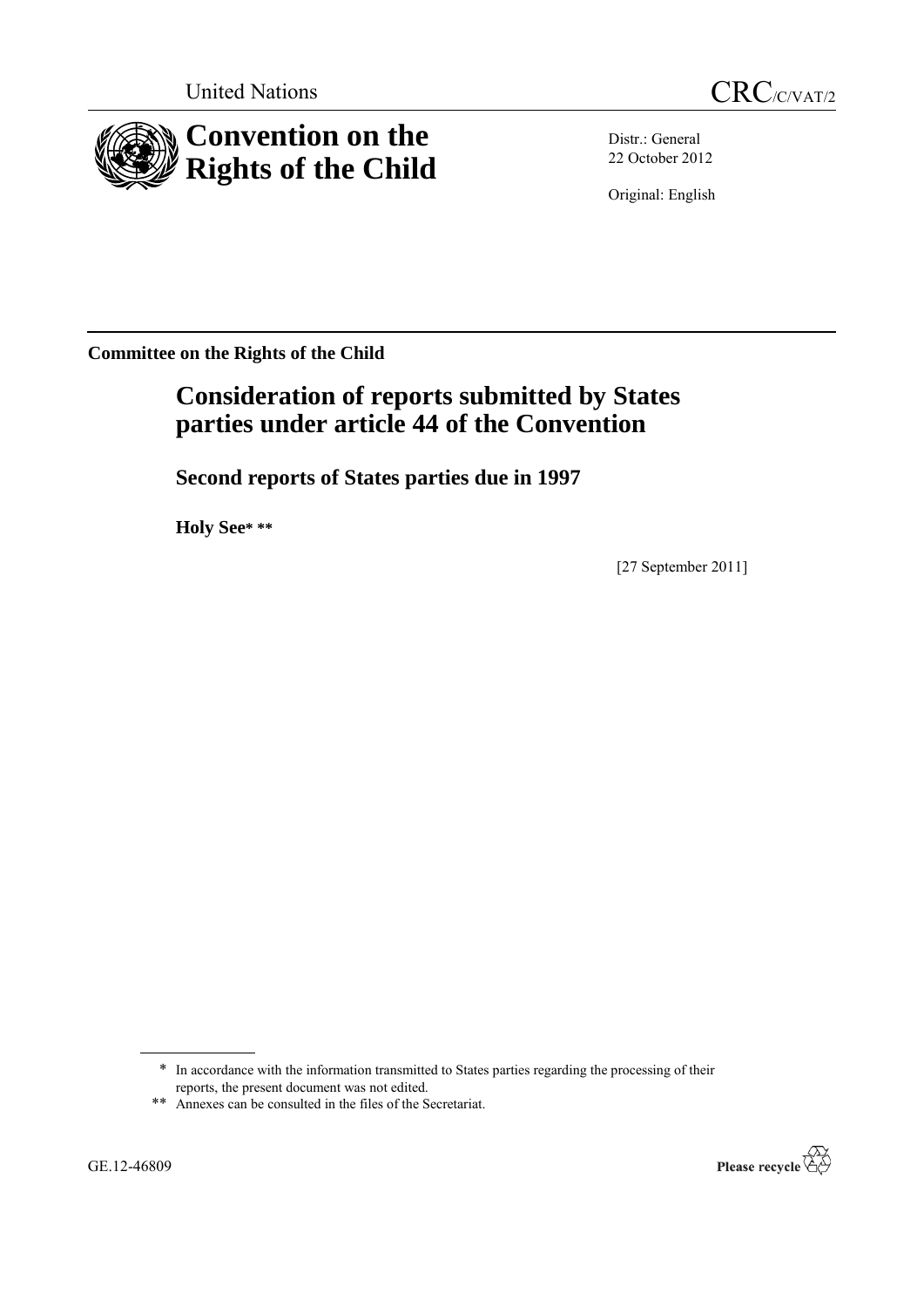United Nations CRC/C/VAT/2





Distr.: General 22 October 2012

Original: English

**Committee on the Rights of the Child**

# **Consideration of reports submitted by States parties under article 44 of the Convention**

**Second reports of States parties due in 1997**

**Holy See\* \*\***

[27 September 2011]

<sup>\*</sup> In accordance with the information transmitted to States parties regarding the processing of their reports, the present document was not edited.

<sup>\*\*</sup> Annexes can be consulted in the files of the Secretariat.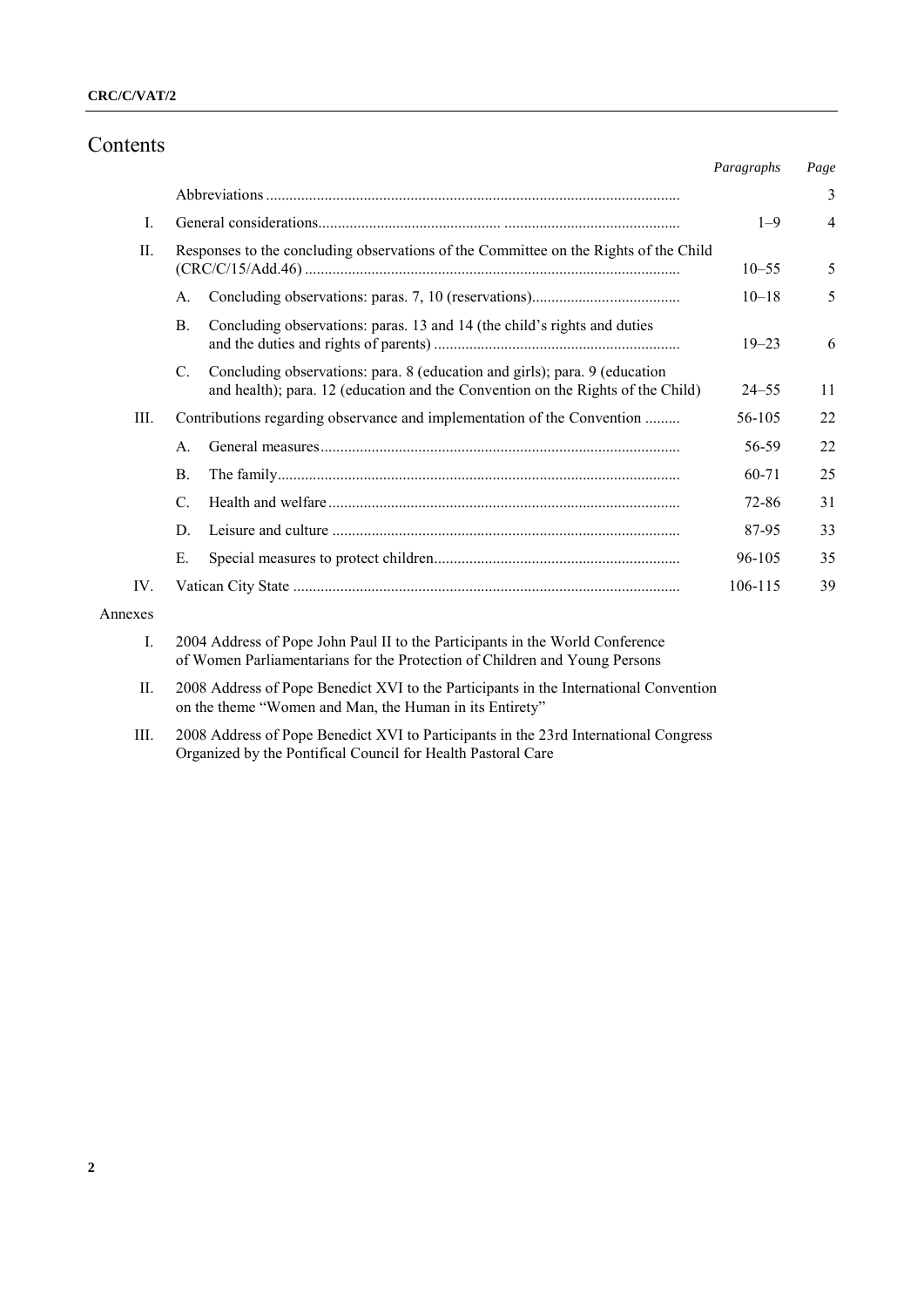# Contents

|          |                                                                                      |                                                                                                                                                               | Paragraphs | Page           |
|----------|--------------------------------------------------------------------------------------|---------------------------------------------------------------------------------------------------------------------------------------------------------------|------------|----------------|
|          |                                                                                      |                                                                                                                                                               |            | 3              |
| L        |                                                                                      |                                                                                                                                                               | $1 - 9$    | $\overline{4}$ |
| II.      | Responses to the concluding observations of the Committee on the Rights of the Child |                                                                                                                                                               | $10 - 55$  | 5              |
|          | $\mathsf{A}$ .                                                                       |                                                                                                                                                               | $10 - 18$  | 5              |
|          | $\mathbf{B}$ .                                                                       | Concluding observations: paras. 13 and 14 (the child's rights and duties                                                                                      | $19 - 23$  | 6              |
|          | C.                                                                                   | Concluding observations: para. 8 (education and girls); para. 9 (education<br>and health); para. 12 (education and the Convention on the Rights of the Child) | $24 - 55$  | 11             |
| III.     | Contributions regarding observance and implementation of the Convention              |                                                                                                                                                               | 56-105     | 22             |
|          | $\mathsf{A}$                                                                         |                                                                                                                                                               | 56-59      | 22             |
|          | <b>B.</b>                                                                            |                                                                                                                                                               | 60-71      | 25             |
|          | C.                                                                                   |                                                                                                                                                               | 72-86      | 31             |
|          | D.                                                                                   |                                                                                                                                                               | 87-95      | 33             |
|          | Е.                                                                                   |                                                                                                                                                               | 96-105     | 35             |
| $IV_{-}$ |                                                                                      |                                                                                                                                                               | 106-115    | 39             |

#### Annexes

- I. 2004 Address of Pope John Paul II to the Participants in the World Conference of Women Parliamentarians for the Protection of Children and Young Persons
- II. 2008 Address of Pope Benedict XVI to the Participants in the International Convention on the theme "Women and Man, the Human in its Entirety"
- III. 2008 Address of Pope Benedict XVI to Participants in the 23rd International Congress Organized by the Pontifical Council for Health Pastoral Care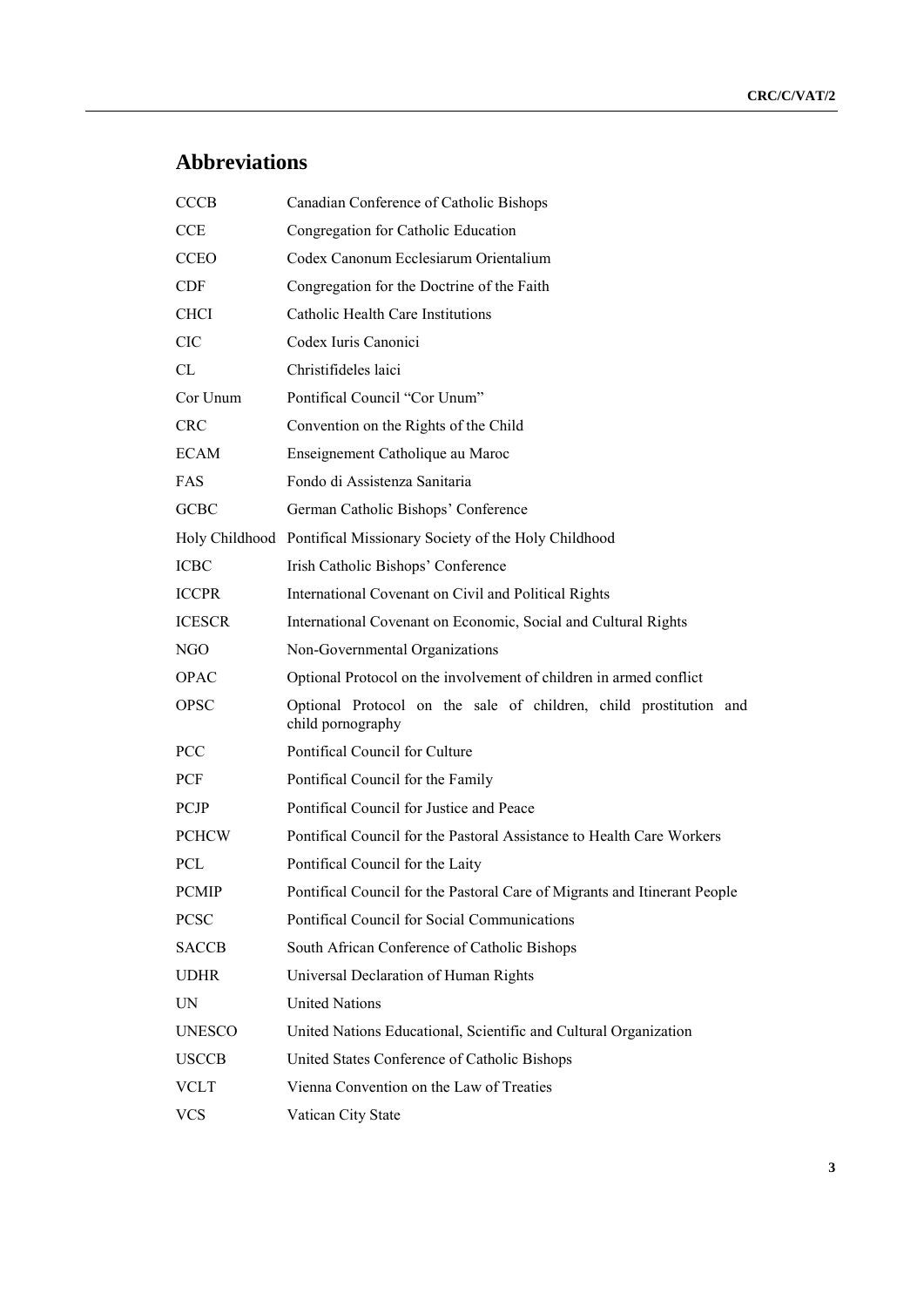# **Abbreviations**

| <b>CCCB</b>   | Canadian Conference of Catholic Bishops                                                |
|---------------|----------------------------------------------------------------------------------------|
| CCE           | Congregation for Catholic Education                                                    |
| <b>CCEO</b>   | Codex Canonum Ecclesiarum Orientalium                                                  |
| <b>CDF</b>    | Congregation for the Doctrine of the Faith                                             |
| <b>CHCI</b>   | Catholic Health Care Institutions                                                      |
| <b>CIC</b>    | Codex Iuris Canonici                                                                   |
| CL            | Christifideles laici                                                                   |
| Cor Unum      | Pontifical Council "Cor Unum"                                                          |
| <b>CRC</b>    | Convention on the Rights of the Child                                                  |
| <b>ECAM</b>   | Enseignement Catholique au Maroc                                                       |
| <b>FAS</b>    | Fondo di Assistenza Sanitaria                                                          |
| <b>GCBC</b>   | German Catholic Bishops' Conference                                                    |
|               | Holy Childhood Pontifical Missionary Society of the Holy Childhood                     |
| <b>ICBC</b>   | Irish Catholic Bishops' Conference                                                     |
| <b>ICCPR</b>  | International Covenant on Civil and Political Rights                                   |
| <b>ICESCR</b> | International Covenant on Economic, Social and Cultural Rights                         |
| NGO           | Non-Governmental Organizations                                                         |
| <b>OPAC</b>   | Optional Protocol on the involvement of children in armed conflict                     |
| <b>OPSC</b>   | Optional Protocol on the sale of children, child prostitution and<br>child pornography |
| <b>PCC</b>    | Pontifical Council for Culture                                                         |
| <b>PCF</b>    | Pontifical Council for the Family                                                      |
| <b>PCJP</b>   | Pontifical Council for Justice and Peace                                               |
| <b>PCHCW</b>  | Pontifical Council for the Pastoral Assistance to Health Care Workers                  |
| <b>PCL</b>    | Pontifical Council for the Laity                                                       |
| <b>PCMIP</b>  | Pontifical Council for the Pastoral Care of Migrants and Itinerant People              |
| <b>PCSC</b>   | Pontifical Council for Social Communications                                           |
| <b>SACCB</b>  | South African Conference of Catholic Bishops                                           |
| <b>UDHR</b>   | Universal Declaration of Human Rights                                                  |
| UN            | <b>United Nations</b>                                                                  |
| <b>UNESCO</b> | United Nations Educational, Scientific and Cultural Organization                       |
| <b>USCCB</b>  | United States Conference of Catholic Bishops                                           |
| VCLT          | Vienna Convention on the Law of Treaties                                               |
| <b>VCS</b>    | Vatican City State                                                                     |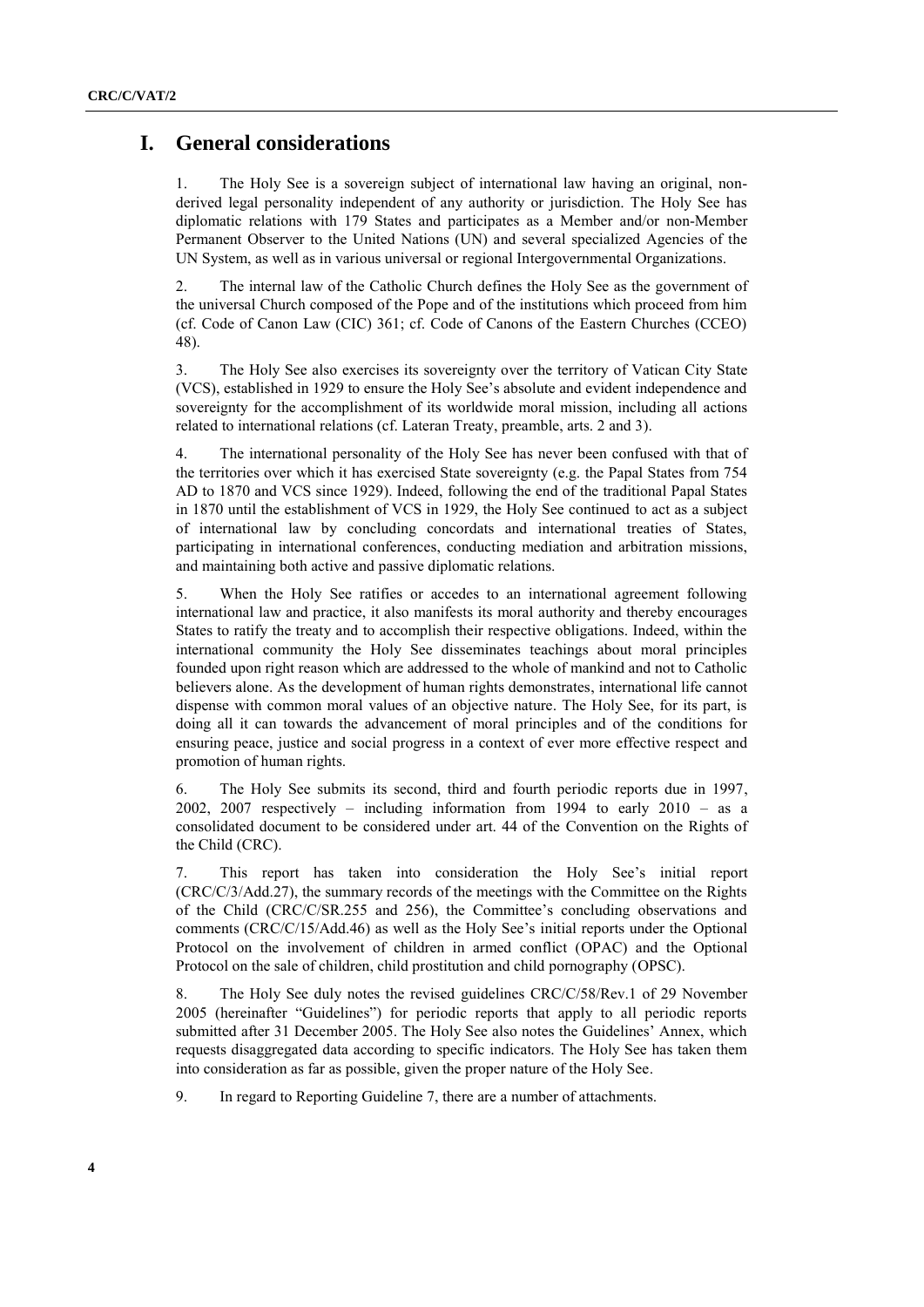# **I. General considerations**

1. The Holy See is a sovereign subject of international law having an original, nonderived legal personality independent of any authority or jurisdiction. The Holy See has diplomatic relations with 179 States and participates as a Member and/or non-Member Permanent Observer to the United Nations (UN) and several specialized Agencies of the UN System, as well as in various universal or regional Intergovernmental Organizations.

2. The internal law of the Catholic Church defines the Holy See as the government of the universal Church composed of the Pope and of the institutions which proceed from him (cf. Code of Canon Law (CIC) 361; cf. Code of Canons of the Eastern Churches (CCEO) 48).

3. The Holy See also exercises its sovereignty over the territory of Vatican City State (VCS), established in 1929 to ensure the Holy See's absolute and evident independence and sovereignty for the accomplishment of its worldwide moral mission, including all actions related to international relations (cf. Lateran Treaty, preamble, arts. 2 and 3).

4. The international personality of the Holy See has never been confused with that of the territories over which it has exercised State sovereignty (e.g. the Papal States from 754 AD to 1870 and VCS since 1929). Indeed, following the end of the traditional Papal States in 1870 until the establishment of VCS in 1929, the Holy See continued to act as a subject of international law by concluding concordats and international treaties of States, participating in international conferences, conducting mediation and arbitration missions, and maintaining both active and passive diplomatic relations.

5. When the Holy See ratifies or accedes to an international agreement following international law and practice, it also manifests its moral authority and thereby encourages States to ratify the treaty and to accomplish their respective obligations. Indeed, within the international community the Holy See disseminates teachings about moral principles founded upon right reason which are addressed to the whole of mankind and not to Catholic believers alone. As the development of human rights demonstrates, international life cannot dispense with common moral values of an objective nature. The Holy See, for its part, is doing all it can towards the advancement of moral principles and of the conditions for ensuring peace, justice and social progress in a context of ever more effective respect and promotion of human rights.

6. The Holy See submits its second, third and fourth periodic reports due in 1997, 2002, 2007 respectively – including information from 1994 to early 2010 – as a consolidated document to be considered under art. 44 of the Convention on the Rights of the Child (CRC).

7. This report has taken into consideration the Holy See's initial report (CRC/C/3/Add.27), the summary records of the meetings with the Committee on the Rights of the Child (CRC/C/SR.255 and 256), the Committee's concluding observations and comments (CRC/C/15/Add.46) as well as the Holy See's initial reports under the Optional Protocol on the involvement of children in armed conflict (OPAC) and the Optional Protocol on the sale of children, child prostitution and child pornography (OPSC).

8. The Holy See duly notes the revised guidelines CRC/C/58/Rev.1 of 29 November 2005 (hereinafter "Guidelines") for periodic reports that apply to all periodic reports submitted after 31 December 2005. The Holy See also notes the Guidelines' Annex, which requests disaggregated data according to specific indicators. The Holy See has taken them into consideration as far as possible, given the proper nature of the Holy See.

9. In regard to Reporting Guideline 7, there are a number of attachments.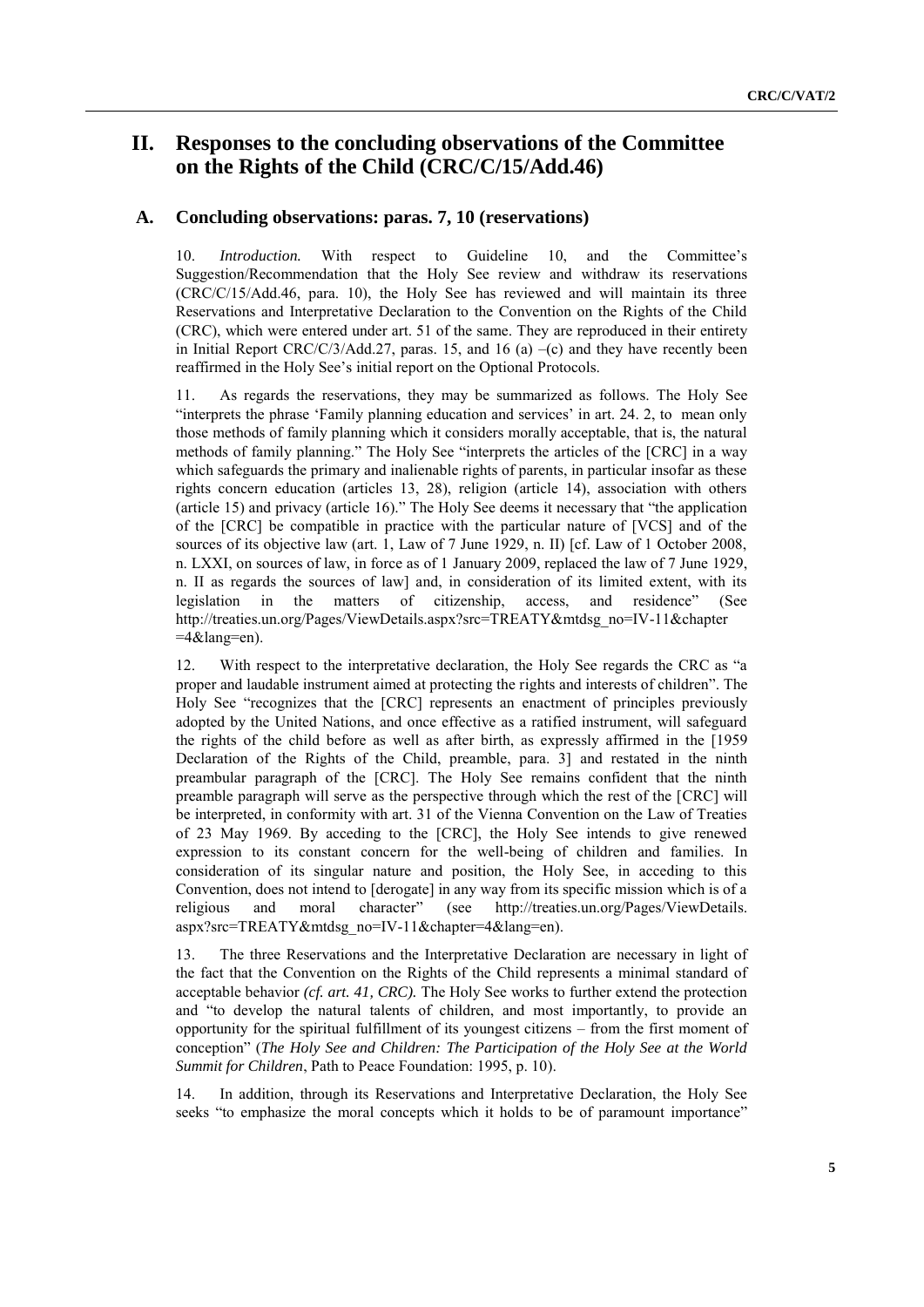# **II. Responses to the concluding observations of the Committee on the Rights of the Child (CRC/C/15/Add.46)**

### **A. Concluding observations: paras. 7, 10 (reservations)**

10. *Introduction.* With respect to Guideline 10, and the Committee's Suggestion/Recommendation that the Holy See review and withdraw its reservations (CRC/C/15/Add.46, para. 10), the Holy See has reviewed and will maintain its three Reservations and Interpretative Declaration to the Convention on the Rights of the Child (CRC), which were entered under art. 51 of the same. They are reproduced in their entirety in Initial Report CRC/C/3/Add.27, paras. 15, and 16 (a)  $-(c)$  and they have recently been reaffirmed in the Holy See's initial report on the Optional Protocols.

11. As regards the reservations, they may be summarized as follows. The Holy See "interprets the phrase 'Family planning education and services' in art. 24, 2, to mean only those methods of family planning which it considers morally acceptable, that is, the natural methods of family planning." The Holy See "interprets the articles of the [CRC] in a way which safeguards the primary and inalienable rights of parents, in particular insofar as these rights concern education (articles 13, 28), religion (article 14), association with others (article 15) and privacy (article 16)." The Holy See deems it necessary that "the application of the [CRC] be compatible in practice with the particular nature of [VCS] and of the sources of its objective law (art. 1, Law of 7 June 1929, n. II) [cf. Law of 1 October 2008, n. LXXI, on sources of law, in force as of 1 January 2009, replaced the law of 7 June 1929, n. II as regards the sources of law] and, in consideration of its limited extent, with its legislation in the matters of citizenship, access, and residence" (See http://treaties.un.org/Pages/ViewDetails.aspx?src=TREATY&mtdsg\_no=IV-11&chapter  $=4&$ lang=en).

12. With respect to the interpretative declaration, the Holy See regards the CRC as "a proper and laudable instrument aimed at protecting the rights and interests of children". The Holy See "recognizes that the [CRC] represents an enactment of principles previously adopted by the United Nations, and once effective as a ratified instrument, will safeguard the rights of the child before as well as after birth, as expressly affirmed in the [1959 Declaration of the Rights of the Child, preamble, para. 3] and restated in the ninth preambular paragraph of the [CRC]. The Holy See remains confident that the ninth preamble paragraph will serve as the perspective through which the rest of the [CRC] will be interpreted, in conformity with art. 31 of the Vienna Convention on the Law of Treaties of 23 May 1969. By acceding to the [CRC], the Holy See intends to give renewed expression to its constant concern for the well-being of children and families. In consideration of its singular nature and position, the Holy See, in acceding to this Convention, does not intend to [derogate] in any way from its specific mission which is of a religious and moral character" (see http://treaties.un.org/Pages/ViewDetails. aspx?src=TREATY&mtdsg\_no=IV-11&chapter=4&lang=en).

13. The three Reservations and the Interpretative Declaration are necessary in light of the fact that the Convention on the Rights of the Child represents a minimal standard of acceptable behavior *(cf. art. 41, CRC).* The Holy See works to further extend the protection and "to develop the natural talents of children, and most importantly, to provide an opportunity for the spiritual fulfillment of its youngest citizens – from the first moment of conception" (*The Holy See and Children: The Participation of the Holy See at the World Summit for Children*, Path to Peace Foundation: 1995, p. 10).

14. In addition, through its Reservations and Interpretative Declaration, the Holy See seeks "to emphasize the moral concepts which it holds to be of paramount importance"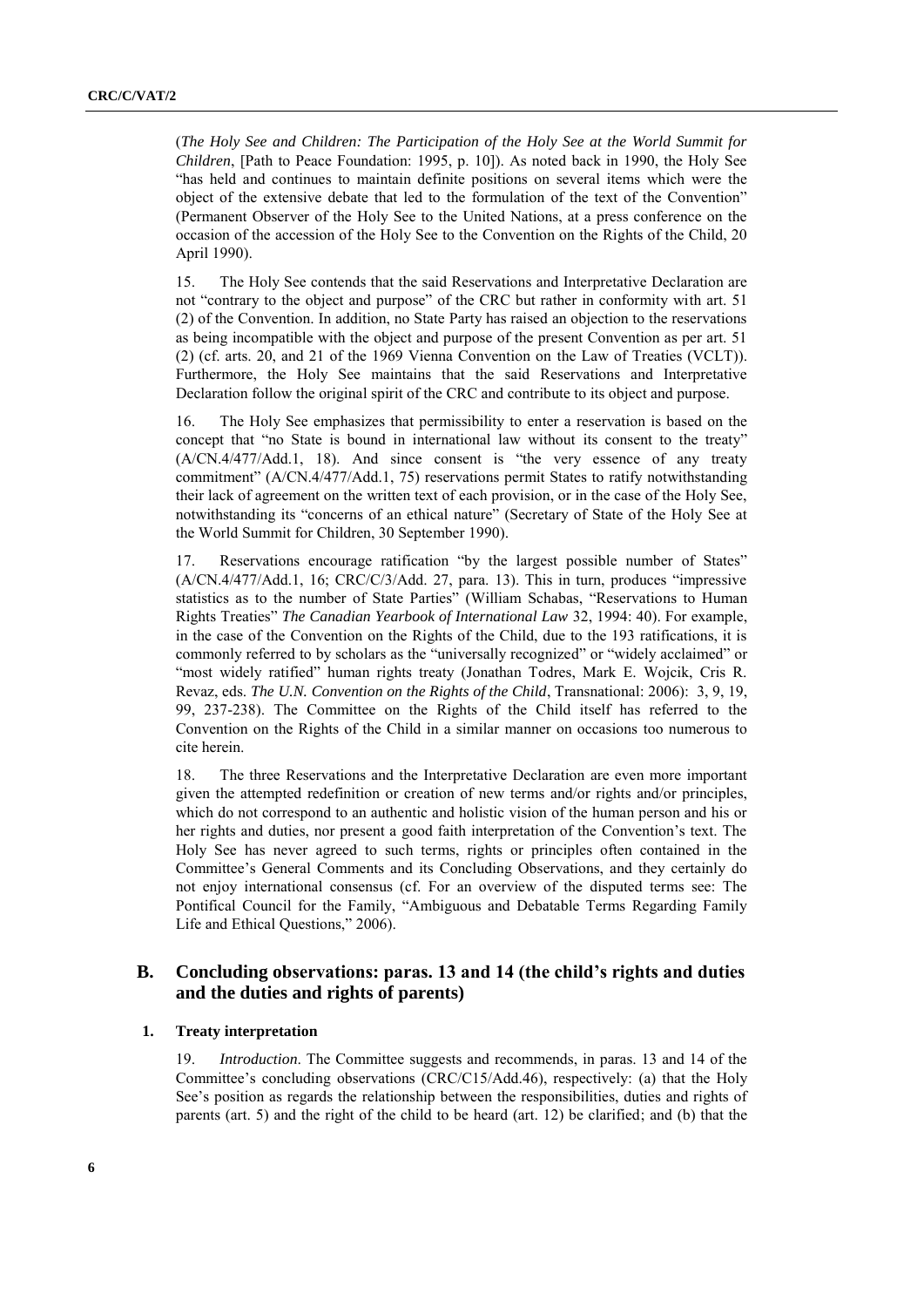(*The Holy See and Children: The Participation of the Holy See at the World Summit for Children*, [Path to Peace Foundation: 1995, p. 10]). As noted back in 1990, the Holy See "has held and continues to maintain definite positions on several items which were the object of the extensive debate that led to the formulation of the text of the Convention" (Permanent Observer of the Holy See to the United Nations, at a press conference on the occasion of the accession of the Holy See to the Convention on the Rights of the Child, 20 April 1990).

15. The Holy See contends that the said Reservations and Interpretative Declaration are not "contrary to the object and purpose" of the CRC but rather in conformity with art. 51 (2) of the Convention. In addition, no State Party has raised an objection to the reservations as being incompatible with the object and purpose of the present Convention as per art. 51 (2) (cf. arts. 20, and 21 of the 1969 Vienna Convention on the Law of Treaties (VCLT)). Furthermore, the Holy See maintains that the said Reservations and Interpretative Declaration follow the original spirit of the CRC and contribute to its object and purpose.

16. The Holy See emphasizes that permissibility to enter a reservation is based on the concept that "no State is bound in international law without its consent to the treaty"  $(A/CN.4/477/Add.1, 18)$ . And since consent is "the very essence of any treaty commitment" (A/CN.4/477/Add.1, 75) reservations permit States to ratify notwithstanding their lack of agreement on the written text of each provision, or in the case of the Holy See, notwithstanding its "concerns of an ethical nature" (Secretary of State of the Holy See at the World Summit for Children, 30 September 1990).

17. Reservations encourage ratification "by the largest possible number of States"  $(A/CN.4/477/Add.1, 16; CRC/C/3/Add.27, para. 13)$ . This in turn, produces "impressive statistics as to the number of State Parties" (William Schabas, "Reservations to Human Rights Treaties" *The Canadian Yearbook of International Law* 32, 1994: 40). For example, in the case of the Convention on the Rights of the Child, due to the 193 ratifications, it is commonly referred to by scholars as the "universally recognized" or "widely acclaimed" or ―most widely ratified‖ human rights treaty (Jonathan Todres, Mark E. Wojcik, Cris R. Revaz, eds. *The U.N. Convention on the Rights of the Child*, Transnational: 2006): 3, 9, 19, 99, 237-238). The Committee on the Rights of the Child itself has referred to the Convention on the Rights of the Child in a similar manner on occasions too numerous to cite herein.

18. The three Reservations and the Interpretative Declaration are even more important given the attempted redefinition or creation of new terms and/or rights and/or principles, which do not correspond to an authentic and holistic vision of the human person and his or her rights and duties, nor present a good faith interpretation of the Convention's text. The Holy See has never agreed to such terms, rights or principles often contained in the Committee's General Comments and its Concluding Observations, and they certainly do not enjoy international consensus (cf. For an overview of the disputed terms see: The Pontifical Council for the Family, "Ambiguous and Debatable Terms Regarding Family Life and Ethical Questions," 2006).

## **B. Concluding observations: paras. 13 and 14 (the child's rights and duties and the duties and rights of parents)**

#### **1. Treaty interpretation**

19. *Introduction*. The Committee suggests and recommends, in paras. 13 and 14 of the Committee's concluding observations (CRC/C15/Add.46), respectively: (a) that the Holy See's position as regards the relationship between the responsibilities, duties and rights of parents (art. 5) and the right of the child to be heard (art. 12) be clarified; and (b) that the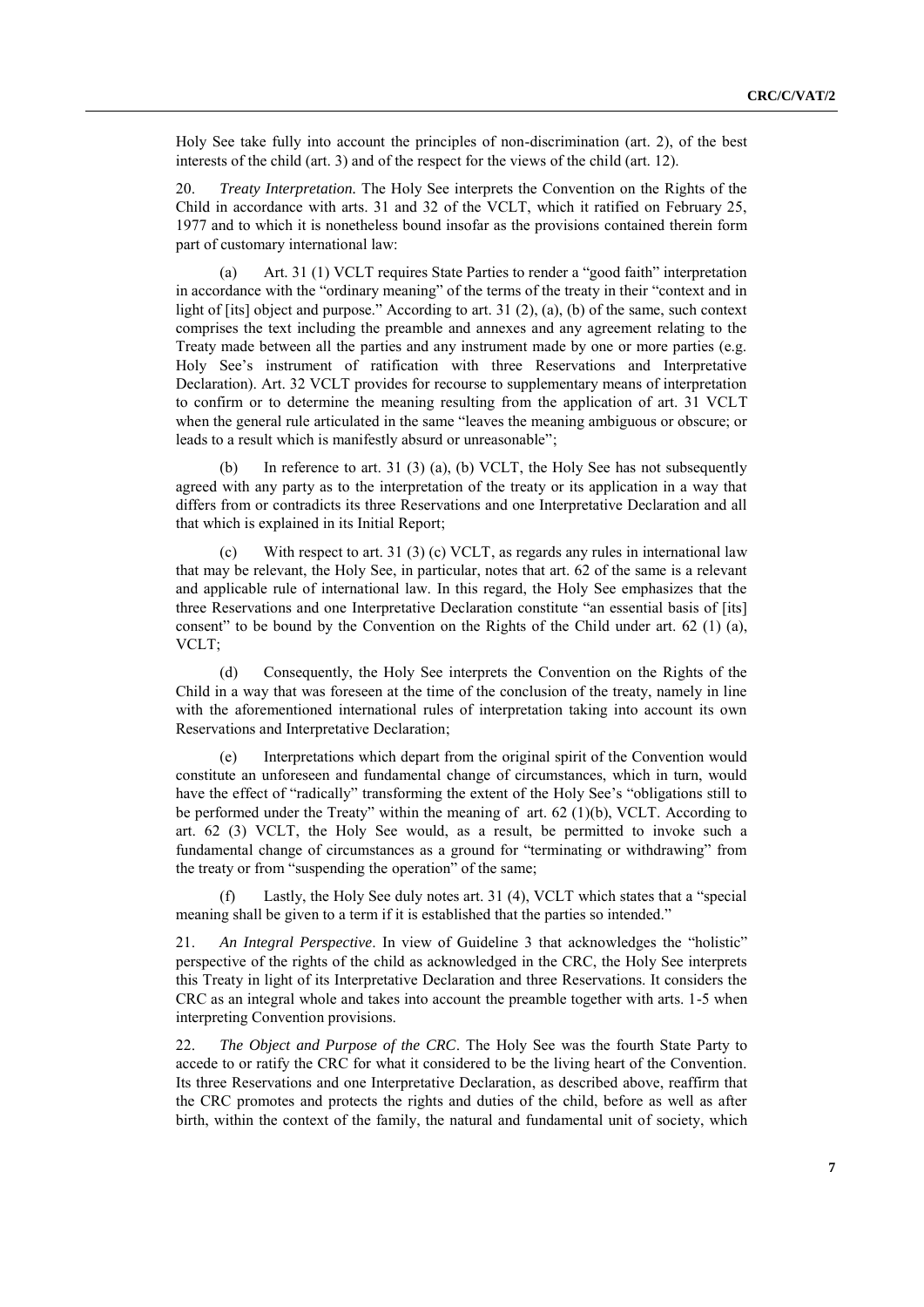Holy See take fully into account the principles of non-discrimination (art. 2), of the best interests of the child (art. 3) and of the respect for the views of the child (art. 12).

20. *Treaty Interpretation.* The Holy See interprets the Convention on the Rights of the Child in accordance with arts. 31 and 32 of the VCLT, which it ratified on February 25, 1977 and to which it is nonetheless bound insofar as the provisions contained therein form part of customary international law:

(a) Art. 31 (1) VCLT requires State Parties to render a "good faith" interpretation in accordance with the "ordinary meaning" of the terms of the treaty in their "context and in light of [its] object and purpose." According to art. 31  $(2)$ ,  $(a)$ ,  $(b)$  of the same, such context comprises the text including the preamble and annexes and any agreement relating to the Treaty made between all the parties and any instrument made by one or more parties (e.g. Holy See's instrument of ratification with three Reservations and Interpretative Declaration). Art. 32 VCLT provides for recourse to supplementary means of interpretation to confirm or to determine the meaning resulting from the application of art. 31 VCLT when the general rule articulated in the same "leaves the meaning ambiguous or obscure; or leads to a result which is manifestly absurd or unreasonable":

(b) In reference to art. 31 (3) (a), (b) VCLT, the Holy See has not subsequently agreed with any party as to the interpretation of the treaty or its application in a way that differs from or contradicts its three Reservations and one Interpretative Declaration and all that which is explained in its Initial Report;

With respect to art. 31 (3) (c) VCLT, as regards any rules in international law that may be relevant, the Holy See, in particular, notes that art. 62 of the same is a relevant and applicable rule of international law. In this regard, the Holy See emphasizes that the three Reservations and one Interpretative Declaration constitute "an essential basis of [its] consent" to be bound by the Convention on the Rights of the Child under art.  $62$  (1) (a), VCLT;

(d) Consequently, the Holy See interprets the Convention on the Rights of the Child in a way that was foreseen at the time of the conclusion of the treaty, namely in line with the aforementioned international rules of interpretation taking into account its own Reservations and Interpretative Declaration;

(e) Interpretations which depart from the original spirit of the Convention would constitute an unforeseen and fundamental change of circumstances, which in turn, would have the effect of "radically" transforming the extent of the Holy See's "obligations still to be performed under the Treaty" within the meaning of art.  $62$  (1)(b), VCLT. According to art. 62 (3) VCLT, the Holy See would, as a result, be permitted to invoke such a fundamental change of circumstances as a ground for "terminating or withdrawing" from the treaty or from "suspending the operation" of the same;

Lastly, the Holy See duly notes art. 31 (4), VCLT which states that a "special meaning shall be given to a term if it is established that the parties so intended."

21. *An Integral Perspective*. In view of Guideline 3 that acknowledges the "holistic" perspective of the rights of the child as acknowledged in the CRC, the Holy See interprets this Treaty in light of its Interpretative Declaration and three Reservations. It considers the CRC as an integral whole and takes into account the preamble together with arts. 1-5 when interpreting Convention provisions.

22. *The Object and Purpose of the CRC*. The Holy See was the fourth State Party to accede to or ratify the CRC for what it considered to be the living heart of the Convention. Its three Reservations and one Interpretative Declaration, as described above, reaffirm that the CRC promotes and protects the rights and duties of the child, before as well as after birth, within the context of the family, the natural and fundamental unit of society, which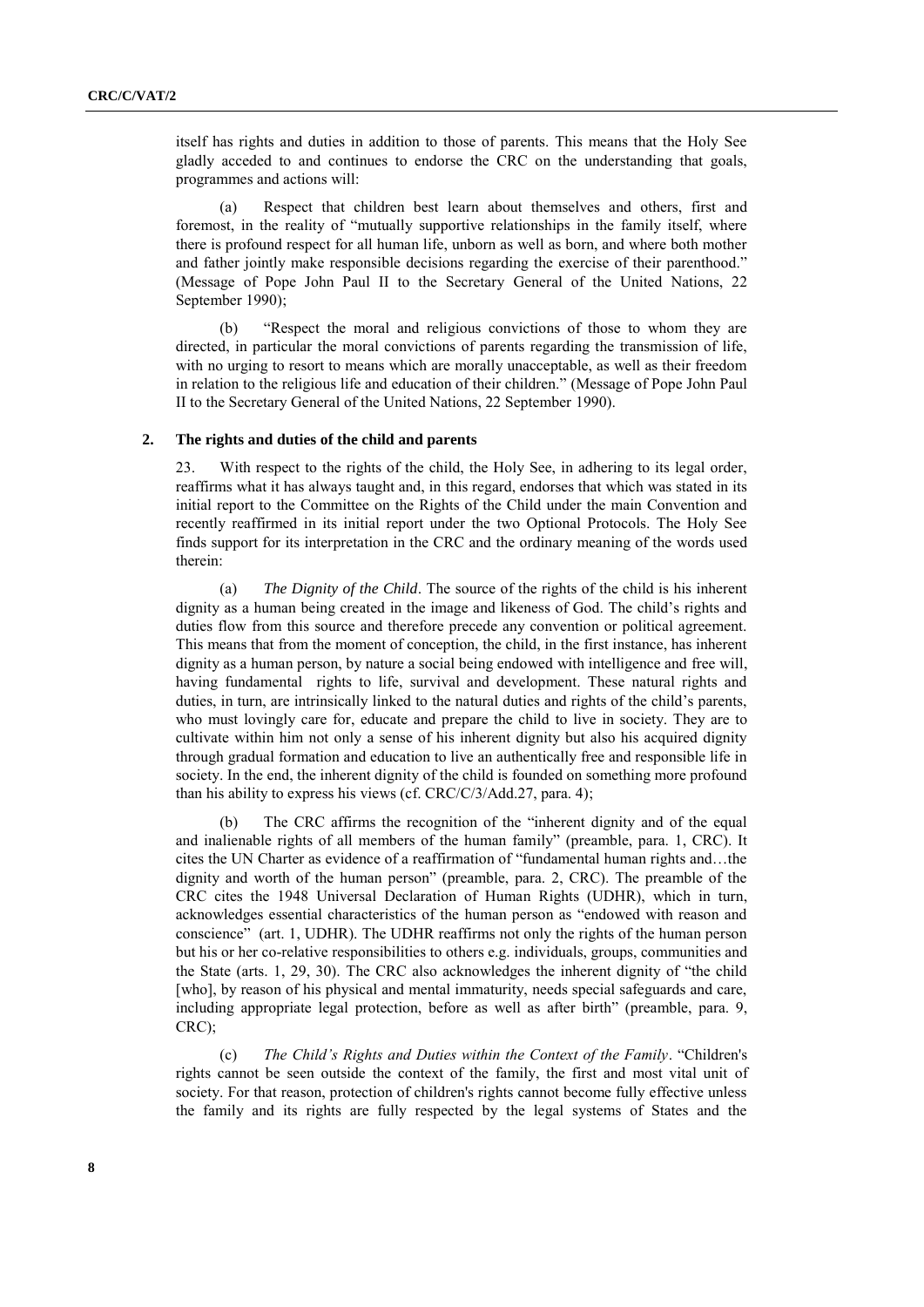itself has rights and duties in addition to those of parents. This means that the Holy See gladly acceded to and continues to endorse the CRC on the understanding that goals, programmes and actions will:

(a) Respect that children best learn about themselves and others, first and foremost, in the reality of "mutually supportive relationships in the family itself, where there is profound respect for all human life, unborn as well as born, and where both mother and father jointly make responsible decisions regarding the exercise of their parenthood." (Message of Pope John Paul II to the Secretary General of the United Nations, 22 September 1990);

(b) "Respect the moral and religious convictions of those to whom they are directed, in particular the moral convictions of parents regarding the transmission of life, with no urging to resort to means which are morally unacceptable, as well as their freedom in relation to the religious life and education of their children." (Message of Pope John Paul II to the Secretary General of the United Nations, 22 September 1990).

#### **2. The rights and duties of the child and parents**

23. With respect to the rights of the child, the Holy See, in adhering to its legal order, reaffirms what it has always taught and, in this regard, endorses that which was stated in its initial report to the Committee on the Rights of the Child under the main Convention and recently reaffirmed in its initial report under the two Optional Protocols. The Holy See finds support for its interpretation in the CRC and the ordinary meaning of the words used therein:

*The Dignity of the Child.* The source of the rights of the child is his inherent dignity as a human being created in the image and likeness of God. The child's rights and duties flow from this source and therefore precede any convention or political agreement. This means that from the moment of conception, the child, in the first instance, has inherent dignity as a human person, by nature a social being endowed with intelligence and free will, having fundamental rights to life, survival and development. These natural rights and duties, in turn, are intrinsically linked to the natural duties and rights of the child's parents, who must lovingly care for, educate and prepare the child to live in society. They are to cultivate within him not only a sense of his inherent dignity but also his acquired dignity through gradual formation and education to live an authentically free and responsible life in society. In the end, the inherent dignity of the child is founded on something more profound than his ability to express his views (cf. CRC/C/3/Add.27, para. 4);

(b) The CRC affirms the recognition of the "inherent dignity and of the equal and inalienable rights of all members of the human family" (preamble, para. 1, CRC). It cites the UN Charter as evidence of a reaffirmation of "fundamental human rights and...the dignity and worth of the human person" (preamble, para. 2, CRC). The preamble of the CRC cites the 1948 Universal Declaration of Human Rights (UDHR), which in turn, acknowledges essential characteristics of the human person as "endowed with reason and conscience" (art. 1, UDHR). The UDHR reaffirms not only the rights of the human person but his or her co-relative responsibilities to others e.g. individuals, groups, communities and the State (arts.  $1, 29, 30$ ). The CRC also acknowledges the inherent dignity of "the child [who], by reason of his physical and mental immaturity, needs special safeguards and care, including appropriate legal protection, before as well as after birth" (preamble, para. 9, CRC);

(c) *The Child's Rights and Duties within the Context of the Family.* "Children's rights cannot be seen outside the context of the family, the first and most vital unit of society. For that reason, protection of children's rights cannot become fully effective unless the family and its rights are fully respected by the legal systems of States and the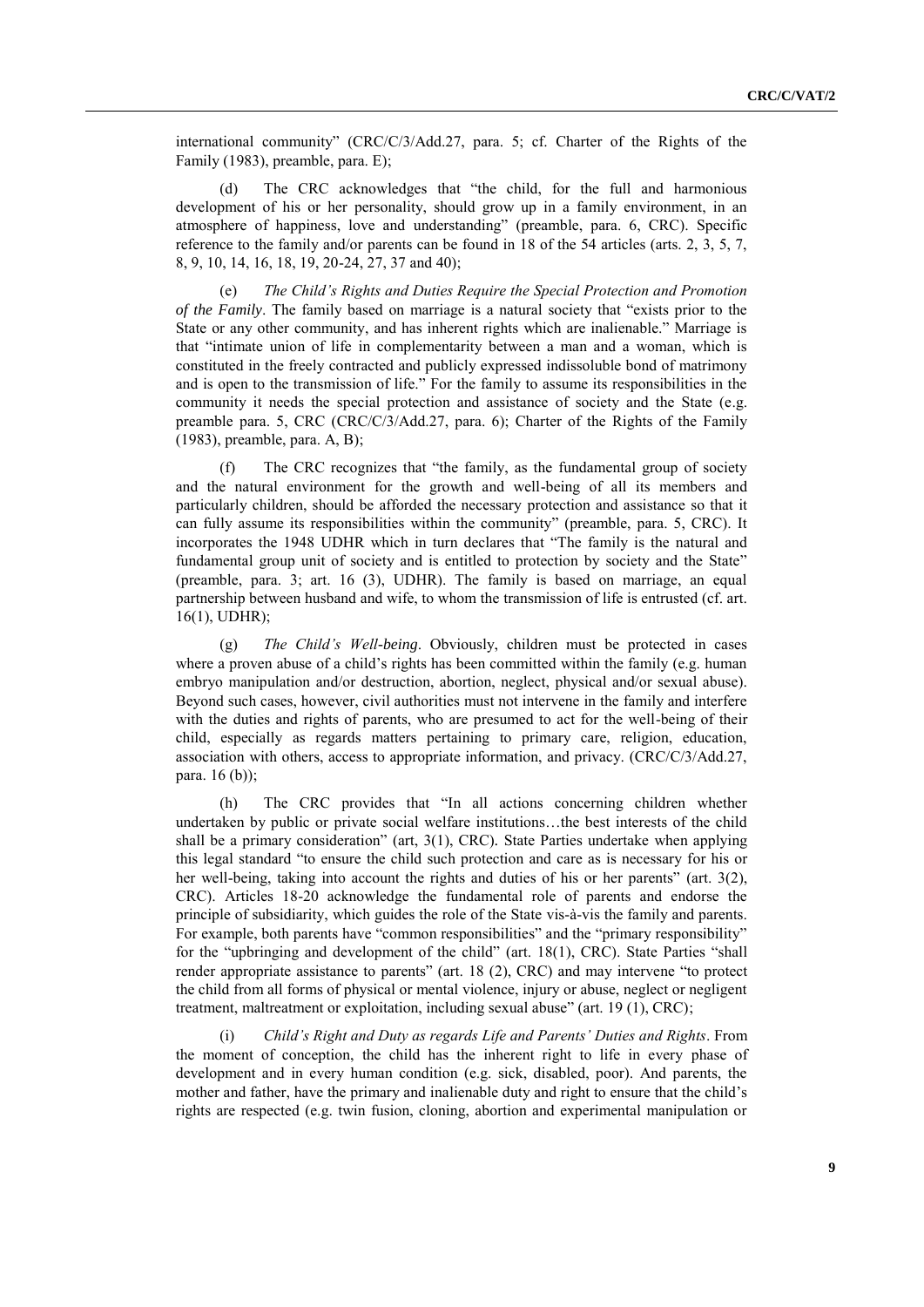international community" (CRC/C/3/Add.27, para. 5; cf. Charter of the Rights of the Family (1983), preamble, para. E);

(d) The CRC acknowledges that "the child, for the full and harmonious development of his or her personality, should grow up in a family environment, in an atmosphere of happiness, love and understanding" (preamble, para. 6, CRC). Specific reference to the family and/or parents can be found in 18 of the 54 articles (arts. 2, 3, 5, 7, 8, 9, 10, 14, 16, 18, 19, 20-24, 27, 37 and 40);

(e) *The Child's Rights and Duties Require the Special Protection and Promotion of the Family*. The family based on marriage is a natural society that "exists prior to the State or any other community, and has inherent rights which are inalienable." Marriage is that "intimate union of life in complementarity between a man and a woman, which is constituted in the freely contracted and publicly expressed indissoluble bond of matrimony and is open to the transmission of life." For the family to assume its responsibilities in the community it needs the special protection and assistance of society and the State (e.g. preamble para. 5, CRC (CRC/C/3/Add.27, para. 6); Charter of the Rights of the Family (1983), preamble, para. A, B);

(f) The CRC recognizes that "the family, as the fundamental group of society and the natural environment for the growth and well-being of all its members and particularly children, should be afforded the necessary protection and assistance so that it can fully assume its responsibilities within the community" (preamble, para. 5, CRC). It incorporates the 1948 UDHR which in turn declares that "The family is the natural and fundamental group unit of society and is entitled to protection by society and the State" (preamble, para. 3; art. 16 (3), UDHR). The family is based on marriage, an equal partnership between husband and wife, to whom the transmission of life is entrusted (cf. art. 16(1), UDHR);

(g) *The Child's Well-being*. Obviously, children must be protected in cases where a proven abuse of a child's rights has been committed within the family (e.g. human embryo manipulation and/or destruction, abortion, neglect, physical and/or sexual abuse). Beyond such cases, however, civil authorities must not intervene in the family and interfere with the duties and rights of parents, who are presumed to act for the well-being of their child, especially as regards matters pertaining to primary care, religion, education, association with others, access to appropriate information, and privacy. (CRC/C/3/Add.27, para. 16 (b));

(h) The CRC provides that "In all actions concerning children whether undertaken by public or private social welfare institutions…the best interests of the child shall be a primary consideration" (art, 3(1), CRC). State Parties undertake when applying this legal standard "to ensure the child such protection and care as is necessary for his or her well-being, taking into account the rights and duties of his or her parents" (art. 3(2), CRC). Articles 18-20 acknowledge the fundamental role of parents and endorse the principle of subsidiarity, which guides the role of the State vis-à-vis the family and parents. For example, both parents have "common responsibilities" and the "primary responsibility" for the "upbringing and development of the child" (art.  $18(1)$ , CRC). State Parties "shall render appropriate assistance to parents" (art.  $18$  (2), CRC) and may intervene "to protect the child from all forms of physical or mental violence, injury or abuse, neglect or negligent treatment, maltreatment or exploitation, including sexual abuse" (art. 19 (1), CRC);

(i) *Child's Right and Duty as regards Life and Parents' Duties and Rights*. From the moment of conception, the child has the inherent right to life in every phase of development and in every human condition (e.g. sick, disabled, poor). And parents, the mother and father, have the primary and inalienable duty and right to ensure that the child's rights are respected (e.g. twin fusion, cloning, abortion and experimental manipulation or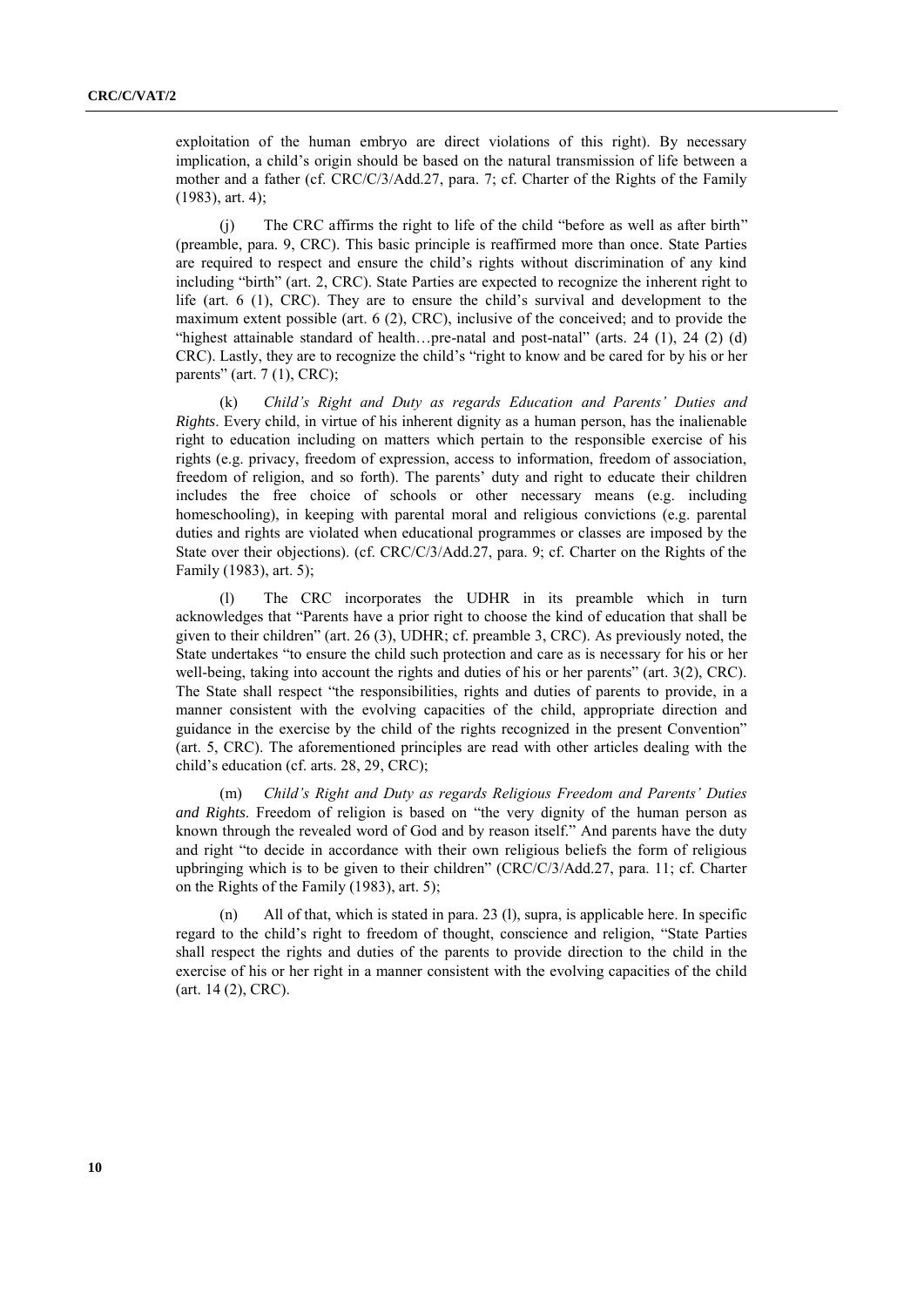exploitation of the human embryo are direct violations of this right). By necessary implication, a child's origin should be based on the natural transmission of life between a mother and a father (cf. CRC/C/3/Add.27, para. 7; cf. Charter of the Rights of the Family (1983), art. 4);

 $(i)$  The CRC affirms the right to life of the child "before as well as after birth" (preamble, para. 9, CRC). This basic principle is reaffirmed more than once. State Parties are required to respect and ensure the child's rights without discrimination of any kind including "birth" (art. 2, CRC). State Parties are expected to recognize the inherent right to life (art. 6 (1), CRC). They are to ensure the child's survival and development to the maximum extent possible (art. 6 (2), CRC), inclusive of the conceived; and to provide the "highest attainable standard of health...pre-natal and post-natal" (arts. 24  $(1)$ , 24  $(2)$   $(d)$ ) CRC). Lastly, they are to recognize the child's "right to know and be cared for by his or her parents" (art.  $7(1)$ , CRC);

(k) *Child's Right and Duty as regards Education and Parents' Duties and Rights*. Every child, in virtue of his inherent dignity as a human person, has the inalienable right to education including on matters which pertain to the responsible exercise of his rights (e.g. privacy, freedom of expression, access to information, freedom of association, freedom of religion, and so forth). The parents' duty and right to educate their children includes the free choice of schools or other necessary means (e.g. including homeschooling), in keeping with parental moral and religious convictions (e.g. parental duties and rights are violated when educational programmes or classes are imposed by the State over their objections). (cf. CRC/C/3/Add.27, para. 9; cf. Charter on the Rights of the Family (1983), art. 5);

(l) The CRC incorporates the UDHR in its preamble which in turn acknowledges that "Parents have a prior right to choose the kind of education that shall be given to their children" (art.  $26$  (3), UDHR; cf. preamble 3, CRC). As previously noted, the State undertakes "to ensure the child such protection and care as is necessary for his or her well-being, taking into account the rights and duties of his or her parents" (art.  $3(2)$ , CRC). The State shall respect "the responsibilities, rights and duties of parents to provide, in a manner consistent with the evolving capacities of the child, appropriate direction and guidance in the exercise by the child of the rights recognized in the present Convention" (art. 5, CRC). The aforementioned principles are read with other articles dealing with the child's education (cf. arts. 28, 29, CRC);

(m) *Child's Right and Duty as regards Religious Freedom and Parents' Duties and Rights*. Freedom of religion is based on "the very dignity of the human person as known through the revealed word of God and by reason itself." And parents have the duty and right "to decide in accordance with their own religious beliefs the form of religious upbringing which is to be given to their children" (CRC/C/3/Add.27, para. 11; cf. Charter on the Rights of the Family (1983), art. 5);

(n) All of that, which is stated in para. 23 (l), supra, is applicable here. In specific regard to the child's right to freedom of thought, conscience and religion, "State Parties shall respect the rights and duties of the parents to provide direction to the child in the exercise of his or her right in a manner consistent with the evolving capacities of the child (art. 14 (2), CRC).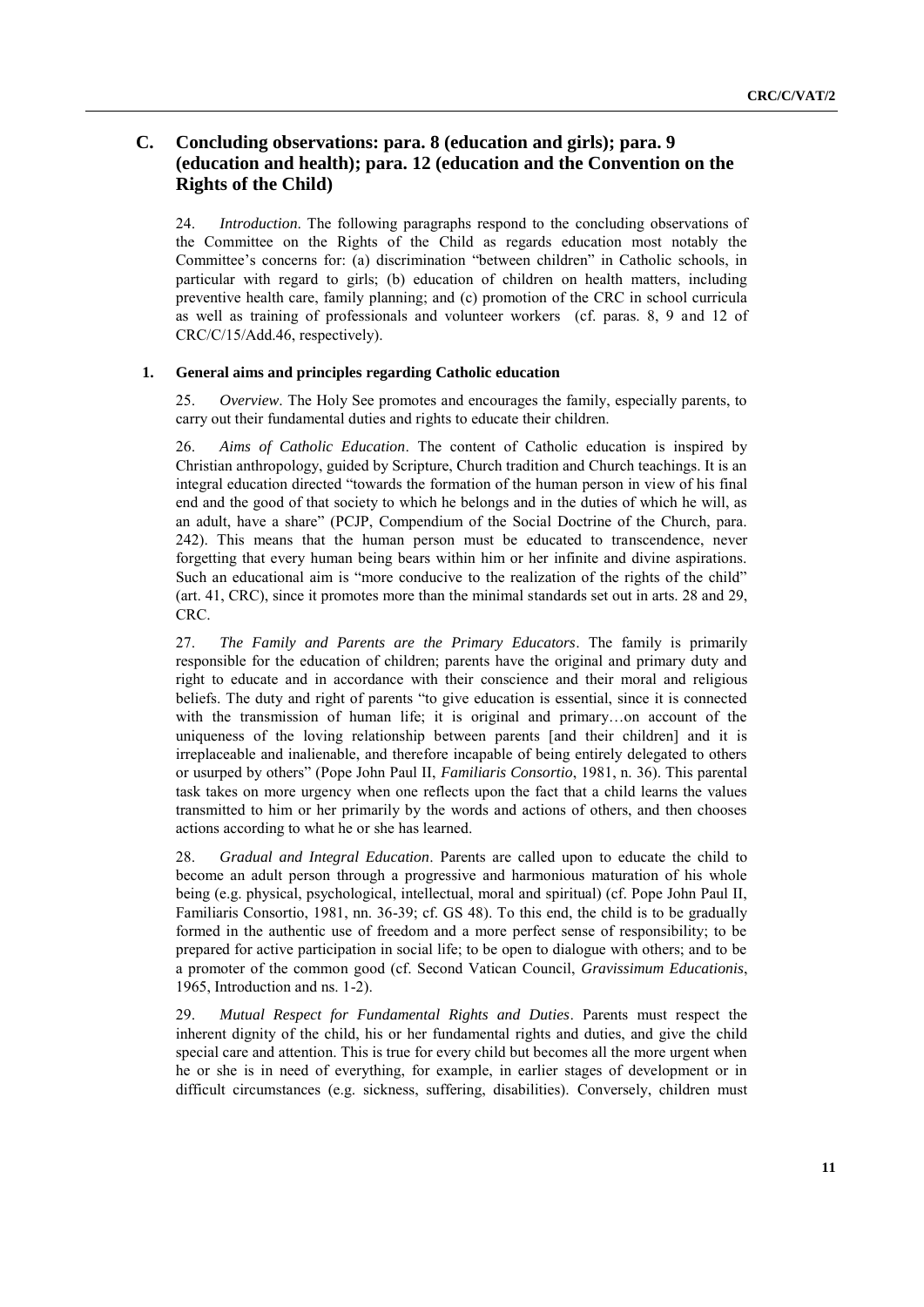## **C. Concluding observations: para. 8 (education and girls); para. 9 (education and health); para. 12 (education and the Convention on the Rights of the Child)**

24. *Introduction*. The following paragraphs respond to the concluding observations of the Committee on the Rights of the Child as regards education most notably the Committee's concerns for: (a) discrimination "between children" in Catholic schools, in particular with regard to girls; (b) education of children on health matters, including preventive health care, family planning; and (c) promotion of the CRC in school curricula as well as training of professionals and volunteer workers (cf. paras. 8, 9 and 12 of CRC/C/15/Add.46, respectively).

### **1. General aims and principles regarding Catholic education**

25. *Overview*. The Holy See promotes and encourages the family, especially parents, to carry out their fundamental duties and rights to educate their children.

26. *Aims of Catholic Education*. The content of Catholic education is inspired by Christian anthropology, guided by Scripture, Church tradition and Church teachings. It is an integral education directed "towards the formation of the human person in view of his final end and the good of that society to which he belongs and in the duties of which he will, as an adult, have a share" (PCJP, Compendium of the Social Doctrine of the Church, para. 242). This means that the human person must be educated to transcendence, never forgetting that every human being bears within him or her infinite and divine aspirations. Such an educational aim is "more conducive to the realization of the rights of the child" (art. 41, CRC), since it promotes more than the minimal standards set out in arts. 28 and 29, CRC.

27. *The Family and Parents are the Primary Educators*. The family is primarily responsible for the education of children; parents have the original and primary duty and right to educate and in accordance with their conscience and their moral and religious beliefs. The duty and right of parents "to give education is essential, since it is connected with the transmission of human life; it is original and primary...on account of the uniqueness of the loving relationship between parents [and their children] and it is irreplaceable and inalienable, and therefore incapable of being entirely delegated to others or usurped by others‖ (Pope John Paul II, *Familiaris Consortio*, 1981, n. 36). This parental task takes on more urgency when one reflects upon the fact that a child learns the values transmitted to him or her primarily by the words and actions of others, and then chooses actions according to what he or she has learned.

28. *Gradual and Integral Education*. Parents are called upon to educate the child to become an adult person through a progressive and harmonious maturation of his whole being (e.g. physical, psychological, intellectual, moral and spiritual) (cf. Pope John Paul II, Familiaris Consortio, 1981, nn. 36-39; cf. GS 48). To this end, the child is to be gradually formed in the authentic use of freedom and a more perfect sense of responsibility; to be prepared for active participation in social life; to be open to dialogue with others; and to be a promoter of the common good (cf. Second Vatican Council, *Gravissimum Educationis*, 1965, Introduction and ns. 1-2).

29. *Mutual Respect for Fundamental Rights and Duties*. Parents must respect the inherent dignity of the child, his or her fundamental rights and duties, and give the child special care and attention. This is true for every child but becomes all the more urgent when he or she is in need of everything, for example, in earlier stages of development or in difficult circumstances (e.g. sickness, suffering, disabilities). Conversely, children must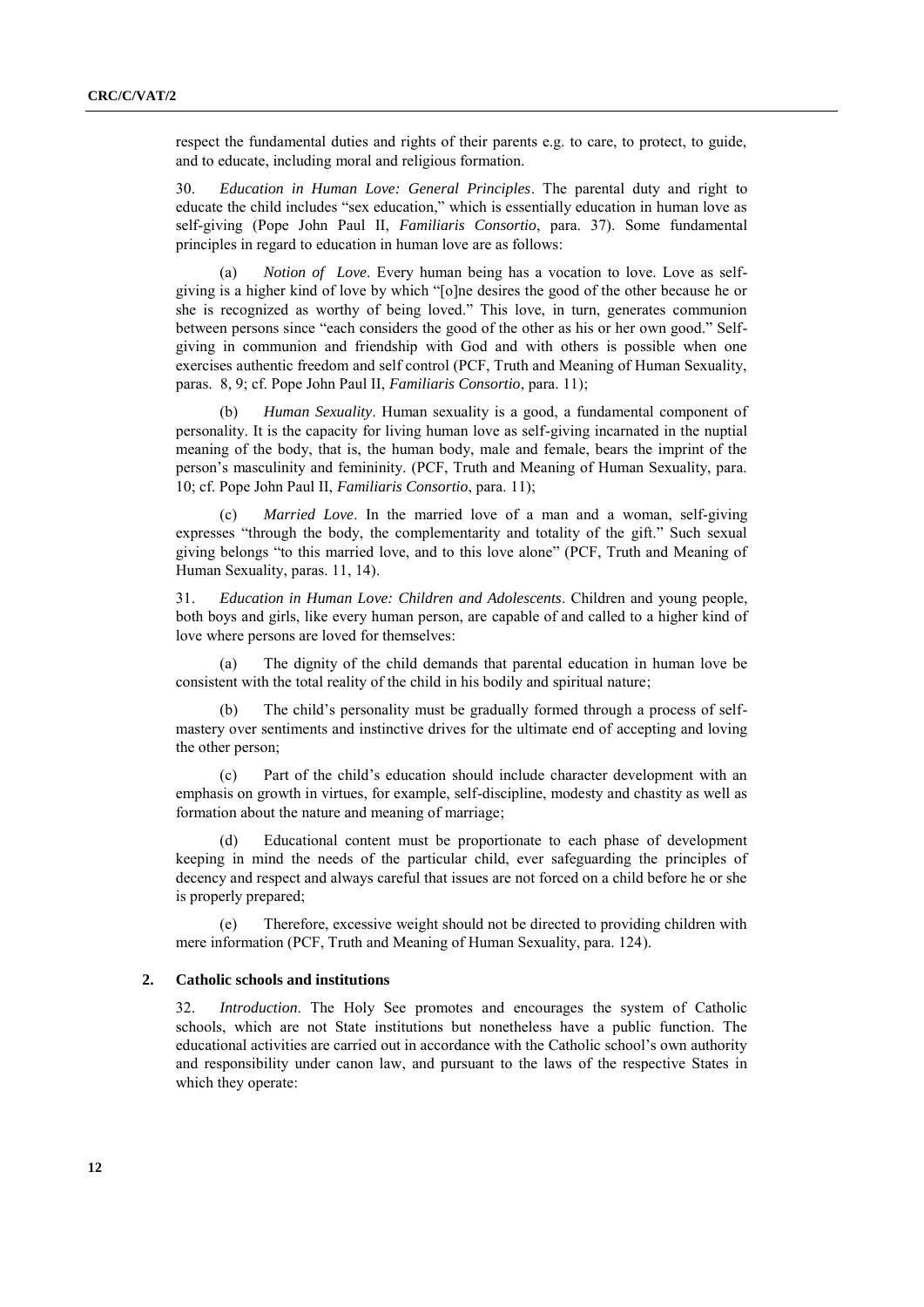respect the fundamental duties and rights of their parents e.g. to care, to protect, to guide, and to educate, including moral and religious formation.

30. *Education in Human Love: General Principles*. The parental duty and right to educate the child includes "sex education," which is essentially education in human love as self-giving (Pope John Paul II, *Familiaris Consortio*, para. 37). Some fundamental principles in regard to education in human love are as follows:

(a) *Notion of Love*. Every human being has a vocation to love. Love as selfgiving is a higher kind of love by which "[o]ne desires the good of the other because he or she is recognized as worthy of being loved." This love, in turn, generates communion between persons since "each considers the good of the other as his or her own good." Selfgiving in communion and friendship with God and with others is possible when one exercises authentic freedom and self control (PCF, Truth and Meaning of Human Sexuality, paras. 8, 9; cf. Pope John Paul II, *Familiaris Consortio*, para. 11);

(b) *Human Sexuality*. Human sexuality is a good, a fundamental component of personality. It is the capacity for living human love as self-giving incarnated in the nuptial meaning of the body, that is, the human body, male and female, bears the imprint of the person's masculinity and femininity. (PCF, Truth and Meaning of Human Sexuality, para. 10; cf. Pope John Paul II, *Familiaris Consortio*, para. 11);

(c) *Married Love*. In the married love of a man and a woman, self-giving expresses "through the body, the complementarity and totality of the gift." Such sexual giving belongs "to this married love, and to this love alone" (PCF, Truth and Meaning of Human Sexuality, paras. 11, 14).

31. *Education in Human Love: Children and Adolescents*. Children and young people, both boys and girls, like every human person, are capable of and called to a higher kind of love where persons are loved for themselves:

(a) The dignity of the child demands that parental education in human love be consistent with the total reality of the child in his bodily and spiritual nature;

The child's personality must be gradually formed through a process of selfmastery over sentiments and instinctive drives for the ultimate end of accepting and loving the other person;

(c) Part of the child's education should include character development with an emphasis on growth in virtues, for example, self-discipline, modesty and chastity as well as formation about the nature and meaning of marriage;

(d) Educational content must be proportionate to each phase of development keeping in mind the needs of the particular child, ever safeguarding the principles of decency and respect and always careful that issues are not forced on a child before he or she is properly prepared;

(e) Therefore, excessive weight should not be directed to providing children with mere information (PCF, Truth and Meaning of Human Sexuality, para. 124).

#### **2. Catholic schools and institutions**

32. *Introduction*. The Holy See promotes and encourages the system of Catholic schools, which are not State institutions but nonetheless have a public function. The educational activities are carried out in accordance with the Catholic school's own authority and responsibility under canon law, and pursuant to the laws of the respective States in which they operate: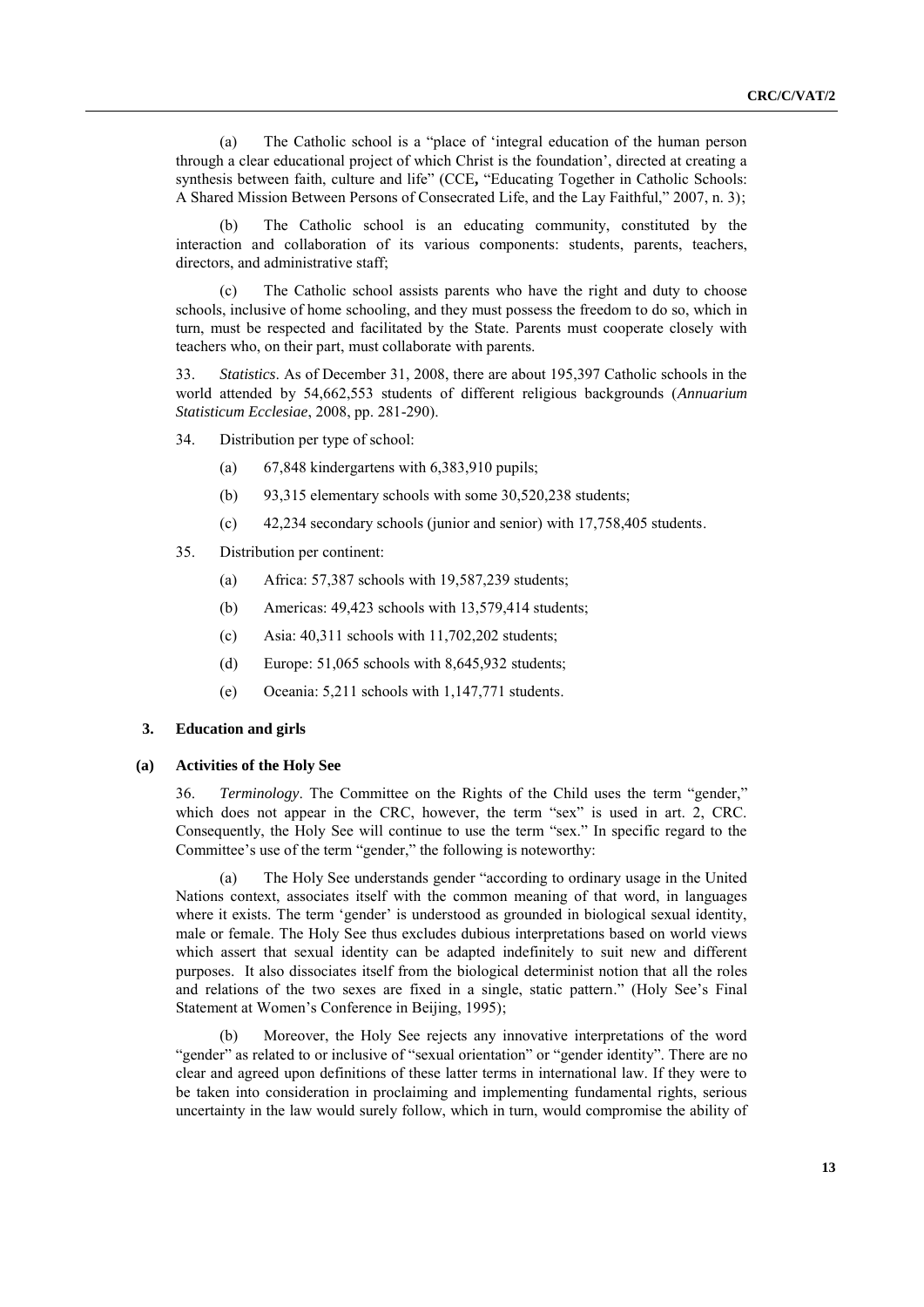(a) The Catholic school is a "place of 'integral education of the human person through a clear educational project of which Christ is the foundation', directed at creating a synthesis between faith, culture and life" (CCE, "Educating Together in Catholic Schools: A Shared Mission Between Persons of Consecrated Life, and the Lay Faithful," 2007, n. 3);

(b) The Catholic school is an educating community, constituted by the interaction and collaboration of its various components: students, parents, teachers, directors, and administrative staff;

The Catholic school assists parents who have the right and duty to choose schools, inclusive of home schooling, and they must possess the freedom to do so, which in turn, must be respected and facilitated by the State. Parents must cooperate closely with teachers who, on their part, must collaborate with parents.

33. *Statistics*. As of December 31, 2008, there are about 195,397 Catholic schools in the world attended by 54,662,553 students of different religious backgrounds (*Annuarium Statisticum Ecclesiae*, 2008, pp. 281-290).

- 34. Distribution per type of school:
	- (a) 67,848 kindergartens with 6,383,910 pupils;
	- (b) 93,315 elementary schools with some 30,520,238 students;
	- (c) 42,234 secondary schools (junior and senior) with 17,758,405 students.
- 35. Distribution per continent:
	- (a) Africa: 57,387 schools with 19,587,239 students;
	- (b) Americas: 49,423 schools with 13,579,414 students;
	- (c) Asia:  $40,311$  schools with  $11,702,202$  students;
	- (d) Europe: 51,065 schools with 8,645,932 students;
	- (e) Oceania: 5,211 schools with 1,147,771 students.

#### **3. Education and girls**

#### **(a) Activities of the Holy See**

36. *Terminology*. The Committee on the Rights of the Child uses the term "gender," which does not appear in the CRC, however, the term "sex" is used in art. 2, CRC. Consequently, the Holy See will continue to use the term "sex." In specific regard to the Committee's use of the term "gender," the following is noteworthy:

(a) The Holy See understands gender "according to ordinary usage in the United Nations context, associates itself with the common meaning of that word, in languages where it exists. The term 'gender' is understood as grounded in biological sexual identity, male or female. The Holy See thus excludes dubious interpretations based on world views which assert that sexual identity can be adapted indefinitely to suit new and different purposes. It also dissociates itself from the biological determinist notion that all the roles and relations of the two sexes are fixed in a single, static pattern." (Holy See's Final Statement at Women's Conference in Beijing, 1995);

(b) Moreover, the Holy See rejects any innovative interpretations of the word "gender" as related to or inclusive of "sexual orientation" or "gender identity". There are no clear and agreed upon definitions of these latter terms in international law. If they were to be taken into consideration in proclaiming and implementing fundamental rights, serious uncertainty in the law would surely follow, which in turn, would compromise the ability of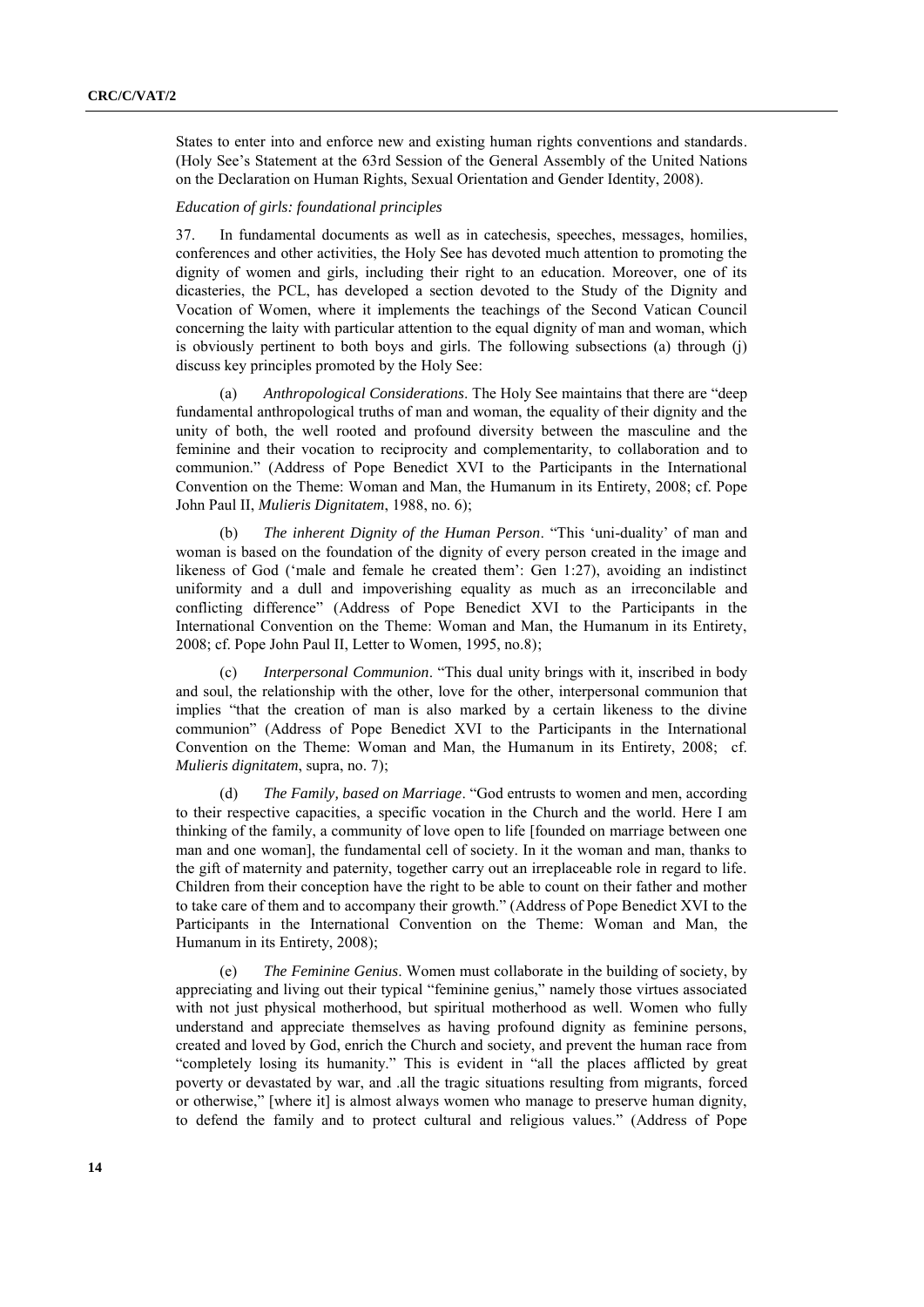States to enter into and enforce new and existing human rights conventions and standards. (Holy See's Statement at the 63rd Session of the General Assembly of the United Nations on the Declaration on Human Rights, Sexual Orientation and Gender Identity, 2008).

#### *Education of girls: foundational principles*

37. In fundamental documents as well as in catechesis, speeches, messages, homilies, conferences and other activities, the Holy See has devoted much attention to promoting the dignity of women and girls, including their right to an education. Moreover, one of its dicasteries, the PCL, has developed a section devoted to the Study of the Dignity and Vocation of Women, where it implements the teachings of the Second Vatican Council concerning the laity with particular attention to the equal dignity of man and woman, which is obviously pertinent to both boys and girls. The following subsections (a) through (j) discuss key principles promoted by the Holy See:

(a) *Anthropological Considerations*. The Holy See maintains that there are "deep fundamental anthropological truths of man and woman, the equality of their dignity and the unity of both, the well rooted and profound diversity between the masculine and the feminine and their vocation to reciprocity and complementarity, to collaboration and to communion." (Address of Pope Benedict XVI to the Participants in the International Convention on the Theme: Woman and Man, the Humanum in its Entirety, 2008; cf. Pope John Paul II, *Mulieris Dignitatem*, 1988, no. 6);

(b) *The inherent Dignity of the Human Person*. "This 'uni-duality' of man and woman is based on the foundation of the dignity of every person created in the image and likeness of God ('male and female he created them': Gen 1:27), avoiding an indistinct uniformity and a dull and impoverishing equality as much as an irreconcilable and conflicting difference" (Address of Pope Benedict XVI to the Participants in the International Convention on the Theme: Woman and Man, the Humanum in its Entirety, 2008; cf. Pope John Paul II, Letter to Women, 1995, no.8);

(c) *Interpersonal Communion*. "This dual unity brings with it, inscribed in body and soul, the relationship with the other, love for the other, interpersonal communion that implies "that the creation of man is also marked by a certain likeness to the divine communion" (Address of Pope Benedict XVI to the Participants in the International Convention on the Theme: Woman and Man, the Humanum in its Entirety, 2008; cf. *Mulieris dignitatem*, supra, no. 7);

(d) *The Family, based on Marriage*. "God entrusts to women and men, according to their respective capacities, a specific vocation in the Church and the world. Here I am thinking of the family, a community of love open to life [founded on marriage between one man and one woman], the fundamental cell of society. In it the woman and man, thanks to the gift of maternity and paternity, together carry out an irreplaceable role in regard to life. Children from their conception have the right to be able to count on their father and mother to take care of them and to accompany their growth." (Address of Pope Benedict XVI to the Participants in the International Convention on the Theme: Woman and Man, the Humanum in its Entirety, 2008);

*The Feminine Genius*. Women must collaborate in the building of society, by appreciating and living out their typical "feminine genius," namely those virtues associated with not just physical motherhood, but spiritual motherhood as well. Women who fully understand and appreciate themselves as having profound dignity as feminine persons, created and loved by God, enrich the Church and society, and prevent the human race from "completely losing its humanity." This is evident in "all the places afflicted by great poverty or devastated by war, and .all the tragic situations resulting from migrants, forced or otherwise," [where it] is almost always women who manage to preserve human dignity, to defend the family and to protect cultural and religious values." (Address of Pope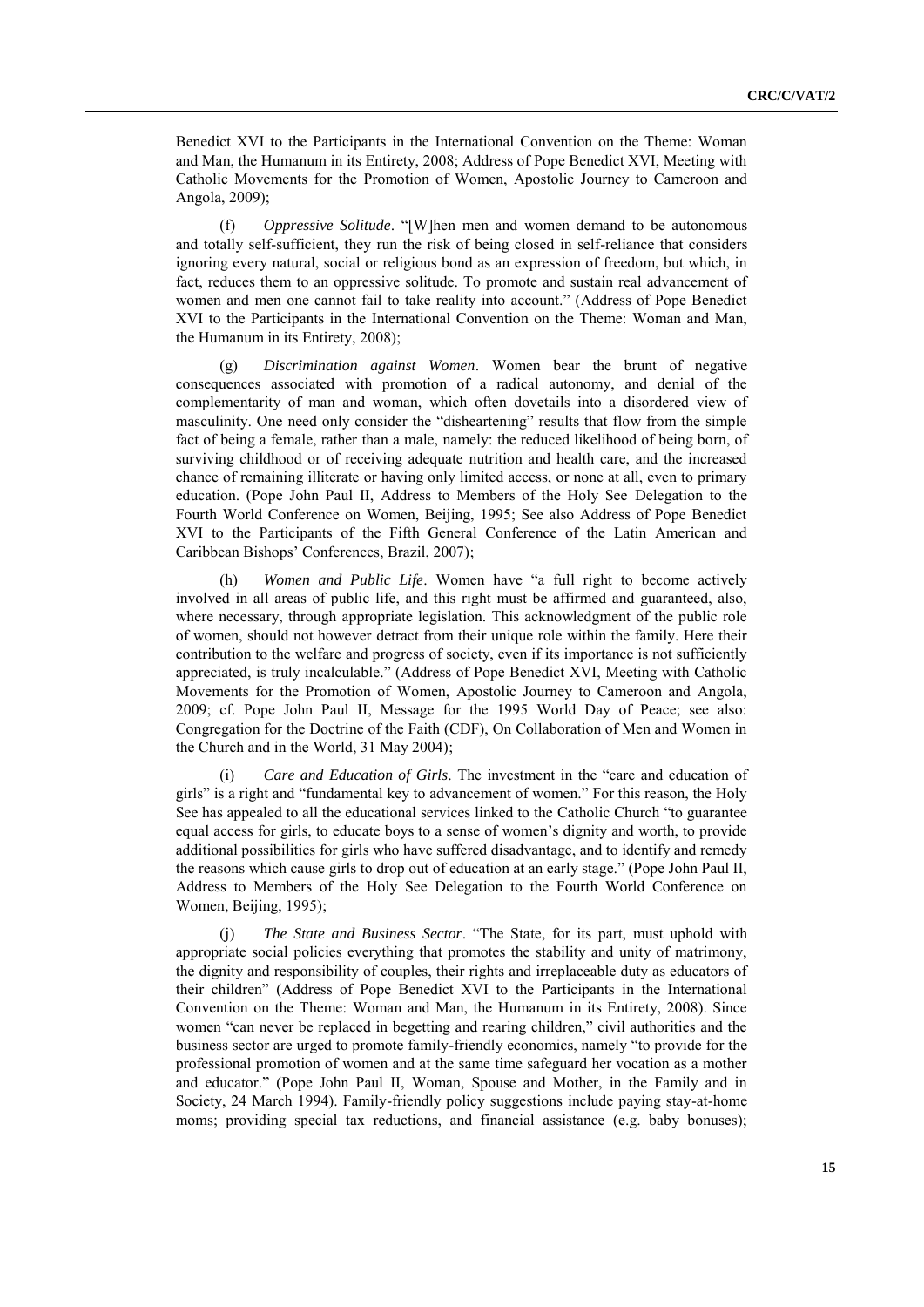Benedict XVI to the Participants in the International Convention on the Theme: Woman and Man, the Humanum in its Entirety, 2008; Address of Pope Benedict XVI, Meeting with Catholic Movements for the Promotion of Women, Apostolic Journey to Cameroon and Angola, 2009);

(f) *Oppressive Solitude*. ―[W]hen men and women demand to be autonomous and totally self-sufficient, they run the risk of being closed in self-reliance that considers ignoring every natural, social or religious bond as an expression of freedom, but which, in fact, reduces them to an oppressive solitude. To promote and sustain real advancement of women and men one cannot fail to take reality into account." (Address of Pope Benedict XVI to the Participants in the International Convention on the Theme: Woman and Man, the Humanum in its Entirety, 2008);

(g) *Discrimination against Women*. Women bear the brunt of negative consequences associated with promotion of a radical autonomy, and denial of the complementarity of man and woman, which often dovetails into a disordered view of masculinity. One need only consider the "disheartening" results that flow from the simple fact of being a female, rather than a male, namely: the reduced likelihood of being born, of surviving childhood or of receiving adequate nutrition and health care, and the increased chance of remaining illiterate or having only limited access, or none at all, even to primary education. (Pope John Paul II, Address to Members of the Holy See Delegation to the Fourth World Conference on Women, Beijing, 1995; See also Address of Pope Benedict XVI to the Participants of the Fifth General Conference of the Latin American and Caribbean Bishops' Conferences, Brazil, 2007);

(h) *Women and Public Life*. Women have "a full right to become actively involved in all areas of public life, and this right must be affirmed and guaranteed, also, where necessary, through appropriate legislation. This acknowledgment of the public role of women, should not however detract from their unique role within the family. Here their contribution to the welfare and progress of society, even if its importance is not sufficiently appreciated, is truly incalculable." (Address of Pope Benedict XVI, Meeting with Catholic Movements for the Promotion of Women, Apostolic Journey to Cameroon and Angola, 2009; cf. Pope John Paul II, Message for the 1995 World Day of Peace; see also: Congregation for the Doctrine of the Faith (CDF), On Collaboration of Men and Women in the Church and in the World, 31 May 2004);

(i) *Care and Education of Girls*. The investment in the "care and education of girls" is a right and "fundamental key to advancement of women." For this reason, the Holy See has appealed to all the educational services linked to the Catholic Church "to guarantee" equal access for girls, to educate boys to a sense of women's dignity and worth, to provide additional possibilities for girls who have suffered disadvantage, and to identify and remedy the reasons which cause girls to drop out of education at an early stage." (Pope John Paul II, Address to Members of the Holy See Delegation to the Fourth World Conference on Women, Beijing, 1995);

(j) *The State and Business Sector*. ―The State, for its part, must uphold with appropriate social policies everything that promotes the stability and unity of matrimony, the dignity and responsibility of couples, their rights and irreplaceable duty as educators of their children‖ (Address of Pope Benedict XVI to the Participants in the International Convention on the Theme: Woman and Man, the Humanum in its Entirety, 2008). Since women "can never be replaced in begetting and rearing children," civil authorities and the business sector are urged to promote family-friendly economics, namely "to provide for the professional promotion of women and at the same time safeguard her vocation as a mother and educator.‖ (Pope John Paul II, Woman, Spouse and Mother, in the Family and in Society, 24 March 1994). Family-friendly policy suggestions include paying stay-at-home moms; providing special tax reductions, and financial assistance (e.g. baby bonuses);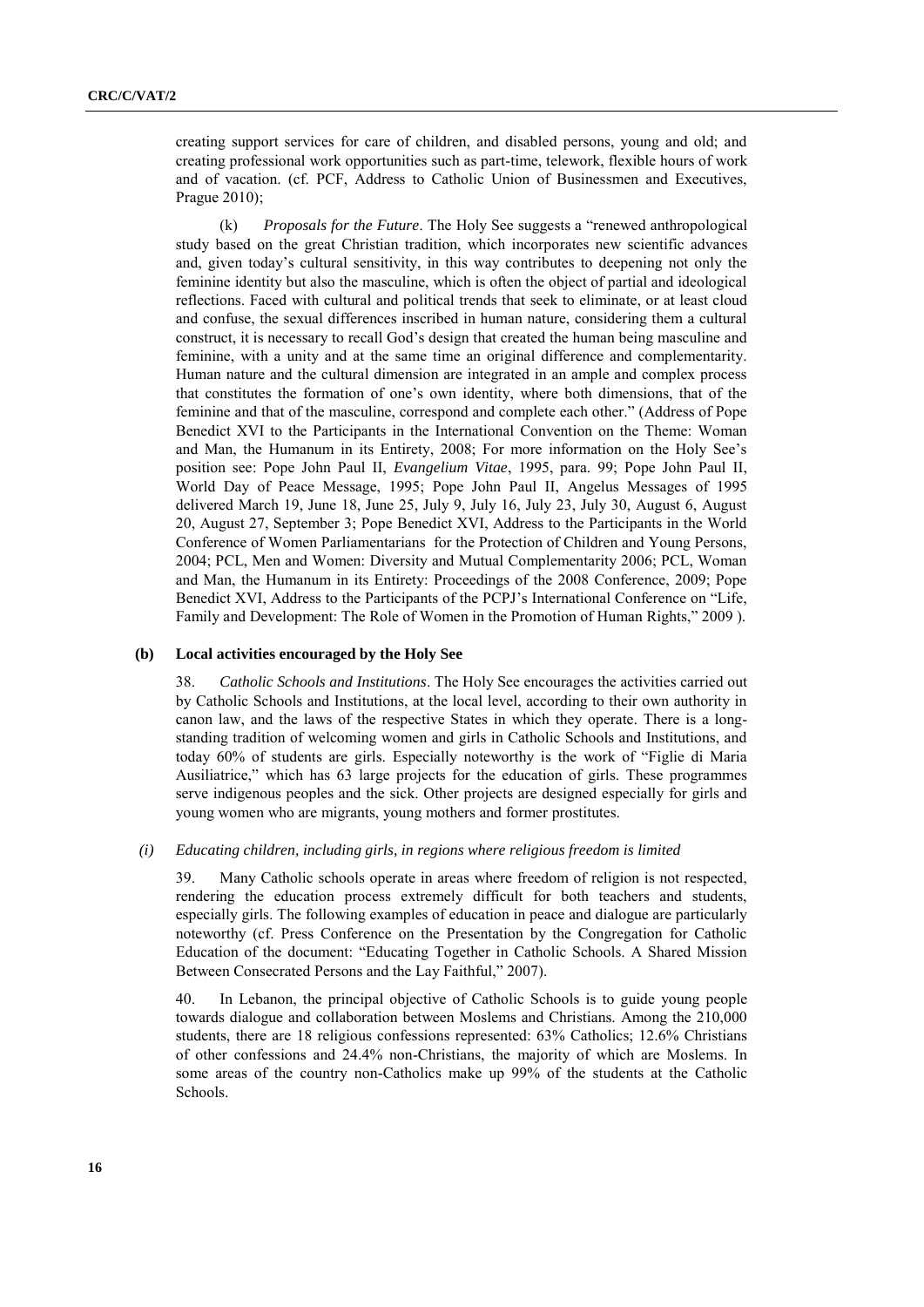creating support services for care of children, and disabled persons, young and old; and creating professional work opportunities such as part-time, telework, flexible hours of work and of vacation. (cf. PCF, Address to Catholic Union of Businessmen and Executives, Prague 2010);

(k) *Proposals for the Future*. The Holy See suggests a "renewed anthropological study based on the great Christian tradition, which incorporates new scientific advances and, given today's cultural sensitivity, in this way contributes to deepening not only the feminine identity but also the masculine, which is often the object of partial and ideological reflections. Faced with cultural and political trends that seek to eliminate, or at least cloud and confuse, the sexual differences inscribed in human nature, considering them a cultural construct, it is necessary to recall God's design that created the human being masculine and feminine, with a unity and at the same time an original difference and complementarity. Human nature and the cultural dimension are integrated in an ample and complex process that constitutes the formation of one's own identity, where both dimensions, that of the feminine and that of the masculine, correspond and complete each other." (Address of Pope Benedict XVI to the Participants in the International Convention on the Theme: Woman and Man, the Humanum in its Entirety, 2008; For more information on the Holy See's position see: Pope John Paul II, *Evangelium Vitae*, 1995, para. 99; Pope John Paul II, World Day of Peace Message, 1995; Pope John Paul II, Angelus Messages of 1995 delivered March 19, June 18, June 25, July 9, July 16, July 23, July 30, August 6, August 20, August 27, September 3; Pope Benedict XVI, Address to the Participants in the World Conference of Women Parliamentarians for the Protection of Children and Young Persons, 2004; PCL, Men and Women: Diversity and Mutual Complementarity 2006; PCL, Woman and Man, the Humanum in its Entirety: Proceedings of the 2008 Conference, 2009; Pope Benedict XVI, Address to the Participants of the PCPJ's International Conference on "Life, Family and Development: The Role of Women in the Promotion of Human Rights," 2009).

#### **(b) Local activities encouraged by the Holy See**

38. *Catholic Schools and Institutions*. The Holy See encourages the activities carried out by Catholic Schools and Institutions, at the local level, according to their own authority in canon law, and the laws of the respective States in which they operate. There is a longstanding tradition of welcoming women and girls in Catholic Schools and Institutions, and today 60% of students are girls. Especially noteworthy is the work of "Figlie di Maria Ausiliatrice," which has 63 large projects for the education of girls. These programmes serve indigenous peoples and the sick. Other projects are designed especially for girls and young women who are migrants, young mothers and former prostitutes.

#### *(i) Educating children, including girls, in regions where religious freedom is limited*

39. Many Catholic schools operate in areas where freedom of religion is not respected, rendering the education process extremely difficult for both teachers and students, especially girls. The following examples of education in peace and dialogue are particularly noteworthy (cf. Press Conference on the Presentation by the Congregation for Catholic Education of the document: "Educating Together in Catholic Schools. A Shared Mission Between Consecrated Persons and the Lay Faithful," 2007).

40. In Lebanon, the principal objective of Catholic Schools is to guide young people towards dialogue and collaboration between Moslems and Christians. Among the 210,000 students, there are 18 religious confessions represented: 63% Catholics; 12.6% Christians of other confessions and 24.4% non-Christians, the majority of which are Moslems. In some areas of the country non-Catholics make up 99% of the students at the Catholic Schools.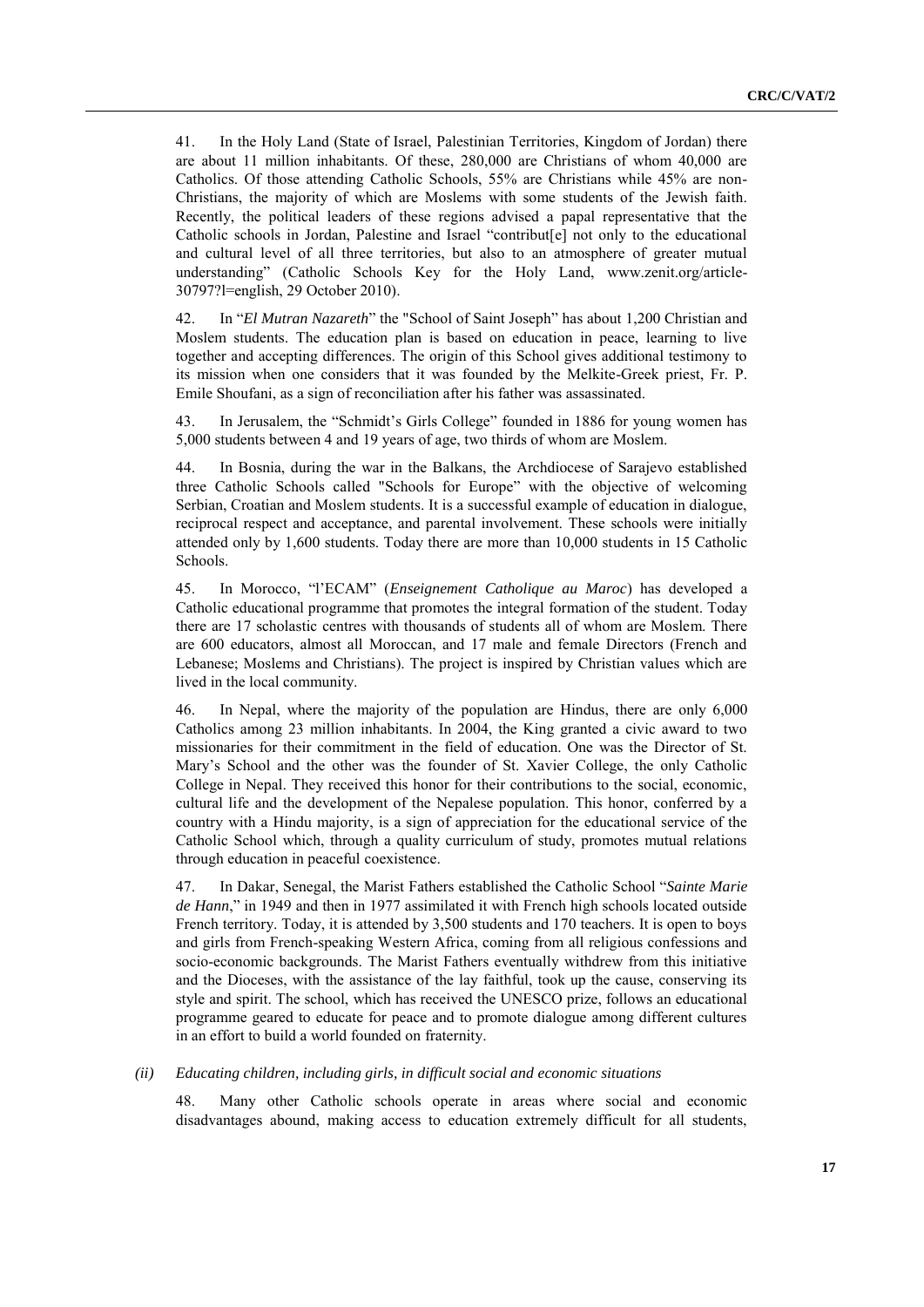41. In the Holy Land (State of Israel, Palestinian Territories, Kingdom of Jordan) there are about 11 million inhabitants. Of these, 280,000 are Christians of whom 40,000 are Catholics. Of those attending Catholic Schools, 55% are Christians while 45% are non-Christians, the majority of which are Moslems with some students of the Jewish faith. Recently, the political leaders of these regions advised a papal representative that the Catholic schools in Jordan, Palestine and Israel "contribut[e] not only to the educational and cultural level of all three territories, but also to an atmosphere of greater mutual understanding" (Catholic Schools Key for the Holy Land, [www.zenit.org/article-](http://www.zenit.org/article-30797?l=english)[30797?l=english,](http://www.zenit.org/article-30797?l=english) 29 October 2010).

42. In "*El Mutran Nazareth*" the "School of Saint Joseph" has about 1,200 Christian and Moslem students. The education plan is based on education in peace, learning to live together and accepting differences. The origin of this School gives additional testimony to its mission when one considers that it was founded by the Melkite-Greek priest, Fr. P. Emile Shoufani, as a sign of reconciliation after his father was assassinated.

43. In Jerusalem, the "Schmidt's Girls College" founded in 1886 for young women has 5,000 students between 4 and 19 years of age, two thirds of whom are Moslem.

44. In Bosnia, during the war in the Balkans, the Archdiocese of Sarajevo established three Catholic Schools called "Schools for Europe" with the objective of welcoming Serbian, Croatian and Moslem students. It is a successful example of education in dialogue, reciprocal respect and acceptance, and parental involvement. These schools were initially attended only by 1,600 students. Today there are more than 10,000 students in 15 Catholic Schools.

45. In Morocco, ―l'ECAM‖ (*Enseignement Catholique au Maroc*) has developed a Catholic educational programme that promotes the integral formation of the student. Today there are 17 scholastic centres with thousands of students all of whom are Moslem. There are 600 educators, almost all Moroccan, and 17 male and female Directors (French and Lebanese; Moslems and Christians). The project is inspired by Christian values which are lived in the local community.

46. In Nepal, where the majority of the population are Hindus, there are only 6,000 Catholics among 23 million inhabitants. In 2004, the King granted a civic award to two missionaries for their commitment in the field of education. One was the Director of St. Mary's School and the other was the founder of St. Xavier College, the only Catholic College in Nepal. They received this honor for their contributions to the social, economic, cultural life and the development of the Nepalese population. This honor, conferred by a country with a Hindu majority, is a sign of appreciation for the educational service of the Catholic School which, through a quality curriculum of study, promotes mutual relations through education in peaceful coexistence.

47. In Dakar, Senegal, the Marist Fathers established the Catholic School "Sainte Marie de Hann," in 1949 and then in 1977 assimilated it with French high schools located outside French territory. Today, it is attended by 3,500 students and 170 teachers. It is open to boys and girls from French-speaking Western Africa, coming from all religious confessions and socio-economic backgrounds. The Marist Fathers eventually withdrew from this initiative and the Dioceses, with the assistance of the lay faithful, took up the cause, conserving its style and spirit. The school, which has received the UNESCO prize, follows an educational programme geared to educate for peace and to promote dialogue among different cultures in an effort to build a world founded on fraternity.

#### *(ii) Educating children, including girls, in difficult social and economic situations*

48. Many other Catholic schools operate in areas where social and economic disadvantages abound, making access to education extremely difficult for all students,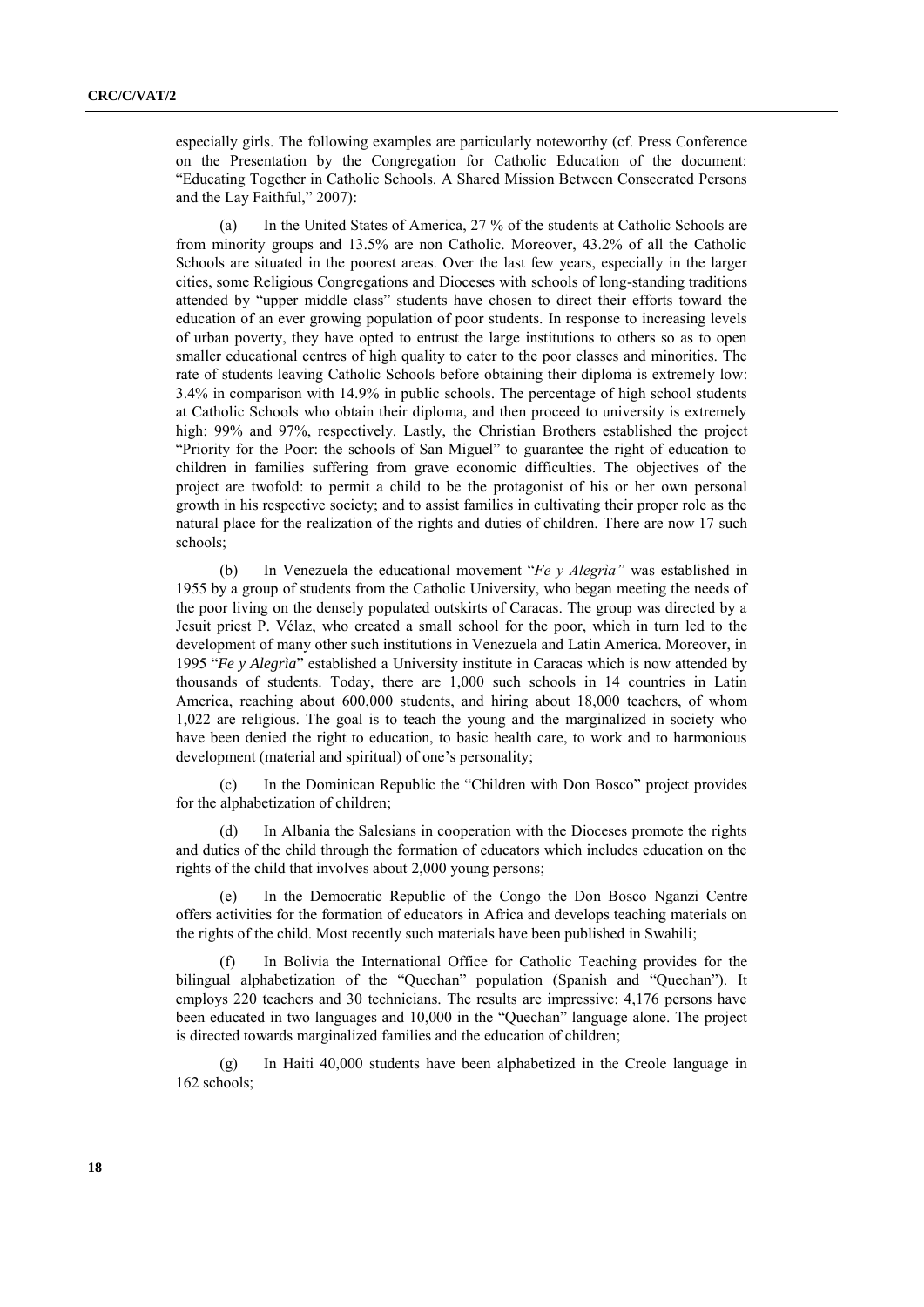especially girls. The following examples are particularly noteworthy (cf. Press Conference on the Presentation by the Congregation for Catholic Education of the document: ―Educating Together in Catholic Schools. A Shared Mission Between Consecrated Persons and the Lay Faithful," 2007):

(a) In the United States of America, 27 % of the students at Catholic Schools are from minority groups and 13.5% are non Catholic. Moreover, 43.2% of all the Catholic Schools are situated in the poorest areas. Over the last few years, especially in the larger cities, some Religious Congregations and Dioceses with schools of long-standing traditions attended by "upper middle class" students have chosen to direct their efforts toward the education of an ever growing population of poor students. In response to increasing levels of urban poverty, they have opted to entrust the large institutions to others so as to open smaller educational centres of high quality to cater to the poor classes and minorities. The rate of students leaving Catholic Schools before obtaining their diploma is extremely low: 3.4% in comparison with 14.9% in public schools. The percentage of high school students at Catholic Schools who obtain their diploma, and then proceed to university is extremely high: 99% and 97%, respectively. Lastly, the Christian Brothers established the project ―Priority for the Poor: the schools of San Miguel‖ to guarantee the right of education to children in families suffering from grave economic difficulties. The objectives of the project are twofold: to permit a child to be the protagonist of his or her own personal growth in his respective society; and to assist families in cultivating their proper role as the natural place for the realization of the rights and duties of children. There are now 17 such schools;

(b) In Venezuela the educational movement "*Fe y Alegria*" was established in 1955 by a group of students from the Catholic University, who began meeting the needs of the poor living on the densely populated outskirts of Caracas. The group was directed by a Jesuit priest P. Vélaz, who created a small school for the poor, which in turn led to the development of many other such institutions in Venezuela and Latin America. Moreover, in 1995 "Fe y Alegria" established a University institute in Caracas which is now attended by thousands of students. Today, there are 1,000 such schools in 14 countries in Latin America, reaching about 600,000 students, and hiring about 18,000 teachers, of whom 1,022 are religious. The goal is to teach the young and the marginalized in society who have been denied the right to education, to basic health care, to work and to harmonious development (material and spiritual) of one's personality;

(c) In the Dominican Republic the "Children with Don Bosco" project provides for the alphabetization of children;

In Albania the Salesians in cooperation with the Dioceses promote the rights and duties of the child through the formation of educators which includes education on the rights of the child that involves about 2,000 young persons;

In the Democratic Republic of the Congo the Don Bosco Nganzi Centre offers activities for the formation of educators in Africa and develops teaching materials on the rights of the child. Most recently such materials have been published in Swahili;

In Bolivia the International Office for Catholic Teaching provides for the bilingual alphabetization of the "Quechan" population (Spanish and "Quechan"). It employs 220 teachers and 30 technicians. The results are impressive: 4,176 persons have been educated in two languages and 10,000 in the "Quechan" language alone. The project is directed towards marginalized families and the education of children;

(g) In Haiti 40,000 students have been alphabetized in the Creole language in 162 schools;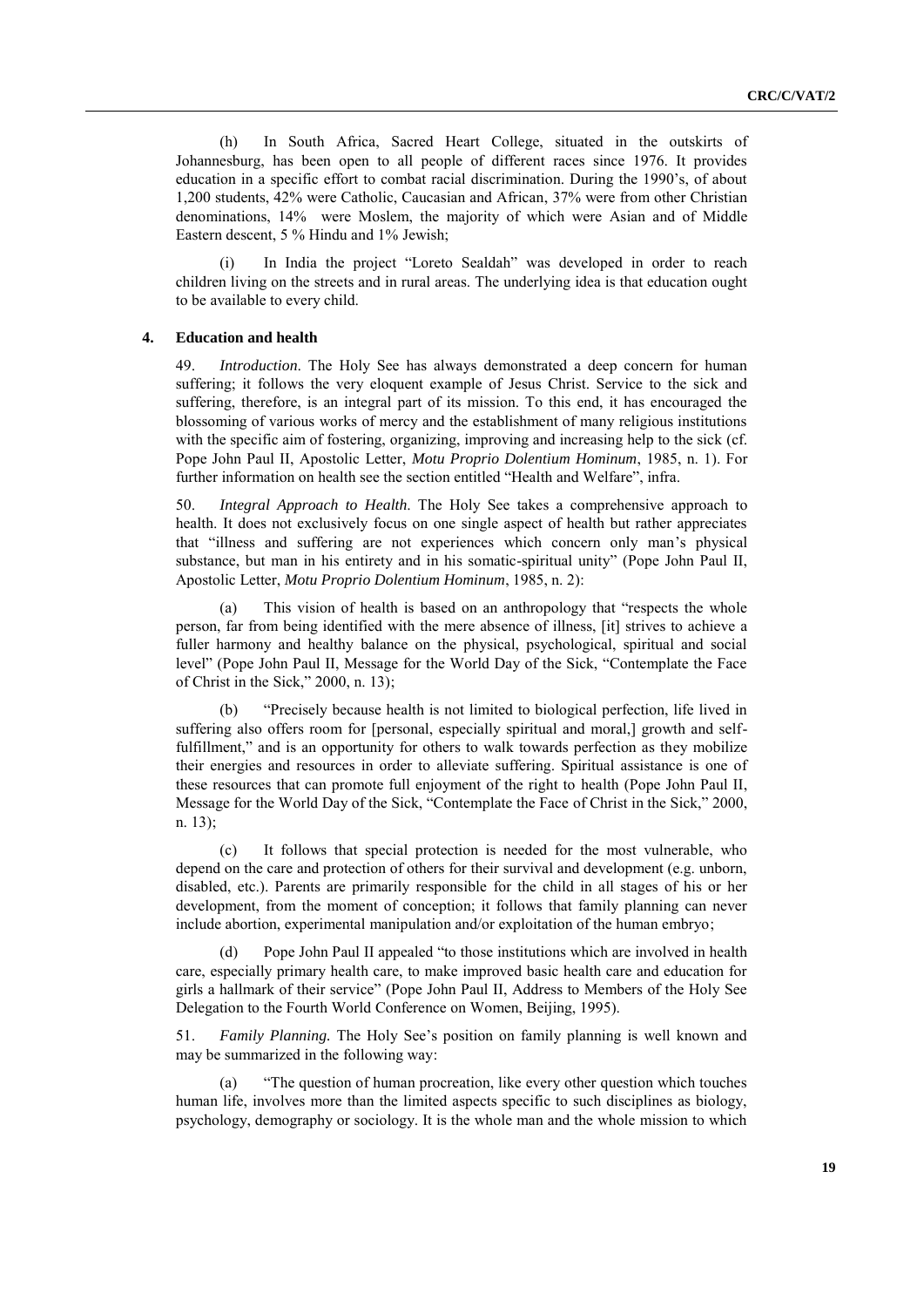(h) In South Africa, Sacred Heart College, situated in the outskirts of Johannesburg, has been open to all people of different races since 1976. It provides education in a specific effort to combat racial discrimination. During the 1990's, of about 1,200 students, 42% were Catholic, Caucasian and African, 37% were from other Christian denominations, 14% were Moslem, the majority of which were Asian and of Middle Eastern descent, 5 % Hindu and 1% Jewish;

(i) In India the project "Loreto Sealdah" was developed in order to reach children living on the streets and in rural areas. The underlying idea is that education ought to be available to every child.

#### **4. Education and health**

49. *Introduction*. The Holy See has always demonstrated a deep concern for human suffering; it follows the very eloquent example of Jesus Christ. Service to the sick and suffering, therefore, is an integral part of its mission. To this end, it has encouraged the blossoming of various works of mercy and the establishment of many religious institutions with the specific aim of fostering, organizing, improving and increasing help to the sick (cf. Pope John Paul II, Apostolic Letter, *Motu Proprio Dolentium Hominum*, 1985, n. 1). For further information on health see the section entitled "Health and Welfare", infra.

50. *Integral Approach to Health*. The Holy See takes a comprehensive approach to health. It does not exclusively focus on one single aspect of health but rather appreciates that "illness and suffering are not experiences which concern only man's physical substance, but man in his entirety and in his somatic-spiritual unity" (Pope John Paul II, Apostolic Letter, *Motu Proprio Dolentium Hominum*, 1985, n. 2):

(a) This vision of health is based on an anthropology that "respects the whole person, far from being identified with the mere absence of illness, [it] strives to achieve a fuller harmony and healthy balance on the physical, psychological, spiritual and social level" (Pope John Paul II, Message for the World Day of the Sick, "Contemplate the Face of Christ in the Sick,"  $2000$ , n. 13);

(b) ―Precisely because health is not limited to biological perfection, life lived in suffering also offers room for [personal, especially spiritual and moral,] growth and selffulfillment," and is an opportunity for others to walk towards perfection as they mobilize their energies and resources in order to alleviate suffering. Spiritual assistance is one of these resources that can promote full enjoyment of the right to health (Pope John Paul II, Message for the World Day of the Sick, "Contemplate the Face of Christ in the Sick," 2000, n. 13);

(c) It follows that special protection is needed for the most vulnerable, who depend on the care and protection of others for their survival and development (e.g. unborn, disabled, etc.). Parents are primarily responsible for the child in all stages of his or her development, from the moment of conception; it follows that family planning can never include abortion, experimental manipulation and/or exploitation of the human embryo;

(d) Pope John Paul II appealed "to those institutions which are involved in health care, especially primary health care, to make improved basic health care and education for girls a hallmark of their service‖ (Pope John Paul II, Address to Members of the Holy See Delegation to the Fourth World Conference on Women, Beijing, 1995).

51. *Family Planning.* The Holy See's position on family planning is well known and may be summarized in the following way:

(a) ―The question of human procreation, like every other question which touches human life, involves more than the limited aspects specific to such disciplines as biology, psychology, demography or sociology. It is the whole man and the whole mission to which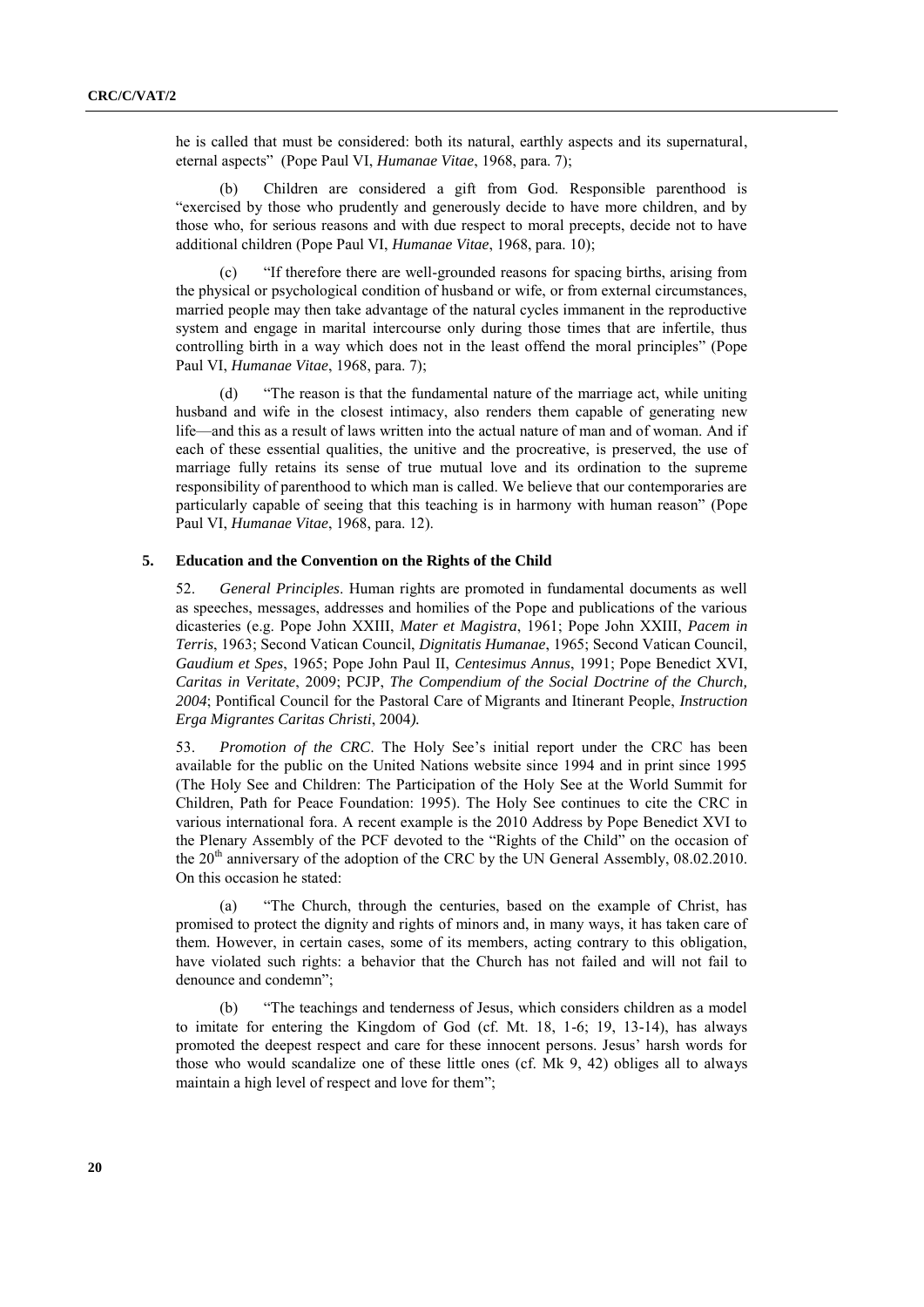he is called that must be considered: both its natural, earthly aspects and its supernatural, eternal aspects‖ (Pope Paul VI, *Humanae Vitae*, 1968, para. 7);

(b) Children are considered a gift from God. Responsible parenthood is "exercised by those who prudently and generously decide to have more children, and by those who, for serious reasons and with due respect to moral precepts, decide not to have additional children (Pope Paul VI, *Humanae Vitae*, 1968, para. 10);

(c) ―If therefore there are well-grounded reasons for spacing births, arising from the physical or psychological condition of husband or wife, or from external circumstances, married people may then take advantage of the natural cycles immanent in the reproductive system and engage in marital intercourse only during those times that are infertile, thus controlling birth in a way which does not in the least offend the moral principles" (Pope Paul VI, *Humanae Vitae*, 1968, para. 7);

(d) ―The reason is that the fundamental nature of the marriage act, while uniting husband and wife in the closest intimacy, also renders them capable of generating new life—and this as a result of laws written into the actual nature of man and of woman. And if each of these essential qualities, the unitive and the procreative, is preserved, the use of marriage fully retains its sense of true mutual love and its ordination to the supreme responsibility of parenthood to which man is called. We believe that our contemporaries are particularly capable of seeing that this teaching is in harmony with human reason" (Pope Paul VI, *Humanae Vitae*, 1968, para. 12).

#### **5. Education and the Convention on the Rights of the Child**

52. *General Principles*. Human rights are promoted in fundamental documents as well as speeches, messages, addresses and homilies of the Pope and publications of the various dicasteries (e.g. Pope John XXIII, *Mater et Magistra*, 1961; Pope John XXIII, *Pacem in Terris*, 1963; Second Vatican Council, *Dignitatis Humanae*, 1965; Second Vatican Council, *Gaudium et Spes*, 1965; Pope John Paul II, *Centesimus Annus*, 1991; Pope Benedict XVI, *Caritas in Veritate*, 2009; PCJP, *The Compendium of the Social Doctrine of the Church, 2004*; Pontifical Council for the Pastoral Care of Migrants and Itinerant People, *Instruction Erga Migrantes Caritas Christi*, 2004*).*

53. *Promotion of the CRC*. The Holy See's initial report under the CRC has been available for the public on the United Nations website since 1994 and in print since 1995 (The Holy See and Children: The Participation of the Holy See at the World Summit for Children, Path for Peace Foundation: 1995). The Holy See continues to cite the CRC in various international fora. A recent example is the 2010 Address by Pope Benedict XVI to the Plenary Assembly of the PCF devoted to the "Rights of the Child" on the occasion of the  $20<sup>th</sup>$  anniversary of the adoption of the CRC by the UN General Assembly, 08.02.2010. On this occasion he stated:

(a) ―The Church, through the centuries, based on the example of Christ, has promised to protect the dignity and rights of minors and, in many ways, it has taken care of them. However, in certain cases, some of its members, acting contrary to this obligation, have violated such rights: a behavior that the Church has not failed and will not fail to denounce and condemn";

(b) ―The teachings and tenderness of Jesus, which considers children as a model to imitate for entering the Kingdom of God (cf. Mt. 18, 1-6; 19, 13-14), has always promoted the deepest respect and care for these innocent persons. Jesus' harsh words for those who would scandalize one of these little ones (cf. Mk 9, 42) obliges all to always maintain a high level of respect and love for them";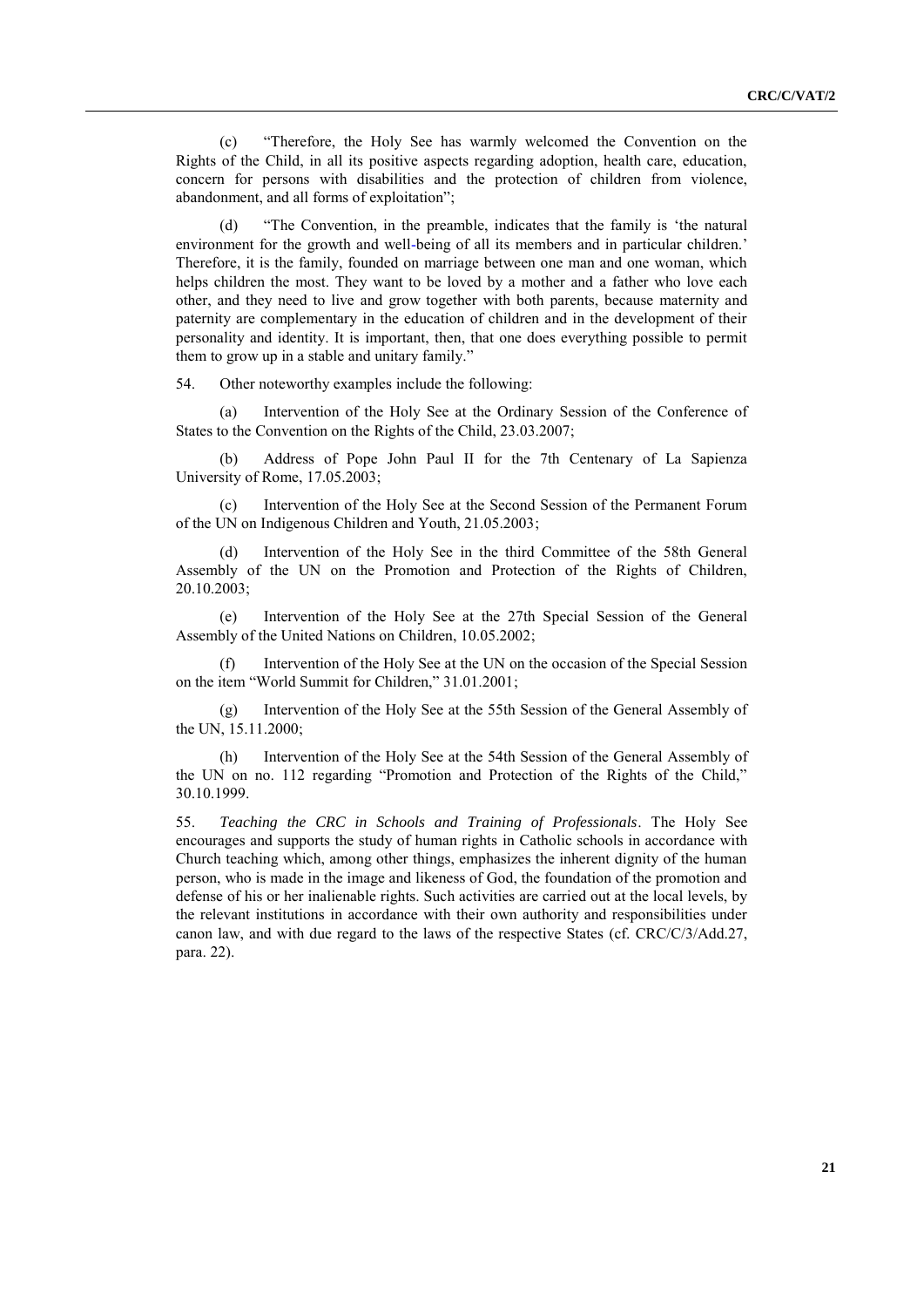(c) ―Therefore, the Holy See has warmly welcomed the Convention on the Rights of the Child, in all its positive aspects regarding adoption, health care, education, concern for persons with disabilities and the protection of children from violence, abandonment, and all forms of exploitation";

(d) "The Convention, in the preamble, indicates that the family is 'the natural environment for the growth and well-being of all its members and in particular children.' Therefore, it is the family, founded on marriage between one man and one woman, which helps children the most. They want to be loved by a mother and a father who love each other, and they need to live and grow together with both parents, because maternity and paternity are complementary in the education of children and in the development of their personality and identity. It is important, then, that one does everything possible to permit them to grow up in a stable and unitary family."

54. Other noteworthy examples include the following:

(a) Intervention of the Holy See at the Ordinary Session of the Conference of States to the Convention on the Rights of the Child, 23.03.2007;

(b) Address of Pope John Paul II for the 7th Centenary of La Sapienza University of Rome, 17.05.2003;

(c) Intervention of the Holy See at the Second Session of the Permanent Forum of the UN on Indigenous Children and Youth, 21.05.2003;

(d) Intervention of the Holy See in the third Committee of the 58th General Assembly of the UN on the Promotion and Protection of the Rights of Children, 20.10.2003;

(e) Intervention of the Holy See at the 27th Special Session of the General Assembly of the United Nations on Children, 10.05.2002;

(f) Intervention of the Holy See at the UN on the occasion of the Special Session on the item "World Summit for Children," 31.01.2001;

(g) Intervention of the Holy See at the 55th Session of the General Assembly of the UN, 15.11.2000;

(h) Intervention of the Holy See at the 54th Session of the General Assembly of the UN on no. 112 regarding "Promotion and Protection of the Rights of the Child," 30.10.1999.

55. *Teaching the CRC in Schools and Training of Professionals*. The Holy See encourages and supports the study of human rights in Catholic schools in accordance with Church teaching which, among other things, emphasizes the inherent dignity of the human person, who is made in the image and likeness of God, the foundation of the promotion and defense of his or her inalienable rights. Such activities are carried out at the local levels, by the relevant institutions in accordance with their own authority and responsibilities under canon law, and with due regard to the laws of the respective States (cf. CRC/C/3/Add.27, para. 22).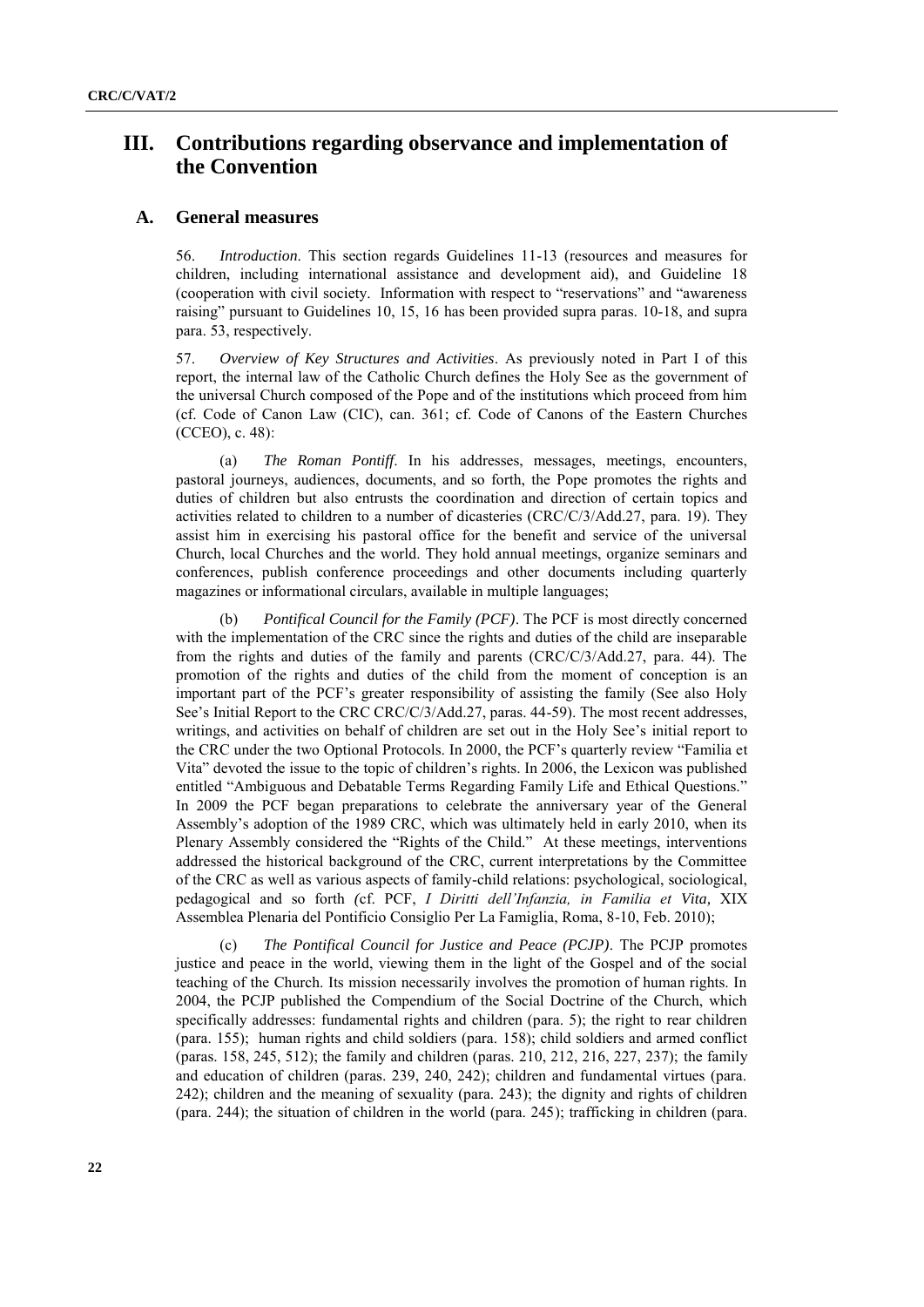# **III. Contributions regarding observance and implementation of the Convention**

#### **A. General measures**

56. *Introduction*. This section regards Guidelines 11-13 (resources and measures for children, including international assistance and development aid), and Guideline 18 (cooperation with civil society. Information with respect to "reservations" and "awareness" raising" pursuant to Guidelines 10, 15, 16 has been provided supra paras. 10-18, and supra para. 53, respectively.

57. *Overview of Key Structures and Activities*. As previously noted in Part I of this report, the internal law of the Catholic Church defines the Holy See as the government of the universal Church composed of the Pope and of the institutions which proceed from him (cf. Code of Canon Law (CIC), can. 361; cf. Code of Canons of the Eastern Churches (CCEO), c. 48):

(a) *The Roman Pontiff*. In his addresses, messages, meetings, encounters, pastoral journeys, audiences, documents, and so forth, the Pope promotes the rights and duties of children but also entrusts the coordination and direction of certain topics and activities related to children to a number of dicasteries (CRC/C/3/Add.27, para. 19). They assist him in exercising his pastoral office for the benefit and service of the universal Church, local Churches and the world. They hold annual meetings, organize seminars and conferences, publish conference proceedings and other documents including quarterly magazines or informational circulars, available in multiple languages;

(b) *Pontifical Council for the Family (PCF)*. The PCF is most directly concerned with the implementation of the CRC since the rights and duties of the child are inseparable from the rights and duties of the family and parents (CRC/C/3/Add.27, para. 44). The promotion of the rights and duties of the child from the moment of conception is an important part of the PCF's greater responsibility of assisting the family (See also Holy See's Initial Report to the CRC CRC/C/3/Add.27, paras. 44-59). The most recent addresses, writings, and activities on behalf of children are set out in the Holy See's initial report to the CRC under the two Optional Protocols. In 2000, the PCF's quarterly review "Familia et Vita" devoted the issue to the topic of children's rights. In 2006, the Lexicon was published entitled "Ambiguous and Debatable Terms Regarding Family Life and Ethical Questions." In 2009 the PCF began preparations to celebrate the anniversary year of the General Assembly's adoption of the 1989 CRC, which was ultimately held in early 2010, when its Plenary Assembly considered the "Rights of the Child." At these meetings, interventions addressed the historical background of the CRC, current interpretations by the Committee of the CRC as well as various aspects of family-child relations: psychological, sociological, pedagogical and so forth *(*cf. PCF, *I Diritti dell'Infanzia, in Familia et Vita,* XIX Assemblea Plenaria del Pontificio Consiglio Per La Famiglia, Roma, 8-10, Feb. 2010);

(c) *The Pontifical Council for Justice and Peace (PCJP)*. The PCJP promotes justice and peace in the world, viewing them in the light of the Gospel and of the social teaching of the Church. Its mission necessarily involves the promotion of human rights. In 2004, the PCJP published the Compendium of the Social Doctrine of the Church, which specifically addresses: fundamental rights and children (para. 5); the right to rear children (para. 155); human rights and child soldiers (para. 158); child soldiers and armed conflict (paras. 158, 245, 512); the family and children (paras. 210, 212, 216, 227, 237); the family and education of children (paras. 239, 240, 242); children and fundamental virtues (para. 242); children and the meaning of sexuality (para. 243); the dignity and rights of children (para. 244); the situation of children in the world (para. 245); trafficking in children (para.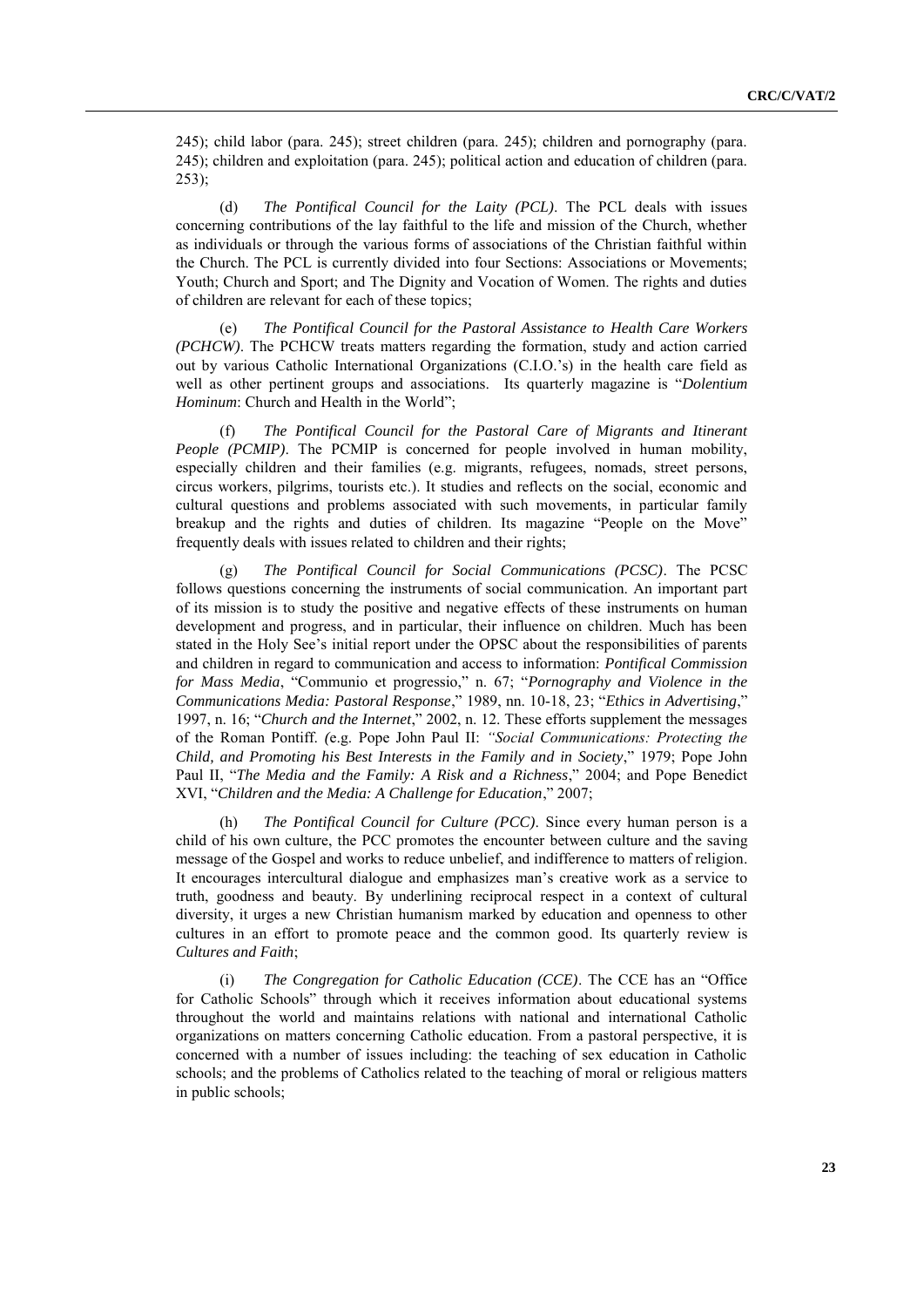245); child labor (para. 245); street children (para. 245); children and pornography (para. 245); children and exploitation (para. 245); political action and education of children (para. 253);

(d) *The Pontifical Council for the Laity (PCL)*. The PCL deals with issues concerning contributions of the lay faithful to the life and mission of the Church, whether as individuals or through the various forms of associations of the Christian faithful within the Church. The PCL is currently divided into four Sections: Associations or Movements; Youth; Church and Sport; and The Dignity and Vocation of Women. The rights and duties of children are relevant for each of these topics;

(e) *The Pontifical Council for the Pastoral Assistance to Health Care Workers (PCHCW)*. The PCHCW treats matters regarding the formation, study and action carried out by various Catholic International Organizations (C.I.O.'s) in the health care field as well as other pertinent groups and associations. Its quarterly magazine is "*Dolentium Hominum*: Church and Health in the World":

(f) *The Pontifical Council for the Pastoral Care of Migrants and Itinerant People (PCMIP)*. The PCMIP is concerned for people involved in human mobility, especially children and their families (e.g. migrants, refugees, nomads, street persons, circus workers, pilgrims, tourists etc.). It studies and reflects on the social, economic and cultural questions and problems associated with such movements, in particular family breakup and the rights and duties of children. Its magazine "People on the Move" frequently deals with issues related to children and their rights;

(g) *The Pontifical Council for Social Communications (PCSC)*. The PCSC follows questions concerning the instruments of social communication. An important part of its mission is to study the positive and negative effects of these instruments on human development and progress, and in particular, their influence on children. Much has been stated in the Holy See's initial report under the OPSC about the responsibilities of parents and children in regard to communication and access to information: *Pontifical Commission for Mass Media*, "Communio et progressio," n. 67; "Pornography and Violence in the *Communications Media: Pastoral Response*," 1989, nn. 10-18, 23; "*Ethics in Advertising*," 1997, n. 16; "Church and the Internet," 2002, n. 12. These efforts supplement the messages of the Roman Pontiff. *(*e.g. Pope John Paul II: *"Social Communications: Protecting the Child, and Promoting his Best Interests in the Family and in Society*," 1979; Pope John Paul II, "The Media and the Family: A Risk and a Richness," 2004; and Pope Benedict XVI, "Children and the Media: A Challenge for Education," 2007;

(h) *The Pontifical Council for Culture (PCC)*. Since every human person is a child of his own culture, the PCC promotes the encounter between culture and the saving message of the Gospel and works to reduce unbelief, and indifference to matters of religion. It encourages intercultural dialogue and emphasizes man's creative work as a service to truth, goodness and beauty. By underlining reciprocal respect in a context of cultural diversity, it urges a new Christian humanism marked by education and openness to other cultures in an effort to promote peace and the common good. Its quarterly review is *Cultures and Faith*;

(i) *The Congregation for Catholic Education (CCE)*. The CCE has an "Office for Catholic Schools" through which it receives information about educational systems throughout the world and maintains relations with national and international Catholic organizations on matters concerning Catholic education. From a pastoral perspective, it is concerned with a number of issues including: the teaching of sex education in Catholic schools; and the problems of Catholics related to the teaching of moral or religious matters in public schools;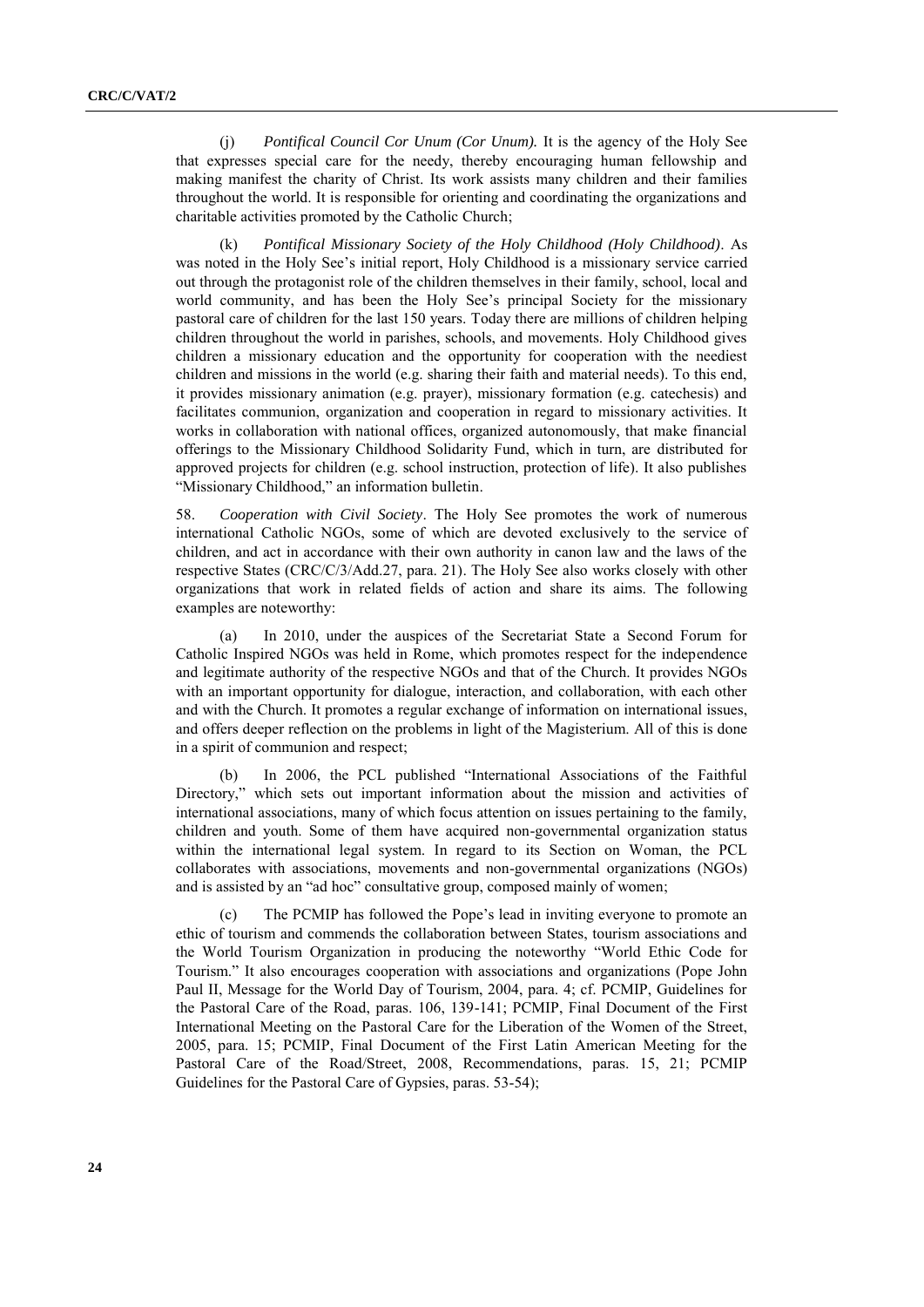(j) *Pontifical Council Cor Unum (Cor Unum).* It is the agency of the Holy See that expresses special care for the needy, thereby encouraging human fellowship and making manifest the charity of Christ. Its work assists many children and their families throughout the world. It is responsible for orienting and coordinating the organizations and charitable activities promoted by the Catholic Church;

(k) *Pontifical Missionary Society of the Holy Childhood (Holy Childhood)*. As was noted in the Holy See's initial report, Holy Childhood is a missionary service carried out through the protagonist role of the children themselves in their family, school, local and world community, and has been the Holy See's principal Society for the missionary pastoral care of children for the last 150 years. Today there are millions of children helping children throughout the world in parishes, schools, and movements. Holy Childhood gives children a missionary education and the opportunity for cooperation with the neediest children and missions in the world (e.g. sharing their faith and material needs). To this end, it provides missionary animation (e.g. prayer), missionary formation (e.g. catechesis) and facilitates communion, organization and cooperation in regard to missionary activities. It works in collaboration with national offices, organized autonomously, that make financial offerings to the Missionary Childhood Solidarity Fund, which in turn, are distributed for approved projects for children (e.g. school instruction, protection of life). It also publishes "Missionary Childhood," an information bulletin.

58. *Cooperation with Civil Society*. The Holy See promotes the work of numerous international Catholic NGOs, some of which are devoted exclusively to the service of children, and act in accordance with their own authority in canon law and the laws of the respective States (CRC/C/3/Add.27, para. 21). The Holy See also works closely with other organizations that work in related fields of action and share its aims. The following examples are noteworthy:

(a) In 2010, under the auspices of the Secretariat State a Second Forum for Catholic Inspired NGOs was held in Rome, which promotes respect for the independence and legitimate authority of the respective NGOs and that of the Church. It provides NGOs with an important opportunity for dialogue, interaction, and collaboration, with each other and with the Church. It promotes a regular exchange of information on international issues, and offers deeper reflection on the problems in light of the Magisterium. All of this is done in a spirit of communion and respect;

(b) In 2006, the PCL published "International Associations of the Faithful Directory," which sets out important information about the mission and activities of international associations, many of which focus attention on issues pertaining to the family, children and youth. Some of them have acquired non-governmental organization status within the international legal system. In regard to its Section on Woman, the PCL collaborates with associations, movements and non-governmental organizations (NGOs) and is assisted by an "ad hoc" consultative group, composed mainly of women;

(c) The PCMIP has followed the Pope's lead in inviting everyone to promote an ethic of tourism and commends the collaboration between States, tourism associations and the World Tourism Organization in producing the noteworthy "World Ethic Code for Tourism.‖ It also encourages cooperation with associations and organizations (Pope John Paul II, Message for the World Day of Tourism, 2004, para. 4; cf. PCMIP, Guidelines for the Pastoral Care of the Road, paras. 106, 139-141; PCMIP, Final Document of the First International Meeting on the Pastoral Care for the Liberation of the Women of the Street, 2005, para. 15; PCMIP, Final Document of the First Latin American Meeting for the Pastoral Care of the Road/Street, 2008, Recommendations, paras. 15, 21; PCMIP Guidelines for the Pastoral Care of Gypsies, paras. 53-54);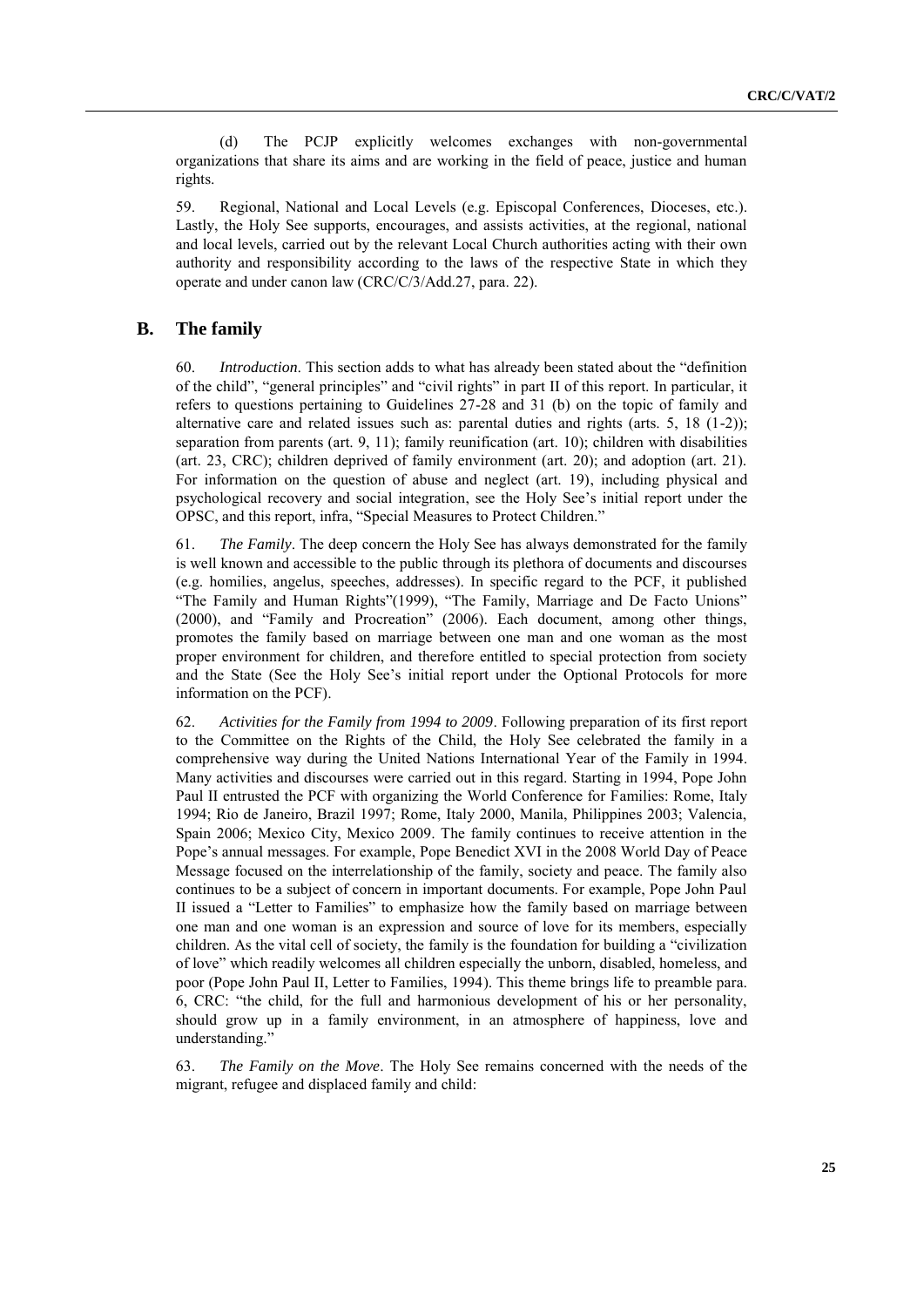(d) The PCJP explicitly welcomes exchanges with non-governmental organizations that share its aims and are working in the field of peace, justice and human rights.

59. Regional, National and Local Levels (e.g. Episcopal Conferences, Dioceses, etc.). Lastly, the Holy See supports, encourages, and assists activities, at the regional, national and local levels, carried out by the relevant Local Church authorities acting with their own authority and responsibility according to the laws of the respective State in which they operate and under canon law (CRC/C/3/Add.27, para. 22).

#### **B. The family**

60. *Introduction*. This section adds to what has already been stated about the "definition" of the child", "general principles" and "civil rights" in part II of this report. In particular, it refers to questions pertaining to Guidelines 27-28 and 31 (b) on the topic of family and alternative care and related issues such as: parental duties and rights (arts. 5, 18 (1-2)); separation from parents (art. 9, 11); family reunification (art. 10); children with disabilities (art. 23, CRC); children deprived of family environment (art. 20); and adoption (art. 21). For information on the question of abuse and neglect (art. 19), including physical and psychological recovery and social integration, see the Holy See's initial report under the OPSC, and this report, infra, "Special Measures to Protect Children."

61. *The Family*. The deep concern the Holy See has always demonstrated for the family is well known and accessible to the public through its plethora of documents and discourses (e.g. homilies, angelus, speeches, addresses). In specific regard to the PCF, it published "The Family and Human Rights"(1999), "The Family, Marriage and De Facto Unions" (2000), and "Family and Procreation" (2006). Each document, among other things, promotes the family based on marriage between one man and one woman as the most proper environment for children, and therefore entitled to special protection from society and the State (See the Holy See's initial report under the Optional Protocols for more information on the PCF).

62. *Activities for the Family from 1994 to 2009*. Following preparation of its first report to the Committee on the Rights of the Child, the Holy See celebrated the family in a comprehensive way during the United Nations International Year of the Family in 1994. Many activities and discourses were carried out in this regard. Starting in 1994, Pope John Paul II entrusted the PCF with organizing the World Conference for Families: Rome, Italy 1994; Rio de Janeiro, Brazil 1997; Rome, Italy 2000, Manila, Philippines 2003; Valencia, Spain 2006; Mexico City, Mexico 2009. The family continues to receive attention in the Pope's annual messages. For example, Pope Benedict XVI in the 2008 World Day of Peace Message focused on the interrelationship of the family, society and peace. The family also continues to be a subject of concern in important documents. For example, Pope John Paul II issued a "Letter to Families" to emphasize how the family based on marriage between one man and one woman is an expression and source of love for its members, especially children. As the vital cell of society, the family is the foundation for building a "civilization" of love" which readily welcomes all children especially the unborn, disabled, homeless, and poor (Pope John Paul II, Letter to Families, 1994). This theme brings life to preamble para. 6, CRC: "the child, for the full and harmonious development of his or her personality, should grow up in a family environment, in an atmosphere of happiness, love and understanding."

63. *The Family on the Move*. The Holy See remains concerned with the needs of the migrant, refugee and displaced family and child: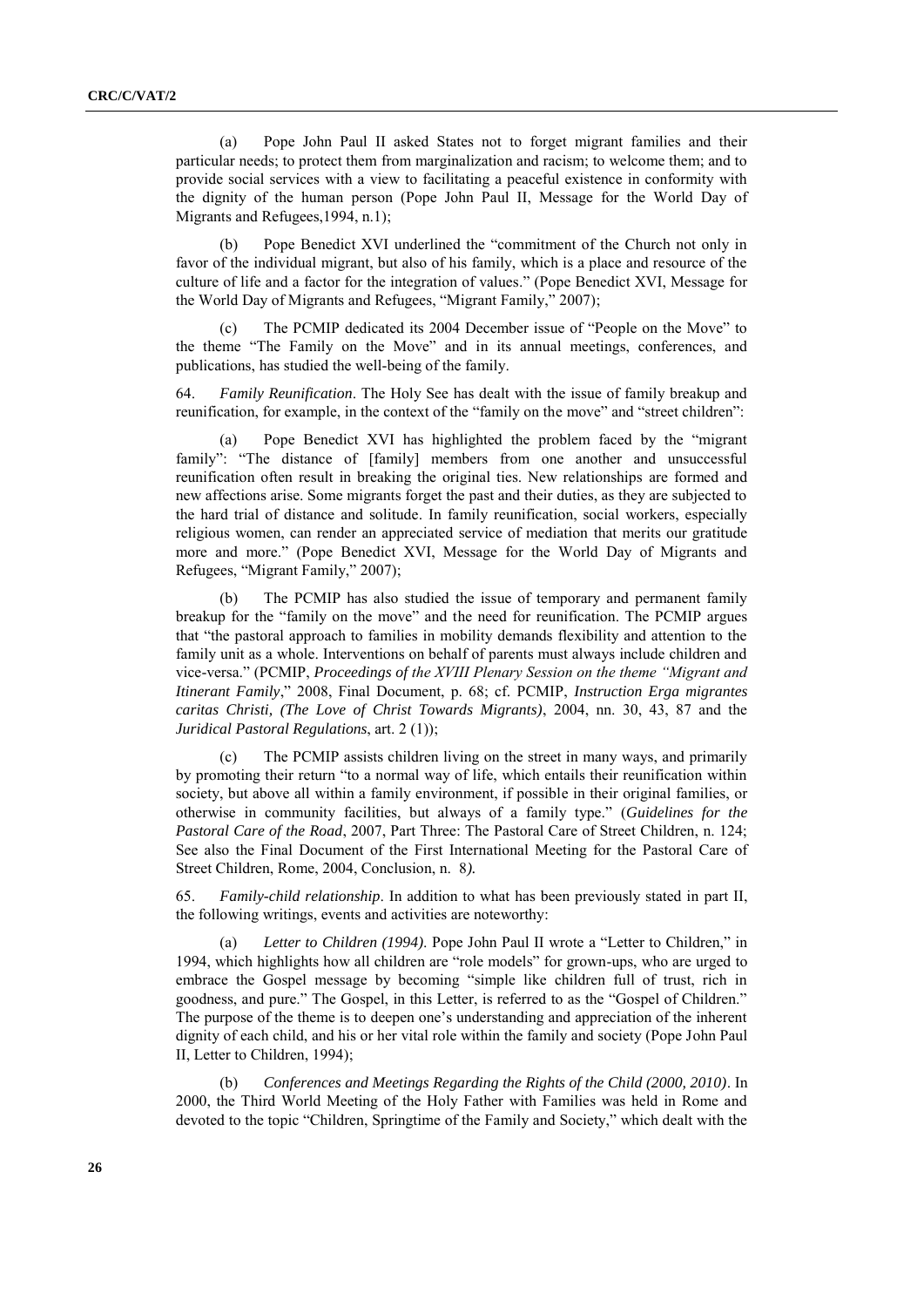(a) Pope John Paul II asked States not to forget migrant families and their particular needs; to protect them from marginalization and racism; to welcome them; and to provide social services with a view to facilitating a peaceful existence in conformity with the dignity of the human person (Pope John Paul II, Message for the World Day of Migrants and Refugees,1994, n.1);

(b) Pope Benedict XVI underlined the "commitment of the Church not only in favor of the individual migrant, but also of his family, which is a place and resource of the culture of life and a factor for the integration of values.‖ (Pope Benedict XVI, Message for the World Day of Migrants and Refugees, "Migrant Family," 2007);

(c) The PCMIP dedicated its 2004 December issue of "People on the Move" to the theme "The Family on the Move" and in its annual meetings, conferences, and publications, has studied the well-being of the family.

64. *Family Reunification*. The Holy See has dealt with the issue of family breakup and reunification, for example, in the context of the "family on the move" and "street children":

Pope Benedict XVI has highlighted the problem faced by the "migrant" family": "The distance of [family] members from one another and unsuccessful reunification often result in breaking the original ties. New relationships are formed and new affections arise. Some migrants forget the past and their duties, as they are subjected to the hard trial of distance and solitude. In family reunification, social workers, especially religious women, can render an appreciated service of mediation that merits our gratitude more and more." (Pope Benedict XVI, Message for the World Day of Migrants and Refugees, "Migrant Family," 2007);

(b) The PCMIP has also studied the issue of temporary and permanent family breakup for the "family on the move" and the need for reunification. The PCMIP argues that "the pastoral approach to families in mobility demands flexibility and attention to the family unit as a whole. Interventions on behalf of parents must always include children and vice-versa.‖ (PCMIP, *Proceedings of the XVIII Plenary Session on the theme "Migrant and Itinerant Family*,‖ 2008, Final Document, p. 68; cf. PCMIP, *Instruction Erga migrantes caritas Christi, (The Love of Christ Towards Migrants)*, 2004, nn. 30, 43, 87 and the *Juridical Pastoral Regulations*, art. 2 (1));

(c) The PCMIP assists children living on the street in many ways, and primarily by promoting their return "to a normal way of life, which entails their reunification within society, but above all within a family environment, if possible in their original families, or otherwise in community facilities, but always of a family type.‖ (*Guidelines for the Pastoral Care of the Road*, 2007, Part Three: The Pastoral Care of Street Children, n. 124; See also the Final Document of the First International Meeting for the Pastoral Care of Street Children, Rome, 2004, Conclusion, n. 8*).*

65. *Family-child relationship*. In addition to what has been previously stated in part II, the following writings, events and activities are noteworthy:

(a) *Letter to Children (1994)*. Pope John Paul II wrote a "Letter to Children," in 1994, which highlights how all children are "role models" for grown-ups, who are urged to embrace the Gospel message by becoming "simple like children full of trust, rich in goodness, and pure." The Gospel, in this Letter, is referred to as the "Gospel of Children." The purpose of the theme is to deepen one's understanding and appreciation of the inherent dignity of each child, and his or her vital role within the family and society (Pope John Paul II, Letter to Children, 1994);

(b) *Conferences and Meetings Regarding the Rights of the Child (2000, 2010)*. In 2000, the Third World Meeting of the Holy Father with Families was held in Rome and devoted to the topic "Children, Springtime of the Family and Society," which dealt with the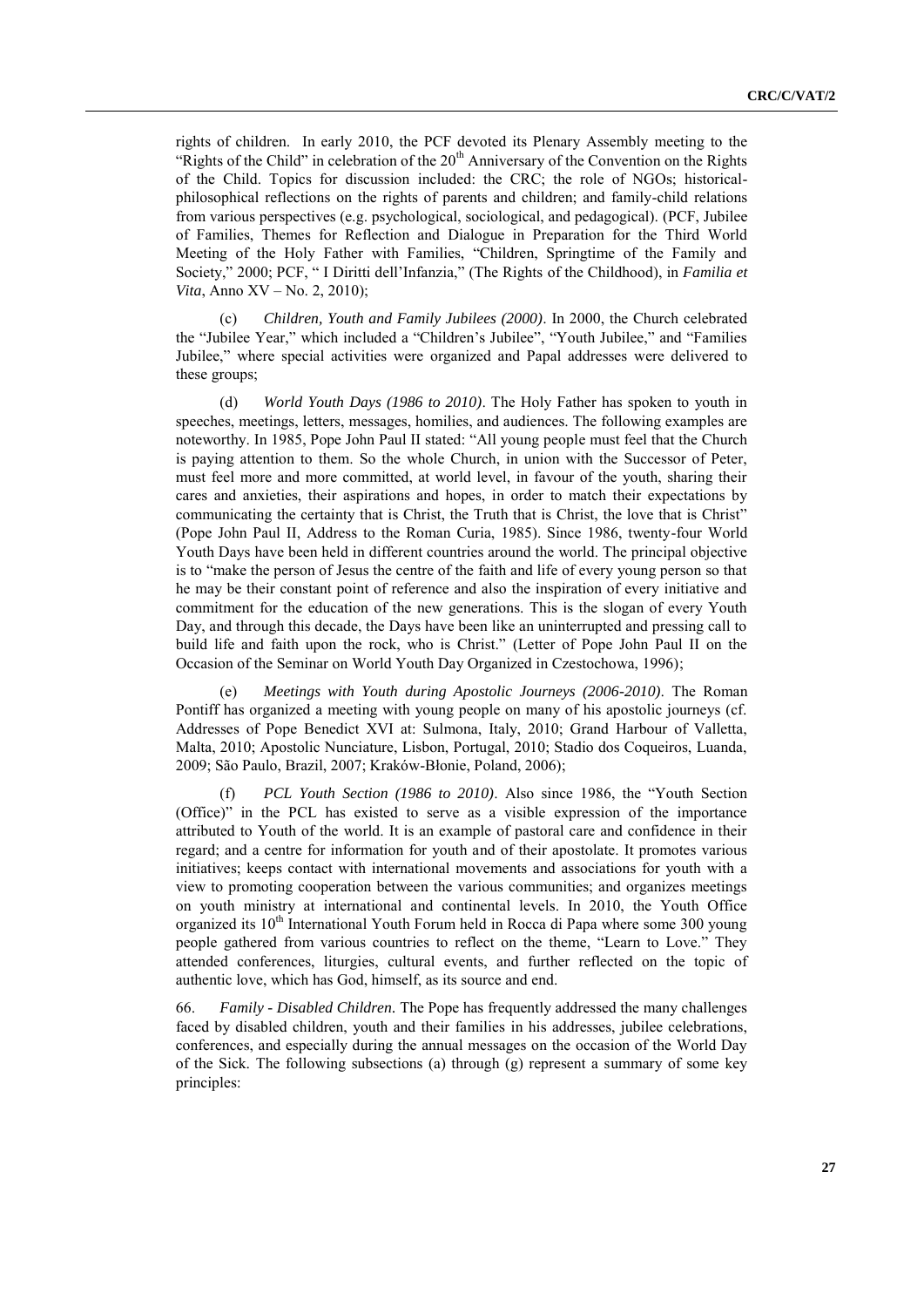rights of children. In early 2010, the PCF devoted its Plenary Assembly meeting to the "Rights of the Child" in celebration of the  $20<sup>th</sup>$  Anniversary of the Convention on the Rights of the Child. Topics for discussion included: the CRC; the role of NGOs; historicalphilosophical reflections on the rights of parents and children; and family-child relations from various perspectives (e.g. psychological, sociological, and pedagogical). (PCF, Jubilee of Families, Themes for Reflection and Dialogue in Preparation for the Third World Meeting of the Holy Father with Families, "Children, Springtime of the Family and Society," 2000; PCF, "I Diritti dell'Infanzia," (The Rights of the Childhood), in *Familia et Vita*, Anno XV – No. 2, 2010);

(c) *Children, Youth and Family Jubilees (2000)*. In 2000, the Church celebrated the "Jubilee Year," which included a "Children's Jubilee", "Youth Jubilee," and "Families Jubilee," where special activities were organized and Papal addresses were delivered to these groups;

(d) *World Youth Days (1986 to 2010)*. The Holy Father has spoken to youth in speeches, meetings, letters, messages, homilies, and audiences. The following examples are noteworthy. In 1985, Pope John Paul II stated: "All young people must feel that the Church is paying attention to them. So the whole Church, in union with the Successor of Peter, must feel more and more committed, at world level, in favour of the youth, sharing their cares and anxieties, their aspirations and hopes, in order to match their expectations by communicating the certainty that is Christ, the Truth that is Christ, the love that is Christ" (Pope John Paul II, Address to the Roman Curia, 1985). Since 1986, twenty-four World Youth Days have been held in different countries around the world. The principal objective is to "make the person of Jesus the centre of the faith and life of every young person so that he may be their constant point of reference and also the inspiration of every initiative and commitment for the education of the new generations. This is the slogan of every Youth Day, and through this decade, the Days have been like an uninterrupted and pressing call to build life and faith upon the rock, who is Christ." (Letter of Pope John Paul II on the Occasion of the Seminar on World Youth Day Organized in Czestochowa, 1996);

(e) *Meetings with Youth during Apostolic Journeys (2006-2010)*. The Roman Pontiff has organized a meeting with young people on many of his apostolic journeys (cf. Addresses of Pope Benedict XVI at: Sulmona, Italy, 2010; Grand Harbour of Valletta, Malta, 2010; Apostolic Nunciature, Lisbon, Portugal, 2010; Stadio dos Coqueiros, Luanda, 2009; São Paulo, Brazil, 2007; Kraków-Błonie, Poland, 2006);

(f) *PCL Youth Section (1986 to 2010)*. Also since 1986, the "Youth Section (Office)" in the PCL has existed to serve as a visible expression of the importance attributed to Youth of the world. It is an example of pastoral care and confidence in their regard; and a centre for information for youth and of their apostolate. It promotes various initiatives; keeps contact with international movements and associations for youth with a view to promoting cooperation between the various communities; and organizes meetings on youth ministry at international and continental levels. In 2010, the Youth Office organized its 10<sup>th</sup> International Youth Forum held in Rocca di Papa where some 300 young people gathered from various countries to reflect on the theme, "Learn to Love." They attended conferences, liturgies, cultural events, and further reflected on the topic of authentic love, which has God, himself, as its source and end.

66. *Family - Disabled Children.* The Pope has frequently addressed the many challenges faced by disabled children, youth and their families in his addresses, jubilee celebrations, conferences, and especially during the annual messages on the occasion of the World Day of the Sick. The following subsections (a) through (g) represent a summary of some key principles: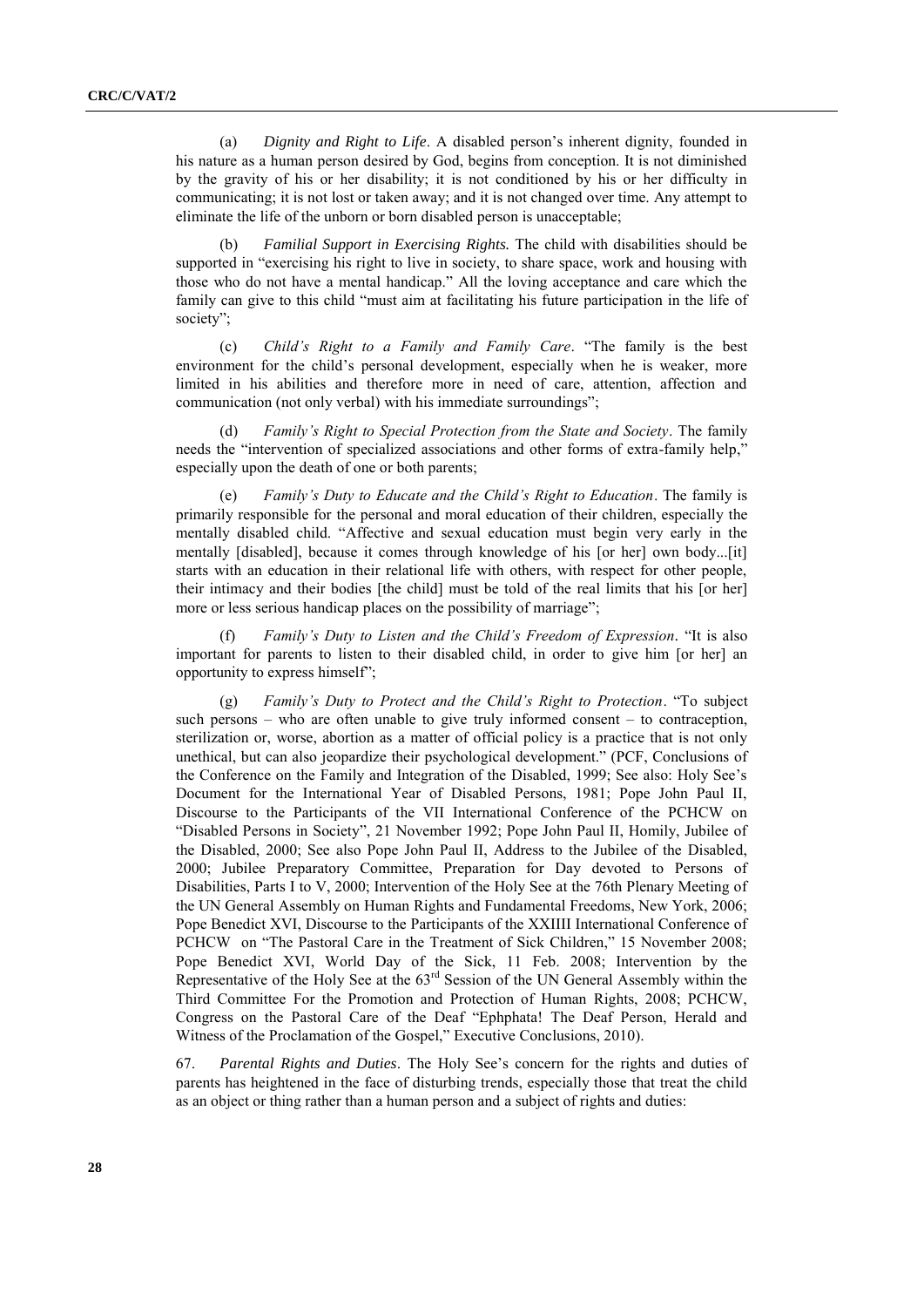(a) *Dignity and Right to Life*. A disabled person's inherent dignity, founded in his nature as a human person desired by God, begins from conception. It is not diminished by the gravity of his or her disability; it is not conditioned by his or her difficulty in communicating; it is not lost or taken away; and it is not changed over time. Any attempt to eliminate the life of the unborn or born disabled person is unacceptable;

(b) *Familial Support in Exercising Rights.* The child with disabilities should be supported in "exercising his right to live in society, to share space, work and housing with those who do not have a mental handicap." All the loving acceptance and care which the family can give to this child "must aim at facilitating his future participation in the life of society":

(c) *Child's Right to a Family and Family Care*. ―The family is the best environment for the child's personal development, especially when he is weaker, more limited in his abilities and therefore more in need of care, attention, affection and communication (not only verbal) with his immediate surroundings";

(d) *Family's Right to Special Protection from the State and Society*. The family needs the "intervention of specialized associations and other forms of extra-family help," especially upon the death of one or both parents;

(e) *Family's Duty to Educate and the Child's Right to Education*. The family is primarily responsible for the personal and moral education of their children, especially the mentally disabled child. "Affective and sexual education must begin very early in the mentally [disabled], because it comes through knowledge of his [or her] own body...[it] starts with an education in their relational life with others, with respect for other people, their intimacy and their bodies [the child] must be told of the real limits that his [or her] more or less serious handicap places on the possibility of marriage";

(f) *Family's Duty to Listen and the Child's Freedom of Expression.* "It is also important for parents to listen to their disabled child, in order to give him [or her] an opportunity to express himself";

(g) *Family's Duty to Protect and the Child's Right to Protection*. ―To subject such persons – who are often unable to give truly informed consent – to contraception, sterilization or, worse, abortion as a matter of official policy is a practice that is not only unethical, but can also jeopardize their psychological development." (PCF, Conclusions of the Conference on the Family and Integration of the Disabled, 1999; See also: Holy See's Document for the International Year of Disabled Persons, 1981; Pope John Paul II, Discourse to the Participants of the VII International Conference of the PCHCW on "Disabled Persons in Society", 21 November 1992; Pope John Paul II, Homily, Jubilee of the Disabled, 2000; See also Pope John Paul II, Address to the Jubilee of the Disabled, 2000; Jubilee Preparatory Committee, Preparation for Day devoted to Persons of Disabilities, Parts I to V, 2000; Intervention of the Holy See at the 76th Plenary Meeting of the UN General Assembly on Human Rights and Fundamental Freedoms, New York, 2006; Pope Benedict XVI, Discourse to the Participants of the XXIIII International Conference of PCHCW on "The Pastoral Care in the Treatment of Sick Children," 15 November 2008; Pope Benedict XVI, World Day of the Sick, 11 Feb. 2008; Intervention by the Representative of the Holy See at the  $63<sup>rd</sup>$  Session of the UN General Assembly within the Third Committee For the Promotion and Protection of Human Rights, 2008; PCHCW, Congress on the Pastoral Care of the Deaf "Ephphata! The Deaf Person, Herald and Witness of the Proclamation of the Gospel," Executive Conclusions, 2010).

67. *Parental Rights and Duties*. The Holy See's concern for the rights and duties of parents has heightened in the face of disturbing trends, especially those that treat the child as an object or thing rather than a human person and a subject of rights and duties: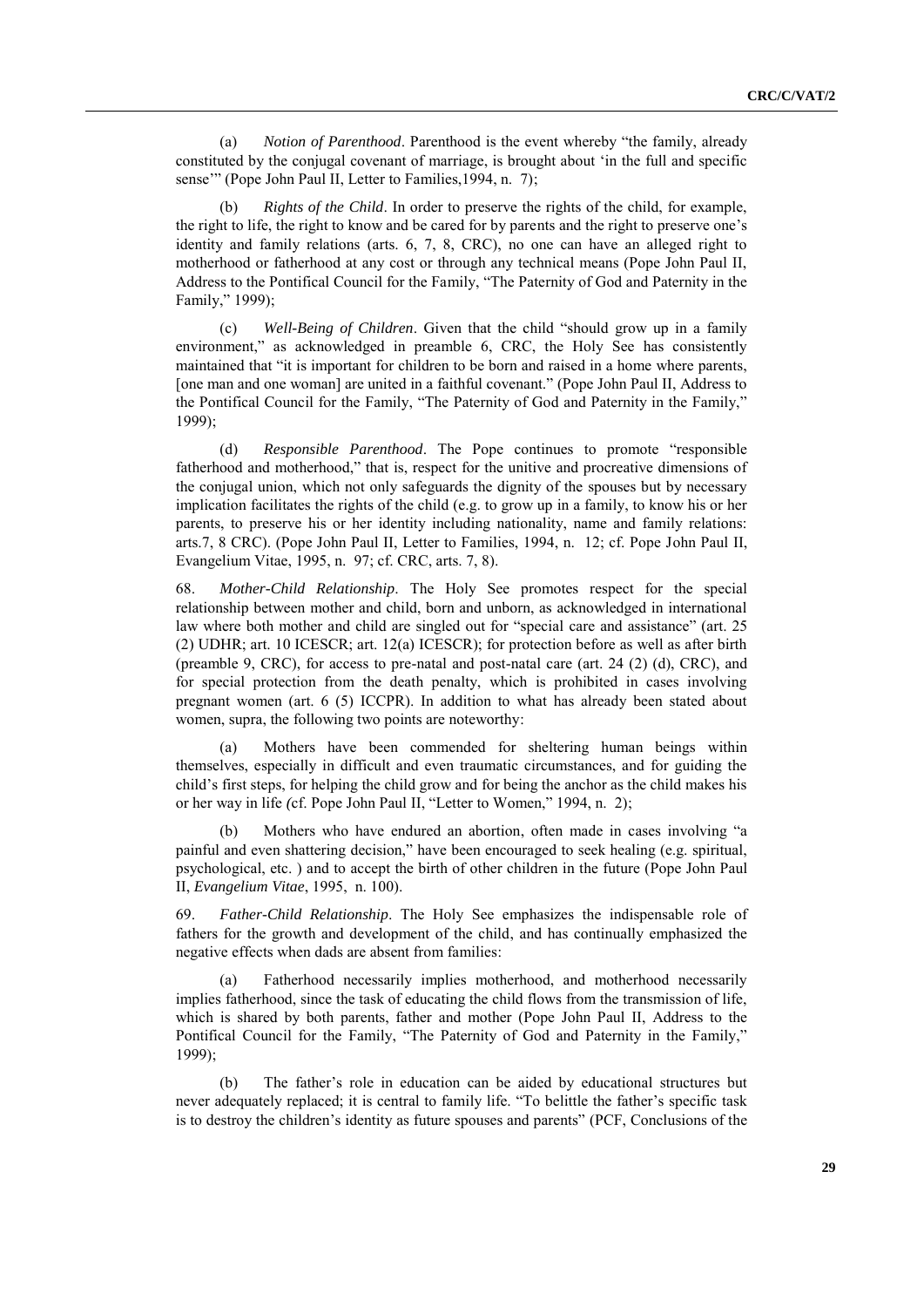(a) *Notion of Parenthood*. Parenthood is the event whereby "the family, already constituted by the conjugal covenant of marriage, is brought about 'in the full and specific sense" (Pope John Paul II, Letter to Families, 1994, n. 7);

(b) *Rights of the Child*. In order to preserve the rights of the child, for example, the right to life, the right to know and be cared for by parents and the right to preserve one's identity and family relations (arts. 6, 7, 8, CRC), no one can have an alleged right to motherhood or fatherhood at any cost or through any technical means (Pope John Paul II, Address to the Pontifical Council for the Family, "The Paternity of God and Paternity in the Family," 1999);

(c) *Well-Being of Children*. Given that the child "should grow up in a family environment," as acknowledged in preamble 6, CRC, the Holy See has consistently maintained that "it is important for children to be born and raised in a home where parents, [one man and one woman] are united in a faithful covenant." (Pope John Paul II, Address to the Pontifical Council for the Family, "The Paternity of God and Paternity in the Family," 1999);

(d) *Responsible Parenthood*. The Pope continues to promote "responsible" fatherhood and motherhood," that is, respect for the unitive and procreative dimensions of the conjugal union, which not only safeguards the dignity of the spouses but by necessary implication facilitates the rights of the child (e.g. to grow up in a family, to know his or her parents, to preserve his or her identity including nationality, name and family relations: arts.7, 8 CRC). (Pope John Paul II, Letter to Families, 1994, n. 12; cf. Pope John Paul II, Evangelium Vitae, 1995, n. 97; cf. CRC, arts. 7, 8).

68. *Mother-Child Relationship*. The Holy See promotes respect for the special relationship between mother and child, born and unborn, as acknowledged in international law where both mother and child are singled out for "special care and assistance" (art. 25 (2) UDHR; art. 10 ICESCR; art. 12(a) ICESCR); for protection before as well as after birth (preamble 9, CRC), for access to pre-natal and post-natal care (art. 24 (2) (d), CRC), and for special protection from the death penalty, which is prohibited in cases involving pregnant women (art. 6 (5) ICCPR). In addition to what has already been stated about women, supra, the following two points are noteworthy:

(a) Mothers have been commended for sheltering human beings within themselves, especially in difficult and even traumatic circumstances, and for guiding the child's first steps, for helping the child grow and for being the anchor as the child makes his or her way in life (cf. Pope John Paul II, "Letter to Women," 1994, n. 2);

Mothers who have endured an abortion, often made in cases involving "a painful and even shattering decision," have been encouraged to seek healing (e.g. spiritual, psychological, etc. ) and to accept the birth of other children in the future (Pope John Paul II, *Evangelium Vitae*, 1995, n. 100).

69. *Father-Child Relationship*. The Holy See emphasizes the indispensable role of fathers for the growth and development of the child, and has continually emphasized the negative effects when dads are absent from families:

(a) Fatherhood necessarily implies motherhood, and motherhood necessarily implies fatherhood, since the task of educating the child flows from the transmission of life, which is shared by both parents, father and mother (Pope John Paul II, Address to the Pontifical Council for the Family, "The Paternity of God and Paternity in the Family," 1999);

(b) The father's role in education can be aided by educational structures but never adequately replaced; it is central to family life. "To belittle the father's specific task is to destroy the children's identity as future spouses and parents" (PCF, Conclusions of the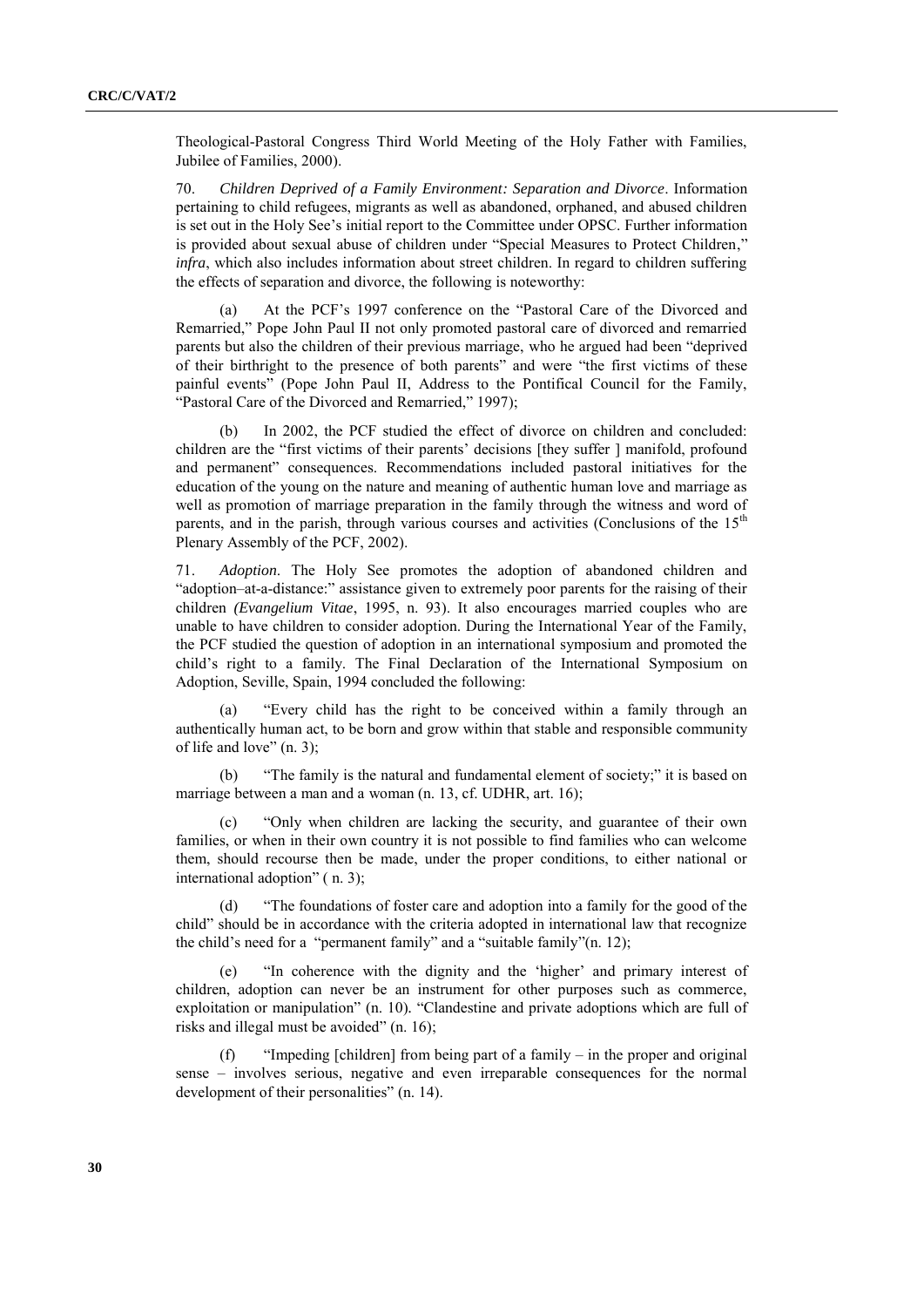Theological-Pastoral Congress Third World Meeting of the Holy Father with Families, Jubilee of Families, 2000).

70. *Children Deprived of a Family Environment: Separation and Divorce*. Information pertaining to child refugees, migrants as well as abandoned, orphaned, and abused children is set out in the Holy See's initial report to the Committee under OPSC. Further information is provided about sexual abuse of children under "Special Measures to Protect Children," *infra*, which also includes information about street children. In regard to children suffering the effects of separation and divorce, the following is noteworthy:

At the PCF's 1997 conference on the "Pastoral Care of the Divorced and Remarried," Pope John Paul II not only promoted pastoral care of divorced and remarried parents but also the children of their previous marriage, who he argued had been "deprived of their birthright to the presence of both parents" and were "the first victims of these painful events" (Pope John Paul II, Address to the Pontifical Council for the Family, "Pastoral Care of the Divorced and Remarried," 1997):

(b) In 2002, the PCF studied the effect of divorce on children and concluded: children are the "first victims of their parents' decisions [they suffer ] manifold, profound and permanent" consequences. Recommendations included pastoral initiatives for the education of the young on the nature and meaning of authentic human love and marriage as well as promotion of marriage preparation in the family through the witness and word of parents, and in the parish, through various courses and activities (Conclusions of the  $15<sup>th</sup>$ Plenary Assembly of the PCF, 2002).

71. *Adoption*. The Holy See promotes the adoption of abandoned children and ―adoption–at-a-distance:‖ assistance given to extremely poor parents for the raising of their children *(Evangelium Vitae*, 1995, n. 93). It also encourages married couples who are unable to have children to consider adoption. During the International Year of the Family, the PCF studied the question of adoption in an international symposium and promoted the child's right to a family. The Final Declaration of the International Symposium on Adoption, Seville, Spain, 1994 concluded the following:

"Every child has the right to be conceived within a family through an authentically human act, to be born and grow within that stable and responsible community of life and love"  $(n, 3)$ ;

(b) "The family is the natural and fundamental element of society;" it is based on marriage between a man and a woman (n. 13, cf. UDHR, art. 16);

"Only when children are lacking the security, and guarantee of their own families, or when in their own country it is not possible to find families who can welcome them, should recourse then be made, under the proper conditions, to either national or international adoption"  $(n. 3)$ ;

(d) ―The foundations of foster care and adoption into a family for the good of the child" should be in accordance with the criteria adopted in international law that recognize the child's need for a "permanent family" and a "suitable family" $(n. 12)$ ;

"In coherence with the dignity and the 'higher' and primary interest of children, adoption can never be an instrument for other purposes such as commerce, exploitation or manipulation" (n. 10). "Clandestine and private adoptions which are full of risks and illegal must be avoided" (n. 16);

(f) ―Impeding [children] from being part of a family – in the proper and original sense – involves serious, negative and even irreparable consequences for the normal development of their personalities" (n. 14).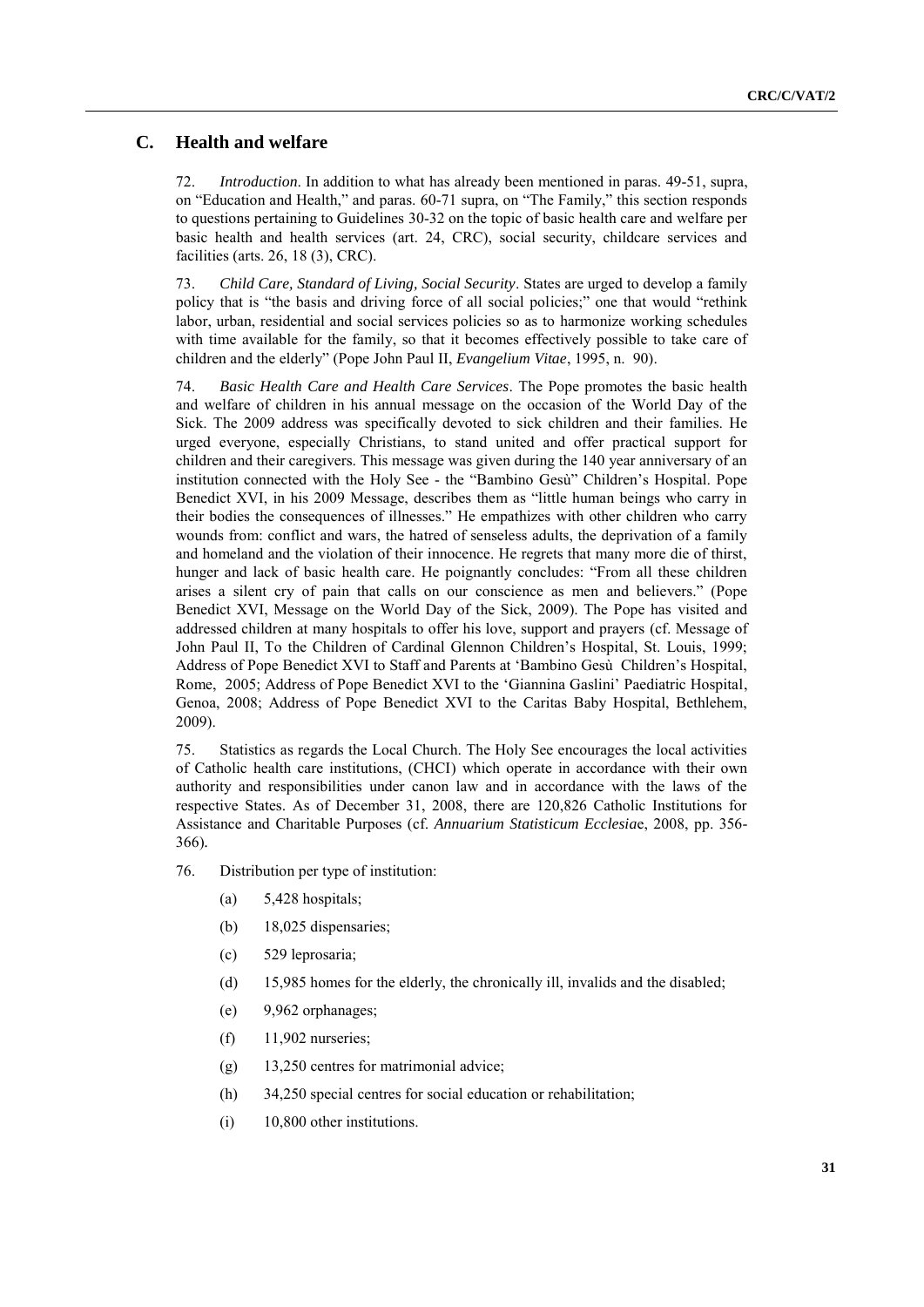## **C. Health and welfare**

72. *Introduction*. In addition to what has already been mentioned in paras. 49-51, supra, on "Education and Health," and paras. 60-71 supra, on "The Family," this section responds to questions pertaining to Guidelines 30-32 on the topic of basic health care and welfare per basic health and health services (art. 24, CRC), social security, childcare services and facilities (arts. 26, 18 (3), CRC).

73. *Child Care, Standard of Living, Social Security*. States are urged to develop a family policy that is "the basis and driving force of all social policies;" one that would "rethink labor, urban, residential and social services policies so as to harmonize working schedules with time available for the family, so that it becomes effectively possible to take care of children and the elderly" (Pope John Paul II, *Evangelium Vitae*, 1995, n. 90).

74. *Basic Health Care and Health Care Services*. The Pope promotes the basic health and welfare of children in his annual message on the occasion of the World Day of the Sick. The 2009 address was specifically devoted to sick children and their families. He urged everyone, especially Christians, to stand united and offer practical support for children and their caregivers. This message was given during the 140 year anniversary of an institution connected with the Holy See - the "Bambino Gesù" Children's Hospital. Pope Benedict XVI, in his 2009 Message, describes them as "little human beings who carry in their bodies the consequences of illnesses." He empathizes with other children who carry wounds from: conflict and wars, the hatred of senseless adults, the deprivation of a family and homeland and the violation of their innocence. He regrets that many more die of thirst, hunger and lack of basic health care. He poignantly concludes: "From all these children arises a silent cry of pain that calls on our conscience as men and believers.‖ (Pope Benedict XVI, Message on the World Day of the Sick, 2009). The Pope has visited and addressed children at many hospitals to offer his love, support and prayers (cf. Message of John Paul II, To the Children of Cardinal Glennon Children's Hospital, St. Louis, 1999; Address of Pope Benedict XVI to Staff and Parents at 'Bambino Gesù Children's Hospital, Rome, 2005; Address of Pope Benedict XVI to the 'Giannina Gaslini' Paediatric Hospital, Genoa, 2008; Address of Pope Benedict XVI to the Caritas Baby Hospital, Bethlehem, 2009).

75. Statistics as regards the Local Church. The Holy See encourages the local activities of Catholic health care institutions, (CHCI) which operate in accordance with their own authority and responsibilities under canon law and in accordance with the laws of the respective States. As of December 31, 2008, there are 120,826 Catholic Institutions for Assistance and Charitable Purposes (cf. *Annuarium Statisticum Ecclesia*e, 2008, pp. 356- 366)*.*

76. Distribution per type of institution:

- (a)  $5,428$  hospitals;
- (b) 18,025 dispensaries;
- (c) 529 leprosaria;
- (d) 15,985 homes for the elderly, the chronically ill, invalids and the disabled;
- (e) 9,962 orphanages;
- (f) 11,902 nurseries;
- (g) 13,250 centres for matrimonial advice;
- (h) 34,250 special centres for social education or rehabilitation;
- (i) 10,800 other institutions.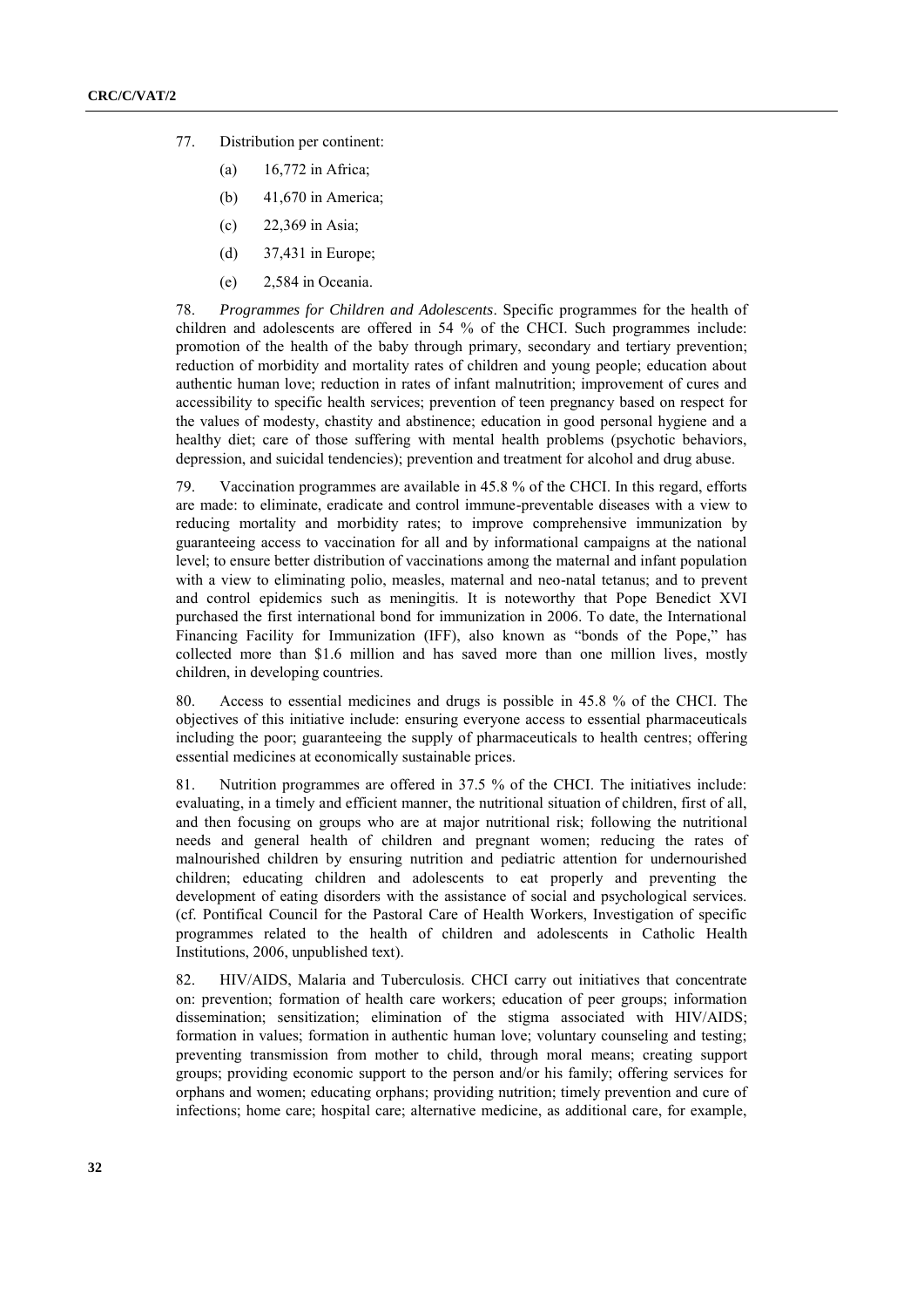- 77. Distribution per continent:
	- (a) 16,772 in Africa;
	- (b) 41,670 in America;
	- (c) 22,369 in Asia;
	- (d) 37,431 in Europe;
	- (e) 2,584 in Oceania.

78. *Programmes for Children and Adolescents*. Specific programmes for the health of children and adolescents are offered in 54 % of the CHCI. Such programmes include: promotion of the health of the baby through primary, secondary and tertiary prevention; reduction of morbidity and mortality rates of children and young people; education about authentic human love; reduction in rates of infant malnutrition; improvement of cures and accessibility to specific health services; prevention of teen pregnancy based on respect for the values of modesty, chastity and abstinence; education in good personal hygiene and a healthy diet; care of those suffering with mental health problems (psychotic behaviors, depression, and suicidal tendencies); prevention and treatment for alcohol and drug abuse.

79. Vaccination programmes are available in 45.8 % of the CHCI. In this regard, efforts are made: to eliminate, eradicate and control immune-preventable diseases with a view to reducing mortality and morbidity rates; to improve comprehensive immunization by guaranteeing access to vaccination for all and by informational campaigns at the national level; to ensure better distribution of vaccinations among the maternal and infant population with a view to eliminating polio, measles, maternal and neo-natal tetanus; and to prevent and control epidemics such as meningitis. It is noteworthy that Pope Benedict XVI purchased the first international bond for immunization in 2006. To date, the International Financing Facility for Immunization (IFF), also known as "bonds of the Pope," has collected more than \$1.6 million and has saved more than one million lives, mostly children, in developing countries.

80. Access to essential medicines and drugs is possible in 45.8 % of the CHCI. The objectives of this initiative include: ensuring everyone access to essential pharmaceuticals including the poor; guaranteeing the supply of pharmaceuticals to health centres; offering essential medicines at economically sustainable prices.

81. Nutrition programmes are offered in 37.5 % of the CHCI. The initiatives include: evaluating, in a timely and efficient manner, the nutritional situation of children, first of all, and then focusing on groups who are at major nutritional risk; following the nutritional needs and general health of children and pregnant women; reducing the rates of malnourished children by ensuring nutrition and pediatric attention for undernourished children; educating children and adolescents to eat properly and preventing the development of eating disorders with the assistance of social and psychological services. (cf. Pontifical Council for the Pastoral Care of Health Workers, Investigation of specific programmes related to the health of children and adolescents in Catholic Health Institutions, 2006, unpublished text).

82. HIV/AIDS, Malaria and Tuberculosis. CHCI carry out initiatives that concentrate on: prevention; formation of health care workers; education of peer groups; information dissemination; sensitization; elimination of the stigma associated with HIV/AIDS; formation in values; formation in authentic human love; voluntary counseling and testing; preventing transmission from mother to child, through moral means; creating support groups; providing economic support to the person and/or his family; offering services for orphans and women; educating orphans; providing nutrition; timely prevention and cure of infections; home care; hospital care; alternative medicine, as additional care, for example,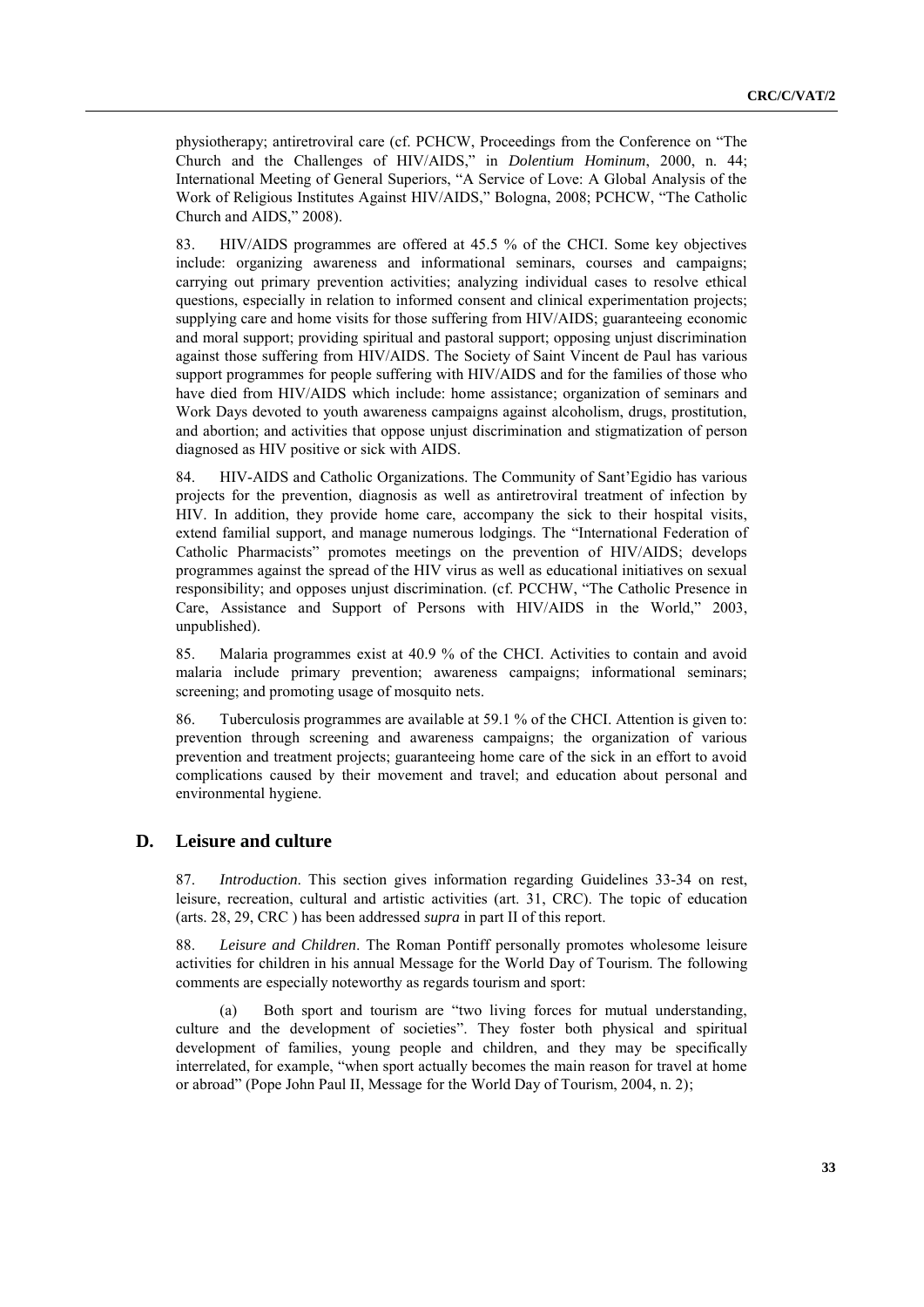physiotherapy; antiretroviral care (cf. PCHCW, Proceedings from the Conference on "The Church and the Challenges of HIV/AIDS," in *Dolentium Hominum*, 2000, n. 44; International Meeting of General Superiors, "A Service of Love: A Global Analysis of the Work of Religious Institutes Against HIV/AIDS," Bologna, 2008; PCHCW, "The Catholic Church and AIDS," 2008).

83. HIV/AIDS programmes are offered at 45.5 % of the CHCI. Some key objectives include: organizing awareness and informational seminars, courses and campaigns; carrying out primary prevention activities; analyzing individual cases to resolve ethical questions, especially in relation to informed consent and clinical experimentation projects; supplying care and home visits for those suffering from HIV/AIDS; guaranteeing economic and moral support; providing spiritual and pastoral support; opposing unjust discrimination against those suffering from HIV/AIDS. The Society of Saint Vincent de Paul has various support programmes for people suffering with HIV/AIDS and for the families of those who have died from HIV/AIDS which include: home assistance; organization of seminars and Work Days devoted to youth awareness campaigns against alcoholism, drugs, prostitution, and abortion; and activities that oppose unjust discrimination and stigmatization of person diagnosed as HIV positive or sick with AIDS.

84. HIV-AIDS and Catholic Organizations. The Community of Sant'Egidio has various projects for the prevention, diagnosis as well as antiretroviral treatment of infection by HIV. In addition, they provide home care, accompany the sick to their hospital visits, extend familial support, and manage numerous lodgings. The "International Federation of Catholic Pharmacists" promotes meetings on the prevention of HIV/AIDS; develops programmes against the spread of the HIV virus as well as educational initiatives on sexual responsibility; and opposes unjust discrimination. (cf. PCCHW, "The Catholic Presence in Care, Assistance and Support of Persons with HIV/AIDS in the World," 2003, unpublished).

85. Malaria programmes exist at 40.9 % of the CHCI. Activities to contain and avoid malaria include primary prevention; awareness campaigns; informational seminars; screening; and promoting usage of mosquito nets.

86. Tuberculosis programmes are available at 59.1 % of the CHCI. Attention is given to: prevention through screening and awareness campaigns; the organization of various prevention and treatment projects; guaranteeing home care of the sick in an effort to avoid complications caused by their movement and travel; and education about personal and environmental hygiene.

### **D. Leisure and culture**

87. *Introduction*. This section gives information regarding Guidelines 33-34 on rest, leisure, recreation, cultural and artistic activities (art. 31, CRC). The topic of education (arts. 28, 29, CRC ) has been addressed *supra* in part II of this report.

88. *Leisure and Children*. The Roman Pontiff personally promotes wholesome leisure activities for children in his annual Message for the World Day of Tourism. The following comments are especially noteworthy as regards tourism and sport:

(a) Both sport and tourism are "two living forces for mutual understanding, culture and the development of societies". They foster both physical and spiritual development of families, young people and children, and they may be specifically interrelated, for example, "when sport actually becomes the main reason for travel at home or abroad" (Pope John Paul II, Message for the World Day of Tourism, 2004, n. 2);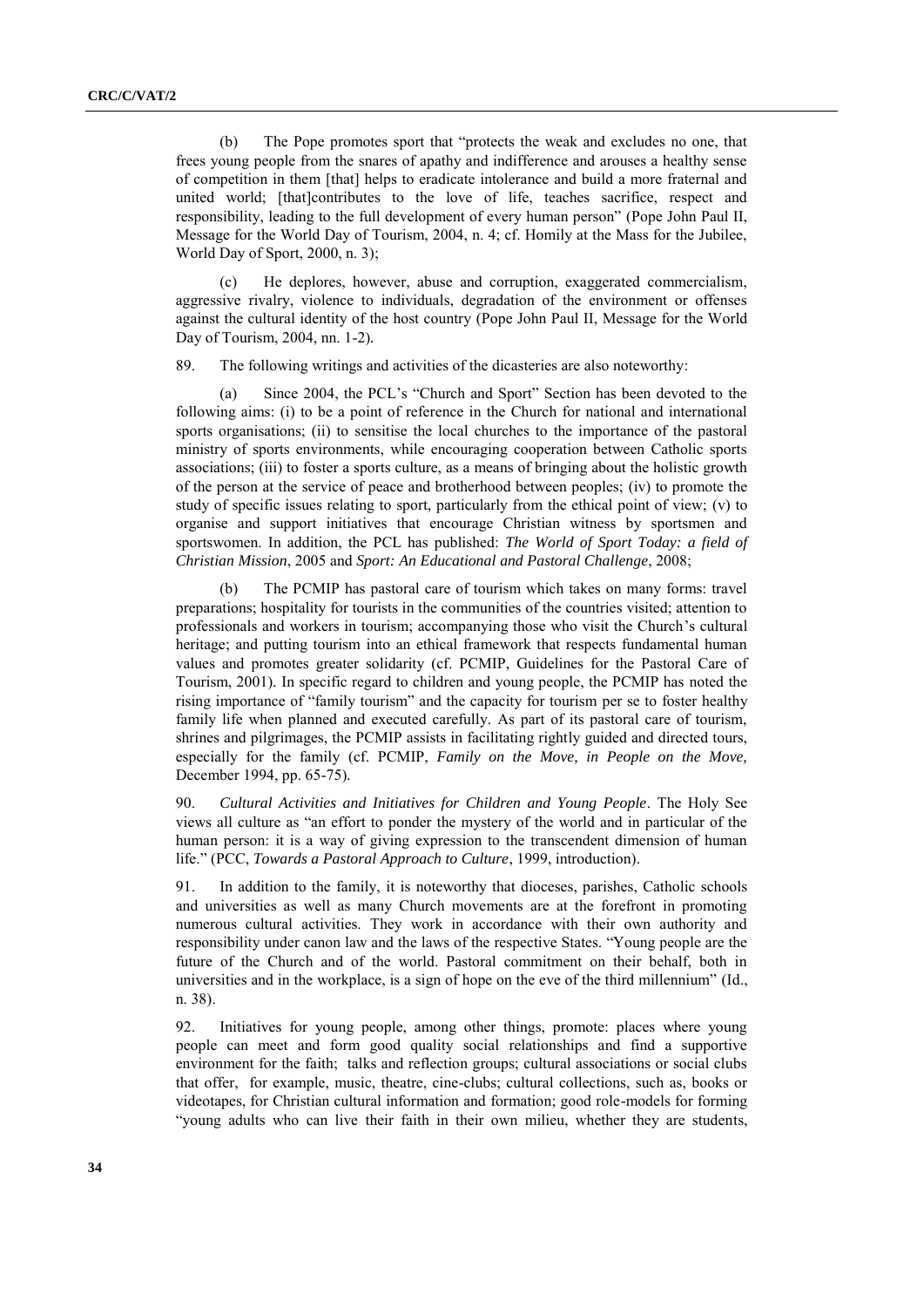(b) The Pope promotes sport that "protects the weak and excludes no one, that frees young people from the snares of apathy and indifference and arouses a healthy sense of competition in them [that] helps to eradicate intolerance and build a more fraternal and united world; [that]contributes to the love of life, teaches sacrifice, respect and responsibility, leading to the full development of every human person" (Pope John Paul II, Message for the World Day of Tourism, 2004, n. 4; cf. Homily at the Mass for the Jubilee, World Day of Sport, 2000, n. 3);

(c) He deplores, however, abuse and corruption, exaggerated commercialism, aggressive rivalry, violence to individuals, degradation of the environment or offenses against the cultural identity of the host country (Pope John Paul II, Message for the World Day of Tourism, 2004, nn. 1-2)*.*

89. The following writings and activities of the dicasteries are also noteworthy:

(a) Since 2004, the PCL's "Church and Sport" Section has been devoted to the following aims: (i) to be a point of reference in the Church for national and international sports organisations; (ii) to sensitise the local churches to the importance of the pastoral ministry of sports environments, while encouraging cooperation between Catholic sports associations; (iii) to foster a sports culture, as a means of bringing about the holistic growth of the person at the service of peace and brotherhood between peoples; (iv) to promote the study of specific issues relating to sport, particularly from the ethical point of view; (v) to organise and support initiatives that encourage Christian witness by sportsmen and sportswomen. In addition, the PCL has published: *The World of Sport Today: a field of Christian Mission*, 2005 and *Sport: An Educational and Pastoral Challenge*, 2008;

(b) The PCMIP has pastoral care of tourism which takes on many forms: travel preparations; hospitality for tourists in the communities of the countries visited; attention to professionals and workers in tourism; accompanying those who visit the Church's cultural heritage; and putting tourism into an ethical framework that respects fundamental human values and promotes greater solidarity (cf. PCMIP, Guidelines for the Pastoral Care of Tourism, 2001)*.* In specific regard to children and young people, the PCMIP has noted the rising importance of "family tourism" and the capacity for tourism per se to foster healthy family life when planned and executed carefully. As part of its pastoral care of tourism, shrines and pilgrimages, the PCMIP assists in facilitating rightly guided and directed tours, especially for the family (cf. PCMIP, *Family on the Move, in People on the Move,*  December 1994, pp. 65-75)*.*

90. *Cultural Activities and Initiatives for Children and Young People*. The Holy See views all culture as "an effort to ponder the mystery of the world and in particular of the human person: it is a way of giving expression to the transcendent dimension of human life." (PCC, *Towards a Pastoral Approach to Culture*, 1999, introduction).

91. In addition to the family, it is noteworthy that dioceses, parishes, Catholic schools and universities as well as many Church movements are at the forefront in promoting numerous cultural activities. They work in accordance with their own authority and responsibility under canon law and the laws of the respective States. "Young people are the future of the Church and of the world. Pastoral commitment on their behalf, both in universities and in the workplace, is a sign of hope on the eve of the third millennium"  $(Id,$ n. 38).

92. Initiatives for young people, among other things, promote: places where young people can meet and form good quality social relationships and find a supportive environment for the faith; talks and reflection groups; cultural associations or social clubs that offer, for example, music, theatre, cine-clubs; cultural collections, such as, books or videotapes, for Christian cultural information and formation; good role-models for forming ―young adults who can live their faith in their own milieu, whether they are students,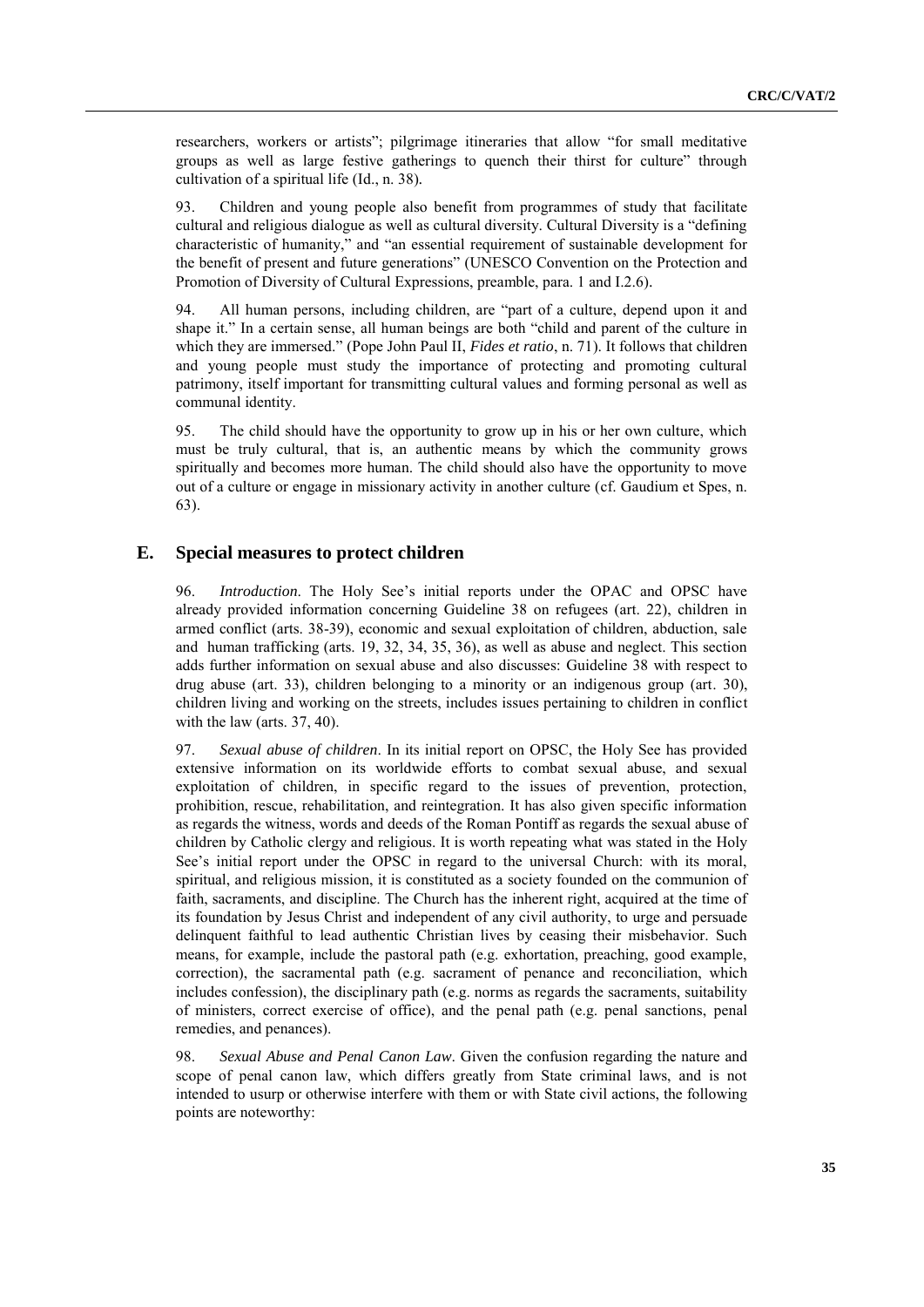researchers, workers or artists"; pilgrimage itineraries that allow "for small meditative groups as well as large festive gatherings to quench their thirst for culture" through cultivation of a spiritual life (Id., n. 38)*.*

93. Children and young people also benefit from programmes of study that facilitate cultural and religious dialogue as well as cultural diversity. Cultural Diversity is a "defining" characteristic of humanity," and "an essential requirement of sustainable development for the benefit of present and future generations" (UNESCO Convention on the Protection and Promotion of Diversity of Cultural Expressions, preamble, para. 1 and I.2.6)*.*

94. All human persons, including children, are "part of a culture, depend upon it and shape it." In a certain sense, all human beings are both "child and parent of the culture in which they are immersed." (Pope John Paul II, *Fides et ratio*, n. 71). It follows that children and young people must study the importance of protecting and promoting cultural patrimony, itself important for transmitting cultural values and forming personal as well as communal identity.

95. The child should have the opportunity to grow up in his or her own culture, which must be truly cultural, that is, an authentic means by which the community grows spiritually and becomes more human. The child should also have the opportunity to move out of a culture or engage in missionary activity in another culture (cf. Gaudium et Spes, n. 63).

### **E. Special measures to protect children**

96. *Introduction*. The Holy See's initial reports under the OPAC and OPSC have already provided information concerning Guideline 38 on refugees (art. 22), children in armed conflict (arts. 38-39), economic and sexual exploitation of children, abduction, sale and human trafficking (arts. 19, 32, 34, 35, 36), as well as abuse and neglect. This section adds further information on sexual abuse and also discusses: Guideline 38 with respect to drug abuse (art. 33), children belonging to a minority or an indigenous group (art. 30), children living and working on the streets, includes issues pertaining to children in conflict with the law (arts. 37, 40).

97. *Sexual abuse of children*. In its initial report on OPSC, the Holy See has provided extensive information on its worldwide efforts to combat sexual abuse, and sexual exploitation of children, in specific regard to the issues of prevention, protection, prohibition, rescue, rehabilitation, and reintegration. It has also given specific information as regards the witness, words and deeds of the Roman Pontiff as regards the sexual abuse of children by Catholic clergy and religious. It is worth repeating what was stated in the Holy See's initial report under the OPSC in regard to the universal Church: with its moral, spiritual, and religious mission, it is constituted as a society founded on the communion of faith, sacraments, and discipline. The Church has the inherent right, acquired at the time of its foundation by Jesus Christ and independent of any civil authority, to urge and persuade delinquent faithful to lead authentic Christian lives by ceasing their misbehavior. Such means, for example, include the pastoral path (e.g. exhortation, preaching, good example, correction), the sacramental path (e.g. sacrament of penance and reconciliation, which includes confession), the disciplinary path (e.g. norms as regards the sacraments, suitability of ministers, correct exercise of office), and the penal path (e.g. penal sanctions, penal remedies, and penances).

98. *Sexual Abuse and Penal Canon Law*. Given the confusion regarding the nature and scope of penal canon law, which differs greatly from State criminal laws, and is not intended to usurp or otherwise interfere with them or with State civil actions, the following points are noteworthy: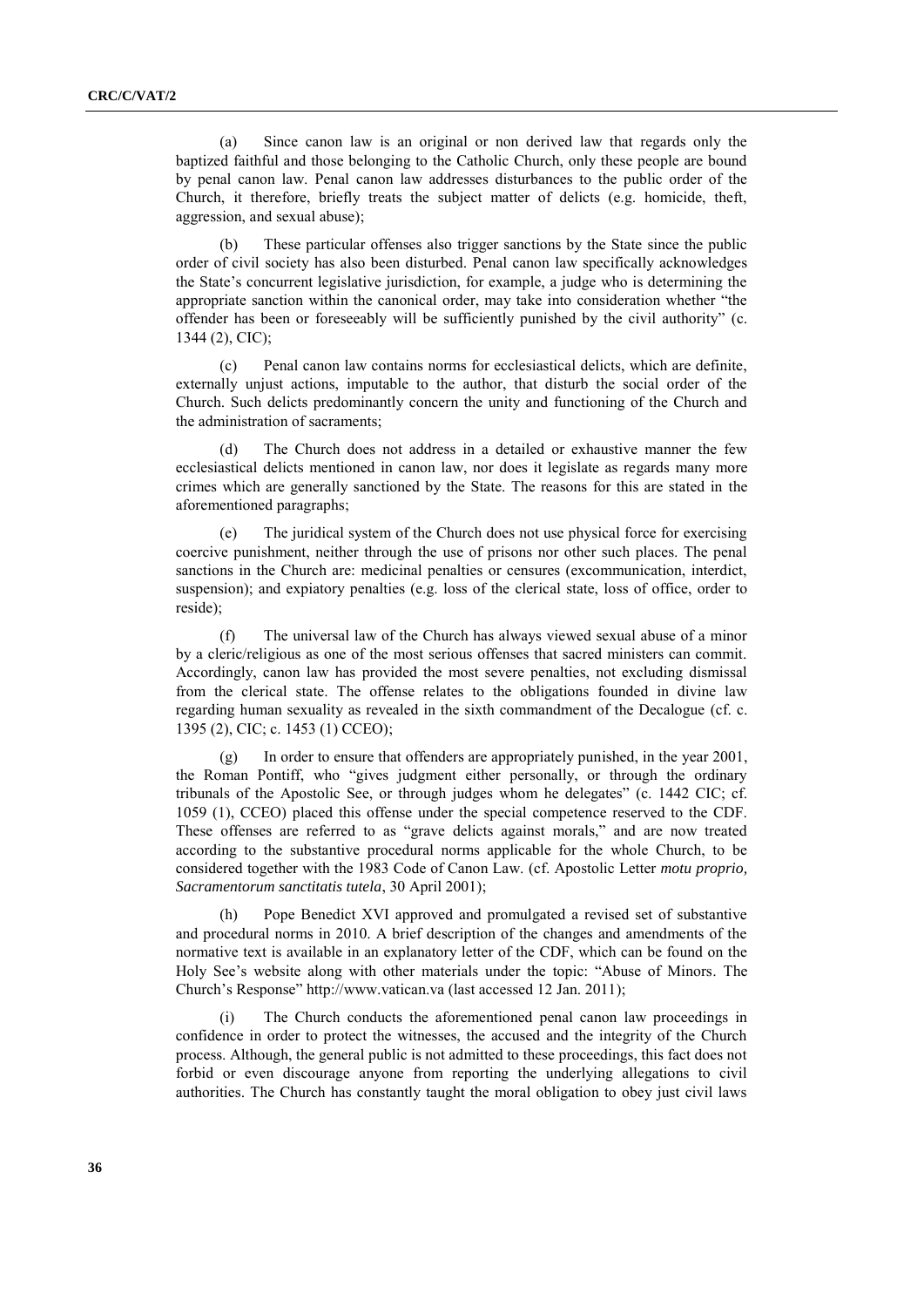(a) Since canon law is an original or non derived law that regards only the baptized faithful and those belonging to the Catholic Church, only these people are bound by penal canon law. Penal canon law addresses disturbances to the public order of the Church, it therefore, briefly treats the subject matter of delicts (e.g. homicide, theft, aggression, and sexual abuse);

(b) These particular offenses also trigger sanctions by the State since the public order of civil society has also been disturbed. Penal canon law specifically acknowledges the State's concurrent legislative jurisdiction, for example, a judge who is determining the appropriate sanction within the canonical order, may take into consideration whether "the offender has been or foreseeably will be sufficiently punished by the civil authority" (c. 1344 (2), CIC);

(c) Penal canon law contains norms for ecclesiastical delicts, which are definite, externally unjust actions, imputable to the author, that disturb the social order of the Church. Such delicts predominantly concern the unity and functioning of the Church and the administration of sacraments;

The Church does not address in a detailed or exhaustive manner the few ecclesiastical delicts mentioned in canon law, nor does it legislate as regards many more crimes which are generally sanctioned by the State. The reasons for this are stated in the aforementioned paragraphs;

(e) The juridical system of the Church does not use physical force for exercising coercive punishment, neither through the use of prisons nor other such places. The penal sanctions in the Church are: medicinal penalties or censures (excommunication, interdict, suspension); and expiatory penalties (e.g. loss of the clerical state, loss of office, order to reside);

(f) The universal law of the Church has always viewed sexual abuse of a minor by a cleric/religious as one of the most serious offenses that sacred ministers can commit. Accordingly, canon law has provided the most severe penalties, not excluding dismissal from the clerical state. The offense relates to the obligations founded in divine law regarding human sexuality as revealed in the sixth commandment of the Decalogue (cf. c. 1395 (2), CIC; c. 1453 (1) CCEO);

(g) In order to ensure that offenders are appropriately punished, in the year 2001, the Roman Pontiff, who "gives judgment either personally, or through the ordinary tribunals of the Apostolic See, or through judges whom he delegates" (c. 1442 CIC; cf. 1059 (1), CCEO) placed this offense under the special competence reserved to the CDF. These offenses are referred to as "grave delicts against morals," and are now treated according to the substantive procedural norms applicable for the whole Church, to be considered together with the 1983 Code of Canon Law. (cf. Apostolic Letter *motu proprio, Sacramentorum sanctitatis tutela*, 30 April 2001);

(h) Pope Benedict XVI approved and promulgated a revised set of substantive and procedural norms in 2010. A brief description of the changes and amendments of the normative text is available in an explanatory letter of the CDF, which can be found on the Holy See's website along with other materials under the topic: "Abuse of Minors. The Church's Response" http://www.vatican.va (last accessed 12 Jan. 2011);

(i) The Church conducts the aforementioned penal canon law proceedings in confidence in order to protect the witnesses, the accused and the integrity of the Church process. Although, the general public is not admitted to these proceedings, this fact does not forbid or even discourage anyone from reporting the underlying allegations to civil authorities. The Church has constantly taught the moral obligation to obey just civil laws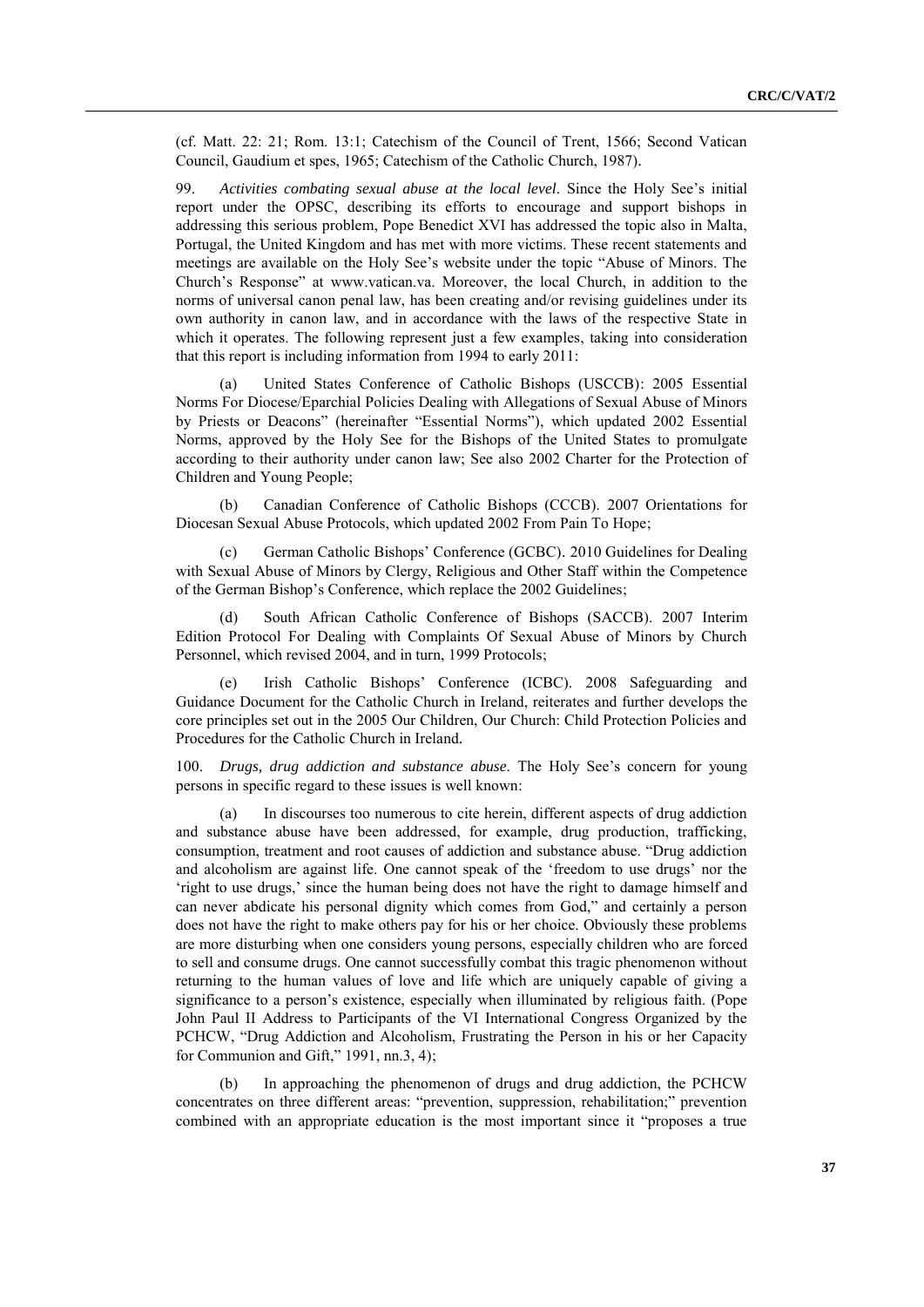(cf. Matt. 22: 21; Rom. 13:1; Catechism of the Council of Trent, 1566; Second Vatican Council, Gaudium et spes, 1965; Catechism of the Catholic Church, 1987)*.*

99. *Activities combating sexual abuse at the local level*. Since the Holy See's initial report under the OPSC, describing its efforts to encourage and support bishops in addressing this serious problem, Pope Benedict XVI has addressed the topic also in Malta, Portugal, the United Kingdom and has met with more victims. These recent statements and meetings are available on the Holy See's website under the topic "Abuse of Minors. The Church's Response" at www.vatican.va. Moreover, the local Church, in addition to the norms of universal canon penal law, has been creating and/or revising guidelines under its own authority in canon law, and in accordance with the laws of the respective State in which it operates. The following represent just a few examples, taking into consideration that this report is including information from 1994 to early 2011:

(a) United States Conference of Catholic Bishops (USCCB): 2005 Essential Norms For Diocese/Eparchial Policies Dealing with Allegations of Sexual Abuse of Minors by Priests or Deacons" (hereinafter "Essential Norms"), which updated 2002 Essential Norms, approved by the Holy See for the Bishops of the United States to promulgate according to their authority under canon law; See also 2002 Charter for the Protection of Children and Young People;

(b) Canadian Conference of Catholic Bishops (CCCB). 2007 Orientations for Diocesan Sexual Abuse Protocols, which updated 2002 From Pain To Hope;

German Catholic Bishops' Conference (GCBC). 2010 Guidelines for Dealing with Sexual Abuse of Minors by Clergy, Religious and Other Staff within the Competence of the German Bishop's Conference, which replace the 2002 Guidelines;

South African Catholic Conference of Bishops (SACCB). 2007 Interim Edition Protocol For Dealing with Complaints Of Sexual Abuse of Minors by Church Personnel, which revised 2004, and in turn, 1999 Protocols;

Irish Catholic Bishops' Conference (ICBC). 2008 Safeguarding and Guidance Document for the Catholic Church in Ireland, reiterates and further develops the core principles set out in the 2005 Our Children, Our Church: Child Protection Policies and Procedures for the Catholic Church in Ireland*.*

100. *Drugs, drug addiction and substance abuse*. The Holy See's concern for young persons in specific regard to these issues is well known:

(a) In discourses too numerous to cite herein, different aspects of drug addiction and substance abuse have been addressed, for example, drug production, trafficking, consumption, treatment and root causes of addiction and substance abuse. "Drug addiction and alcoholism are against life. One cannot speak of the 'freedom to use drugs' nor the ‗right to use drugs,' since the human being does not have the right to damage himself and can never abdicate his personal dignity which comes from God," and certainly a person does not have the right to make others pay for his or her choice. Obviously these problems are more disturbing when one considers young persons, especially children who are forced to sell and consume drugs. One cannot successfully combat this tragic phenomenon without returning to the human values of love and life which are uniquely capable of giving a significance to a person's existence, especially when illuminated by religious faith. (Pope John Paul II Address to Participants of the VI International Congress Organized by the PCHCW, "Drug Addiction and Alcoholism, Frustrating the Person in his or her Capacity for Communion and Gift,"  $1991$ , nn.3, 4);

(b) In approaching the phenomenon of drugs and drug addiction, the PCHCW concentrates on three different areas: "prevention, suppression, rehabilitation;" prevention combined with an appropriate education is the most important since it "proposes a true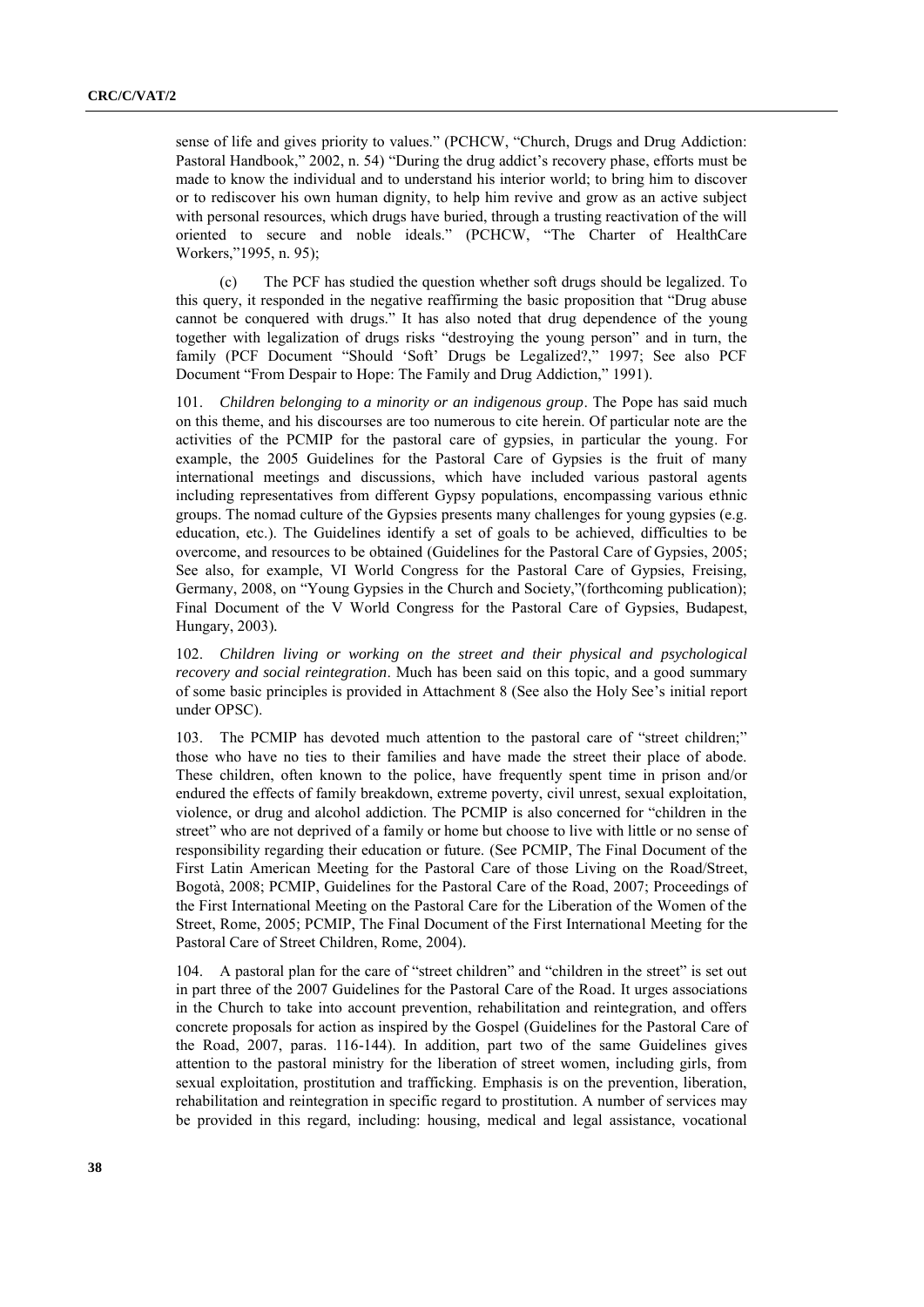sense of life and gives priority to values." (PCHCW, "Church, Drugs and Drug Addiction: Pastoral Handbook," 2002, n. 54) "During the drug addict's recovery phase, efforts must be made to know the individual and to understand his interior world; to bring him to discover or to rediscover his own human dignity, to help him revive and grow as an active subject with personal resources, which drugs have buried, through a trusting reactivation of the will oriented to secure and noble ideals." (PCHCW, "The Charter of HealthCare Workers,"1995, n. 95);

(c) The PCF has studied the question whether soft drugs should be legalized. To this query, it responded in the negative reaffirming the basic proposition that "Drug abuse" cannot be conquered with drugs." It has also noted that drug dependence of the young together with legalization of drugs risks "destroying the young person" and in turn, the family (PCF Document "Should 'Soft' Drugs be Legalized?," 1997; See also PCF Document "From Despair to Hope: The Family and Drug Addiction," 1991).

101. *Children belonging to a minority or an indigenous group*. The Pope has said much on this theme, and his discourses are too numerous to cite herein. Of particular note are the activities of the PCMIP for the pastoral care of gypsies, in particular the young. For example, the 2005 Guidelines for the Pastoral Care of Gypsies is the fruit of many international meetings and discussions, which have included various pastoral agents including representatives from different Gypsy populations, encompassing various ethnic groups. The nomad culture of the Gypsies presents many challenges for young gypsies (e.g. education, etc.). The Guidelines identify a set of goals to be achieved, difficulties to be overcome, and resources to be obtained (Guidelines for the Pastoral Care of Gypsies, 2005; See also, for example, VI World Congress for the Pastoral Care of Gypsies, Freising, Germany, 2008, on "Young Gypsies in the Church and Society," (forthcoming publication); Final Document of the V World Congress for the Pastoral Care of Gypsies, Budapest, Hungary, 2003)*.*

102. *Children living or working on the street and their physical and psychological recovery and social reintegration*. Much has been said on this topic, and a good summary of some basic principles is provided in Attachment 8 (See also the Holy See's initial report under OPSC).

103. The PCMIP has devoted much attention to the pastoral care of "street children;" those who have no ties to their families and have made the street their place of abode. These children, often known to the police, have frequently spent time in prison and/or endured the effects of family breakdown, extreme poverty, civil unrest, sexual exploitation, violence, or drug and alcohol addiction. The PCMIP is also concerned for "children in the street" who are not deprived of a family or home but choose to live with little or no sense of responsibility regarding their education or future. (See PCMIP, The Final Document of the First Latin American Meeting for the Pastoral Care of those Living on the Road/Street, Bogotà, 2008; PCMIP, Guidelines for the Pastoral Care of the Road, 2007; Proceedings of the First International Meeting on the Pastoral Care for the Liberation of the Women of the Street, Rome, 2005; PCMIP, The Final Document of the First International Meeting for the Pastoral Care of Street Children, Rome, 2004)*.*

104. A pastoral plan for the care of "street children" and "children in the street" is set out in part three of the 2007 Guidelines for the Pastoral Care of the Road*.* It urges associations in the Church to take into account prevention, rehabilitation and reintegration, and offers concrete proposals for action as inspired by the Gospel (Guidelines for the Pastoral Care of the Road, 2007, paras. 116-144). In addition, part two of the same Guidelines gives attention to the pastoral ministry for the liberation of street women, including girls, from sexual exploitation, prostitution and trafficking. Emphasis is on the prevention, liberation, rehabilitation and reintegration in specific regard to prostitution. A number of services may be provided in this regard, including: housing, medical and legal assistance, vocational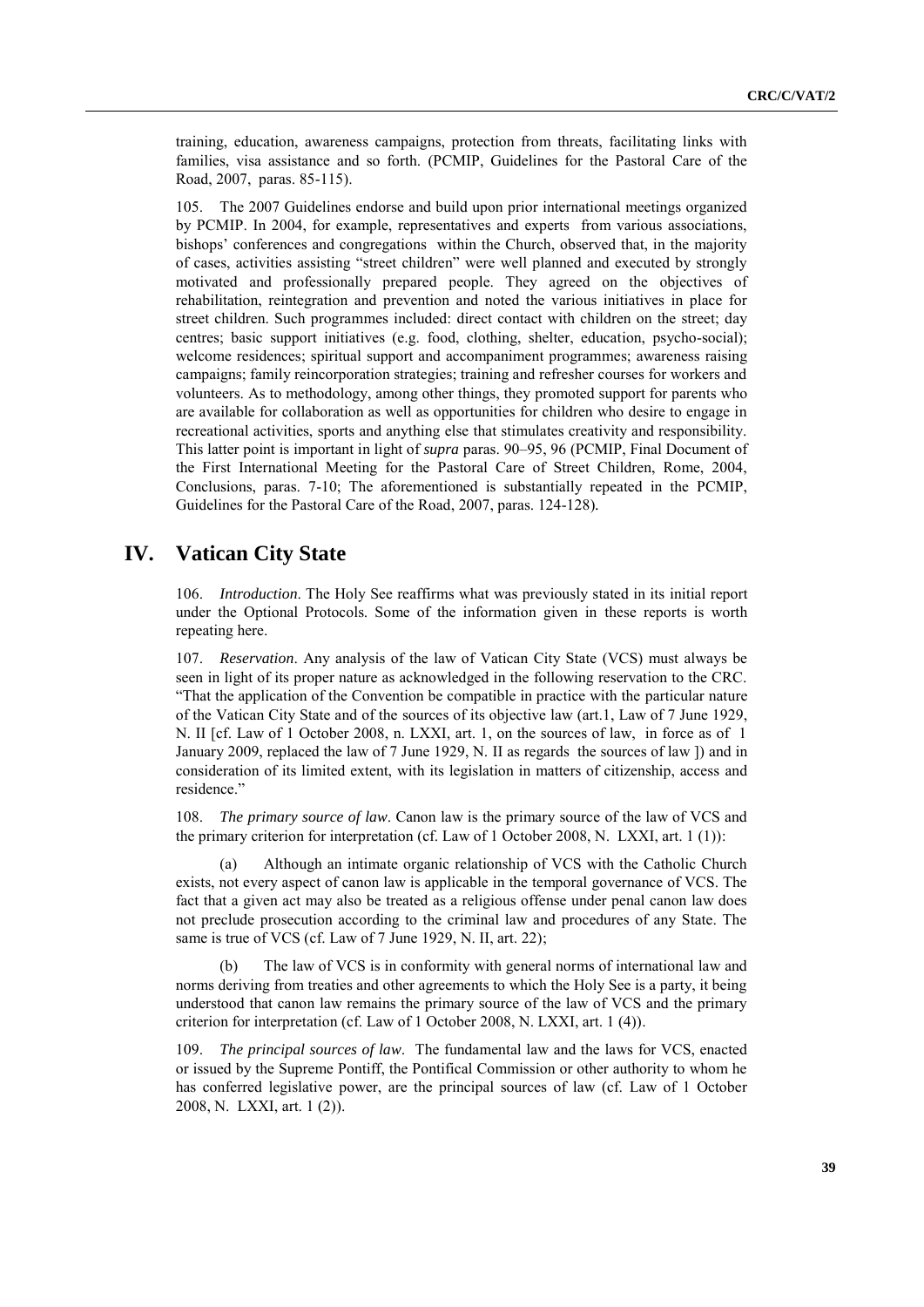training, education, awareness campaigns, protection from threats, facilitating links with families, visa assistance and so forth. (PCMIP, Guidelines for the Pastoral Care of the Road, 2007, paras. 85-115).

105. The 2007 Guidelines endorse and build upon prior international meetings organized by PCMIP. In 2004, for example, representatives and experts from various associations, bishops' conferences and congregations within the Church, observed that, in the majority of cases, activities assisting "street children" were well planned and executed by strongly motivated and professionally prepared people. They agreed on the objectives of rehabilitation, reintegration and prevention and noted the various initiatives in place for street children. Such programmes included: direct contact with children on the street; day centres; basic support initiatives (e.g. food, clothing, shelter, education, psycho-social); welcome residences; spiritual support and accompaniment programmes; awareness raising campaigns; family reincorporation strategies; training and refresher courses for workers and volunteers. As to methodology, among other things, they promoted support for parents who are available for collaboration as well as opportunities for children who desire to engage in recreational activities, sports and anything else that stimulates creativity and responsibility. This latter point is important in light of *supra* paras. 90–95, 96 (PCMIP, Final Document of the First International Meeting for the Pastoral Care of Street Children, Rome, 2004, Conclusions, paras. 7-10; The aforementioned is substantially repeated in the PCMIP, Guidelines for the Pastoral Care of the Road, 2007, paras. 124-128)*.*

# **IV. Vatican City State**

106. *Introduction*. The Holy See reaffirms what was previously stated in its initial report under the Optional Protocols. Some of the information given in these reports is worth repeating here.

107. *Reservation*. Any analysis of the law of Vatican City State (VCS) must always be seen in light of its proper nature as acknowledged in the following reservation to the CRC. ―That the application of the Convention be compatible in practice with the particular nature of the Vatican City State and of the sources of its objective law (art.1, Law of 7 June 1929, N. II [cf. Law of 1 October 2008, n. LXXI, art. 1, on the sources of law, in force as of 1 January 2009, replaced the law of 7 June 1929, N. II as regards the sources of law ]) and in consideration of its limited extent, with its legislation in matters of citizenship, access and residence."

108. *The primary source of law*. Canon law is the primary source of the law of VCS and the primary criterion for interpretation (cf. Law of 1 October 2008, N. LXXI, art. 1 (1)):

(a) Although an intimate organic relationship of VCS with the Catholic Church exists, not every aspect of canon law is applicable in the temporal governance of VCS. The fact that a given act may also be treated as a religious offense under penal canon law does not preclude prosecution according to the criminal law and procedures of any State. The same is true of VCS (cf. Law of 7 June 1929, N. II, art. 22);

The law of VCS is in conformity with general norms of international law and norms deriving from treaties and other agreements to which the Holy See is a party, it being understood that canon law remains the primary source of the law of VCS and the primary criterion for interpretation (cf. Law of 1 October 2008, N. LXXI, art. 1 (4)).

109. *The principal sources of law*. The fundamental law and the laws for VCS, enacted or issued by the Supreme Pontiff, the Pontifical Commission or other authority to whom he has conferred legislative power, are the principal sources of law (cf. Law of 1 October 2008, N. LXXI, art. 1 (2)).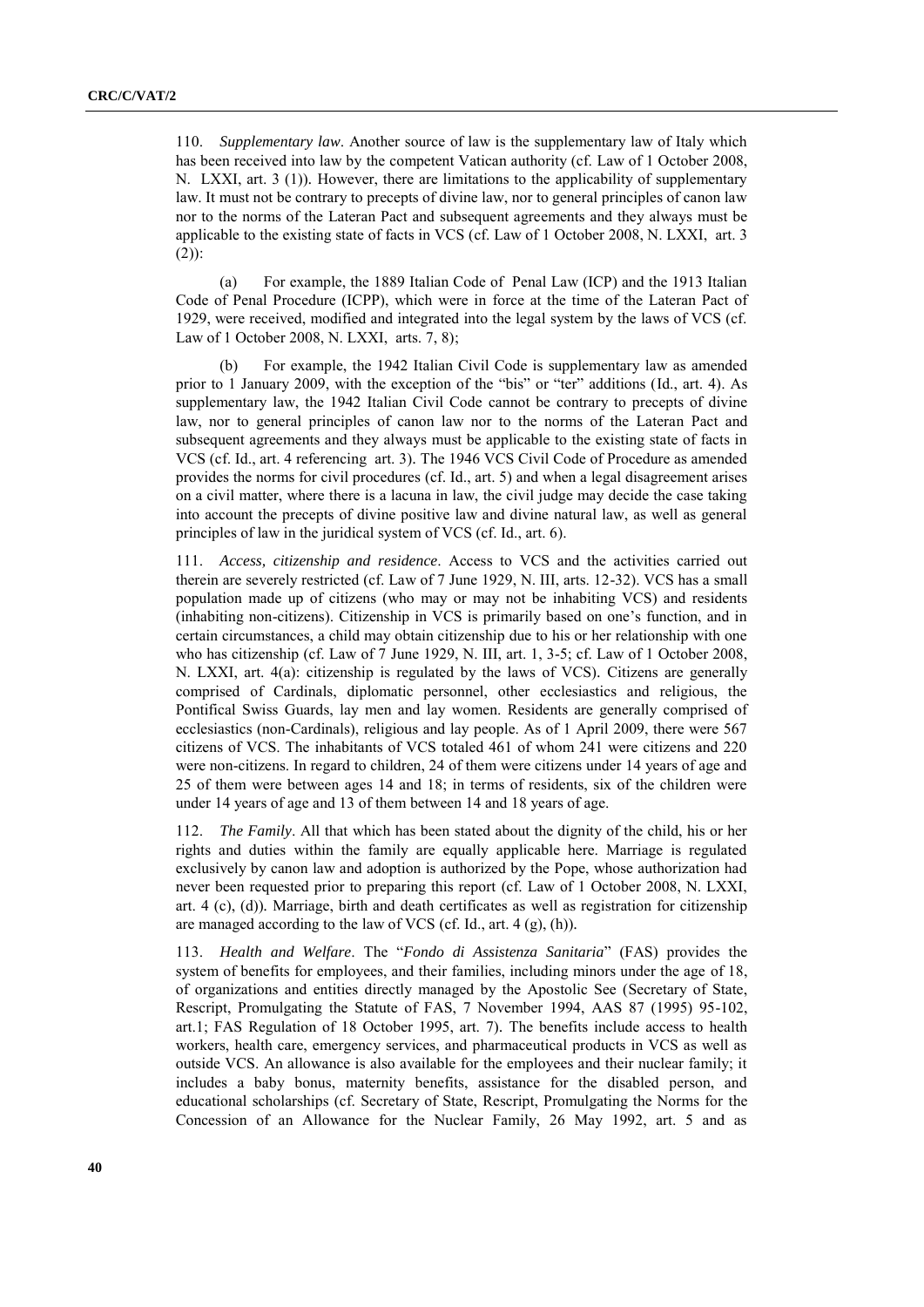110. *Supplementary law*. Another source of law is the supplementary law of Italy which has been received into law by the competent Vatican authority (cf. Law of 1 October 2008, N. LXXI, art. 3 (1))*.* However, there are limitations to the applicability of supplementary law. It must not be contrary to precepts of divine law, nor to general principles of canon law nor to the norms of the Lateran Pact and subsequent agreements and they always must be applicable to the existing state of facts in VCS (cf. Law of 1 October 2008, N. LXXI, art. 3  $(2)$ :

(a) For example, the 1889 Italian Code of Penal Law (ICP) and the 1913 Italian Code of Penal Procedure (ICPP), which were in force at the time of the Lateran Pact of 1929, were received, modified and integrated into the legal system by the laws of VCS (cf. Law of 1 October 2008, N. LXXI, arts. 7, 8);

(b) For example, the 1942 Italian Civil Code is supplementary law as amended prior to 1 January 2009, with the exception of the "bis" or "ter" additions (Id., art. 4). As supplementary law, the 1942 Italian Civil Code cannot be contrary to precepts of divine law, nor to general principles of canon law nor to the norms of the Lateran Pact and subsequent agreements and they always must be applicable to the existing state of facts in VCS (cf. Id., art. 4 referencing art. 3)*.* The 1946 VCS Civil Code of Procedure as amended provides the norms for civil procedures (cf. Id., art. 5) and when a legal disagreement arises on a civil matter, where there is a lacuna in law, the civil judge may decide the case taking into account the precepts of divine positive law and divine natural law, as well as general principles of law in the juridical system of VCS (cf. Id., art. 6).

111. *Access, citizenship and residence*. Access to VCS and the activities carried out therein are severely restricted (cf. Law of 7 June 1929, N. III, arts. 12-32). VCS has a small population made up of citizens (who may or may not be inhabiting VCS) and residents (inhabiting non-citizens). Citizenship in VCS is primarily based on one's function, and in certain circumstances, a child may obtain citizenship due to his or her relationship with one who has citizenship (cf. Law of 7 June 1929, N. III, art. 1, 3-5; cf. Law of 1 October 2008, N. LXXI, art. 4(a): citizenship is regulated by the laws of VCS)*.* Citizens are generally comprised of Cardinals, diplomatic personnel, other ecclesiastics and religious, the Pontifical Swiss Guards, lay men and lay women. Residents are generally comprised of ecclesiastics (non-Cardinals), religious and lay people. As of 1 April 2009, there were 567 citizens of VCS. The inhabitants of VCS totaled 461 of whom 241 were citizens and 220 were non-citizens. In regard to children, 24 of them were citizens under 14 years of age and 25 of them were between ages 14 and 18; in terms of residents, six of the children were under 14 years of age and 13 of them between 14 and 18 years of age.

112. *The Family*. All that which has been stated about the dignity of the child, his or her rights and duties within the family are equally applicable here. Marriage is regulated exclusively by canon law and adoption is authorized by the Pope, whose authorization had never been requested prior to preparing this report (cf. Law of 1 October 2008, N. LXXI, art. 4 (c), (d))*.* Marriage, birth and death certificates as well as registration for citizenship are managed according to the law of VCS (cf. Id., art. 4 (g), (h))*.*

113. *Health and Welfare*. The "*Fondo di Assistenza Sanitaria*" (FAS) provides the system of benefits for employees, and their families, including minors under the age of 18, of organizations and entities directly managed by the Apostolic See (Secretary of State, Rescript, Promulgating the Statute of FAS, 7 November 1994, AAS 87 (1995) 95-102, art.1; FAS Regulation of 18 October 1995, art. 7)*.* The benefits include access to health workers, health care, emergency services, and pharmaceutical products in VCS as well as outside VCS. An allowance is also available for the employees and their nuclear family; it includes a baby bonus, maternity benefits, assistance for the disabled person, and educational scholarships (cf. Secretary of State, Rescript, Promulgating the Norms for the Concession of an Allowance for the Nuclear Family, 26 May 1992, art. 5 and as